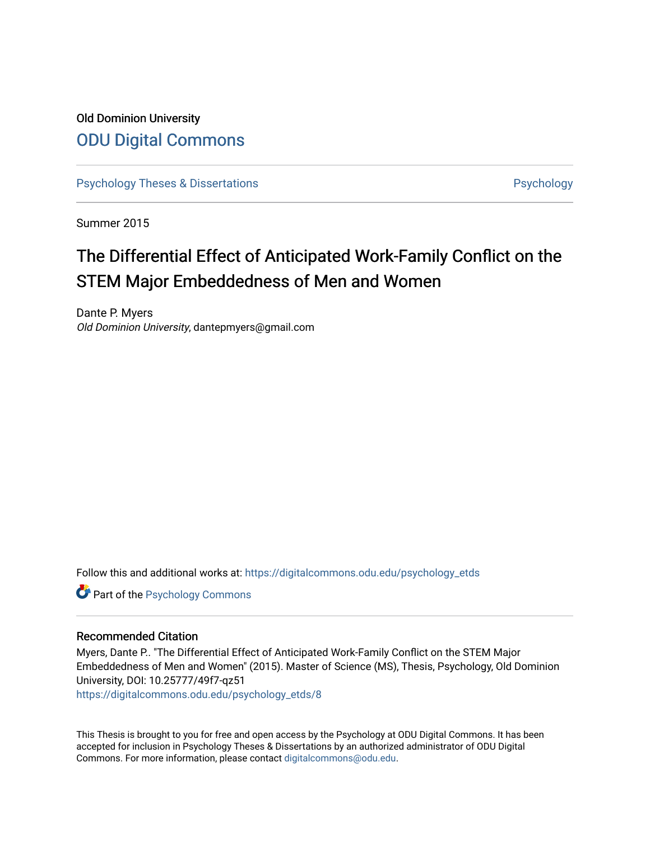# Old Dominion University [ODU Digital Commons](https://digitalcommons.odu.edu/)

[Psychology Theses & Dissertations](https://digitalcommons.odu.edu/psychology_etds) **Psychology** Psychology

Summer 2015

# The Differential Effect of Anticipated Work-Family Conflict on the STEM Major Embeddedness of Men and Women

Dante P. Myers Old Dominion University, dantepmyers@gmail.com

Follow this and additional works at: [https://digitalcommons.odu.edu/psychology\\_etds](https://digitalcommons.odu.edu/psychology_etds?utm_source=digitalcommons.odu.edu%2Fpsychology_etds%2F8&utm_medium=PDF&utm_campaign=PDFCoverPages)

**Part of the Psychology Commons** 

#### Recommended Citation

Myers, Dante P.. "The Differential Effect of Anticipated Work-Family Conflict on the STEM Major Embeddedness of Men and Women" (2015). Master of Science (MS), Thesis, Psychology, Old Dominion University, DOI: 10.25777/49f7-qz51

[https://digitalcommons.odu.edu/psychology\\_etds/8](https://digitalcommons.odu.edu/psychology_etds/8?utm_source=digitalcommons.odu.edu%2Fpsychology_etds%2F8&utm_medium=PDF&utm_campaign=PDFCoverPages)

This Thesis is brought to you for free and open access by the Psychology at ODU Digital Commons. It has been accepted for inclusion in Psychology Theses & Dissertations by an authorized administrator of ODU Digital Commons. For more information, please contact [digitalcommons@odu.edu](mailto:digitalcommons@odu.edu).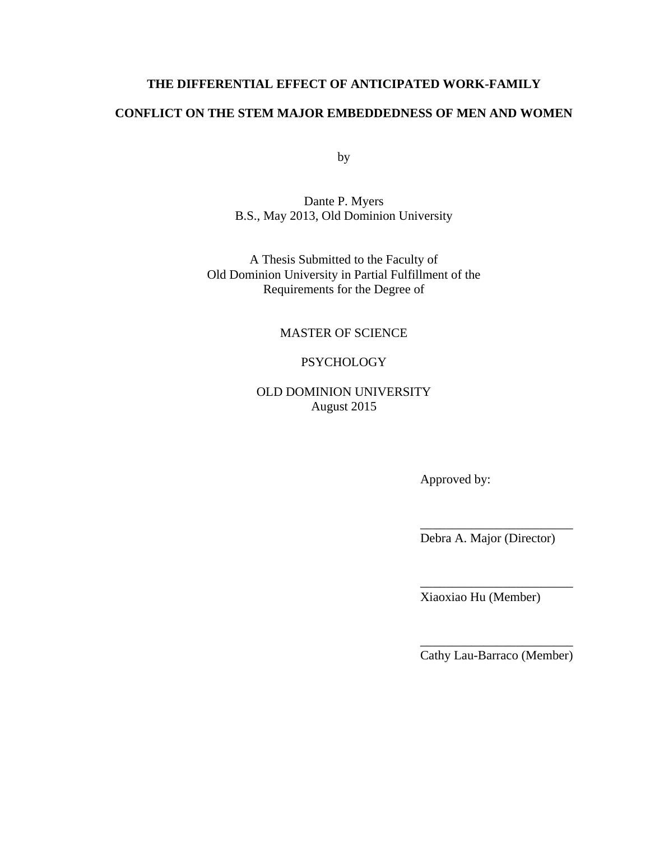## **THE DIFFERENTIAL EFFECT OF ANTICIPATED WORK-FAMILY**

## **CONFLICT ON THE STEM MAJOR EMBEDDEDNESS OF MEN AND WOMEN**

by

Dante P. Myers B.S., May 2013, Old Dominion University

A Thesis Submitted to the Faculty of Old Dominion University in Partial Fulfillment of the Requirements for the Degree of

MASTER OF SCIENCE

## **PSYCHOLOGY**

OLD DOMINION UNIVERSITY August 2015

Approved by:

Debra A. Major (Director)

\_\_\_\_\_\_\_\_\_\_\_\_\_\_\_\_\_\_\_\_\_\_\_\_

\_\_\_\_\_\_\_\_\_\_\_\_\_\_\_\_\_\_\_\_\_\_\_\_

Xiaoxiao Hu (Member)

\_\_\_\_\_\_\_\_\_\_\_\_\_\_\_\_\_\_\_\_\_\_\_\_ Cathy Lau-Barraco (Member)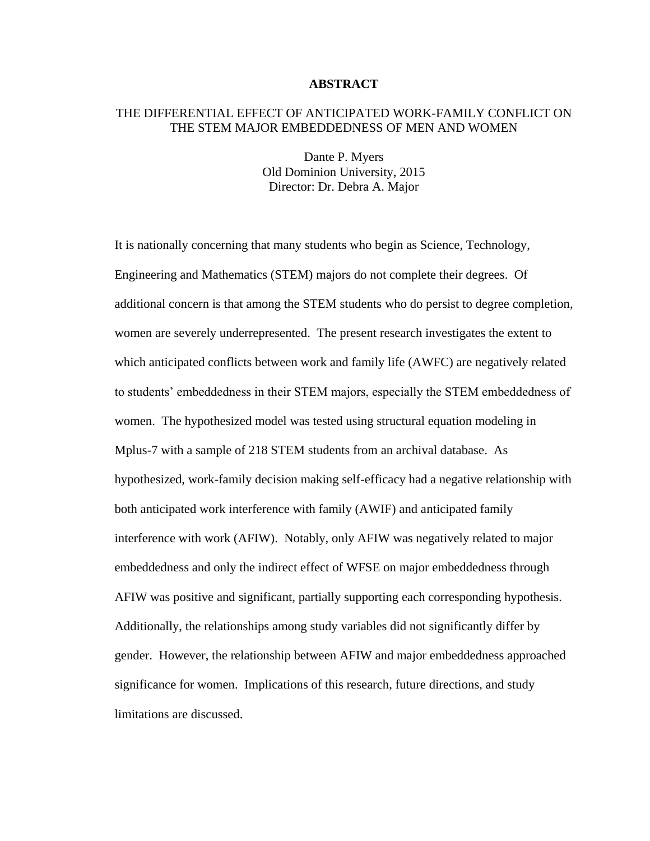#### **ABSTRACT**

### THE DIFFERENTIAL EFFECT OF ANTICIPATED WORK-FAMILY CONFLICT ON THE STEM MAJOR EMBEDDEDNESS OF MEN AND WOMEN

Dante P. Myers Old Dominion University, 2015 Director: Dr. Debra A. Major

It is nationally concerning that many students who begin as Science, Technology, Engineering and Mathematics (STEM) majors do not complete their degrees. Of additional concern is that among the STEM students who do persist to degree completion, women are severely underrepresented. The present research investigates the extent to which anticipated conflicts between work and family life (AWFC) are negatively related to students' embeddedness in their STEM majors, especially the STEM embeddedness of women. The hypothesized model was tested using structural equation modeling in Mplus-7 with a sample of 218 STEM students from an archival database. As hypothesized, work-family decision making self-efficacy had a negative relationship with both anticipated work interference with family (AWIF) and anticipated family interference with work (AFIW). Notably, only AFIW was negatively related to major embeddedness and only the indirect effect of WFSE on major embeddedness through AFIW was positive and significant, partially supporting each corresponding hypothesis. Additionally, the relationships among study variables did not significantly differ by gender. However, the relationship between AFIW and major embeddedness approached significance for women. Implications of this research, future directions, and study limitations are discussed.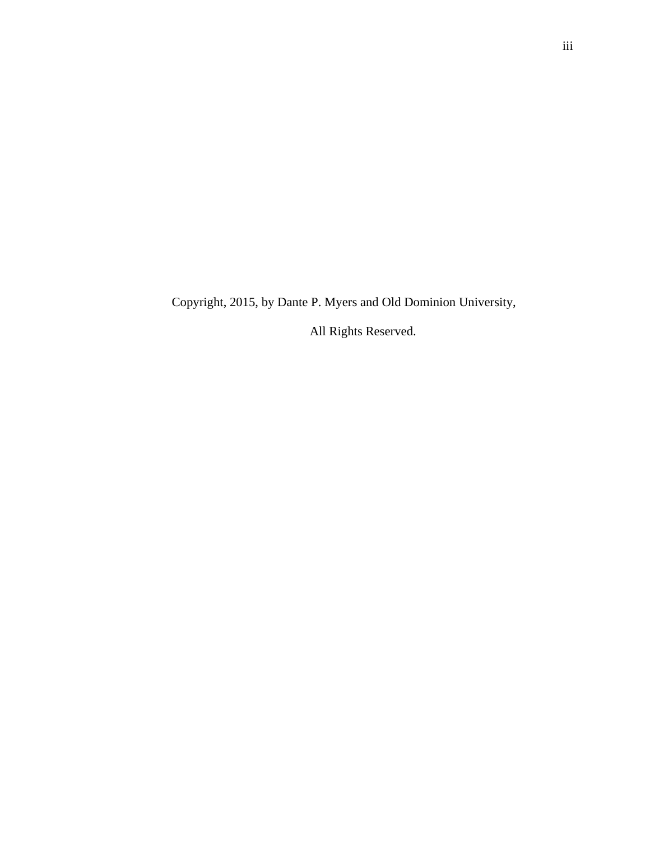Copyright, 2015, by Dante P. Myers and Old Dominion University,

All Rights Reserved.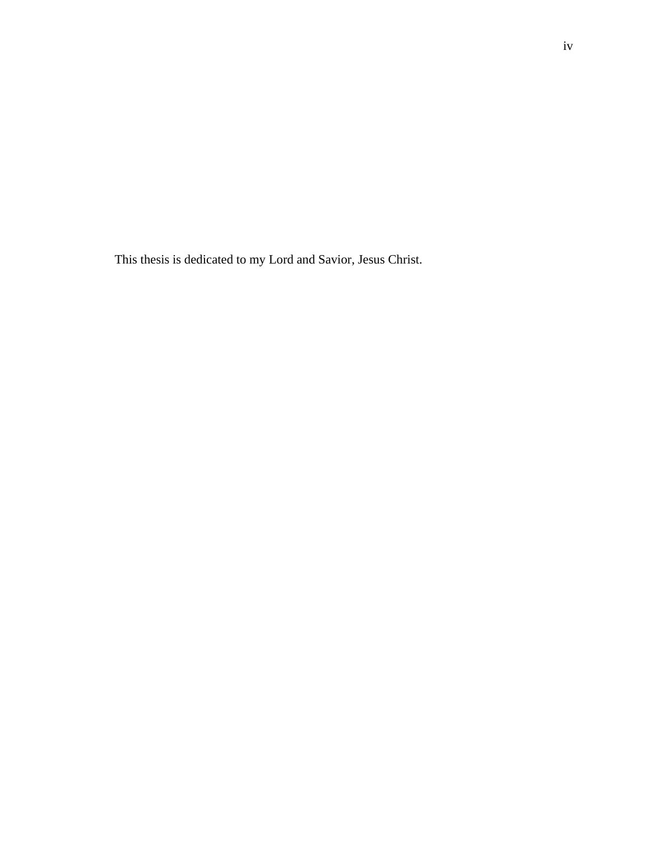This thesis is dedicated to my Lord and Savior, Jesus Christ.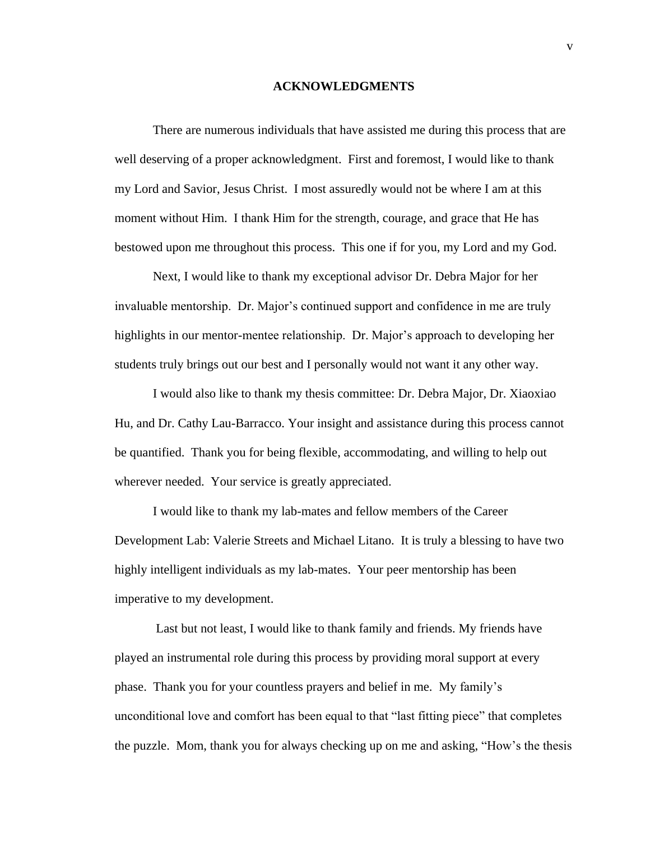#### **ACKNOWLEDGMENTS**

There are numerous individuals that have assisted me during this process that are well deserving of a proper acknowledgment. First and foremost, I would like to thank my Lord and Savior, Jesus Christ. I most assuredly would not be where I am at this moment without Him. I thank Him for the strength, courage, and grace that He has bestowed upon me throughout this process. This one if for you, my Lord and my God.

Next, I would like to thank my exceptional advisor Dr. Debra Major for her invaluable mentorship. Dr. Major's continued support and confidence in me are truly highlights in our mentor-mentee relationship. Dr. Major's approach to developing her students truly brings out our best and I personally would not want it any other way.

I would also like to thank my thesis committee: Dr. Debra Major, Dr. Xiaoxiao Hu, and Dr. Cathy Lau-Barracco. Your insight and assistance during this process cannot be quantified. Thank you for being flexible, accommodating, and willing to help out wherever needed. Your service is greatly appreciated.

I would like to thank my lab-mates and fellow members of the Career Development Lab: Valerie Streets and Michael Litano. It is truly a blessing to have two highly intelligent individuals as my lab-mates. Your peer mentorship has been imperative to my development.

Last but not least, I would like to thank family and friends. My friends have played an instrumental role during this process by providing moral support at every phase. Thank you for your countless prayers and belief in me. My family's unconditional love and comfort has been equal to that "last fitting piece" that completes the puzzle. Mom, thank you for always checking up on me and asking, "How's the thesis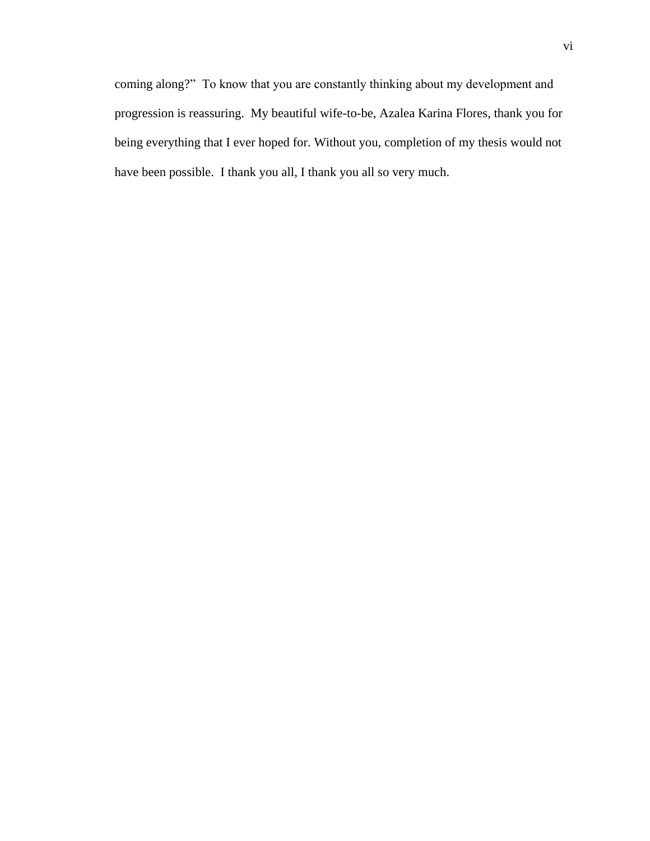coming along?" To know that you are constantly thinking about my development and progression is reassuring. My beautiful wife-to-be, Azalea Karina Flores, thank you for being everything that I ever hoped for. Without you, completion of my thesis would not have been possible. I thank you all, I thank you all so very much.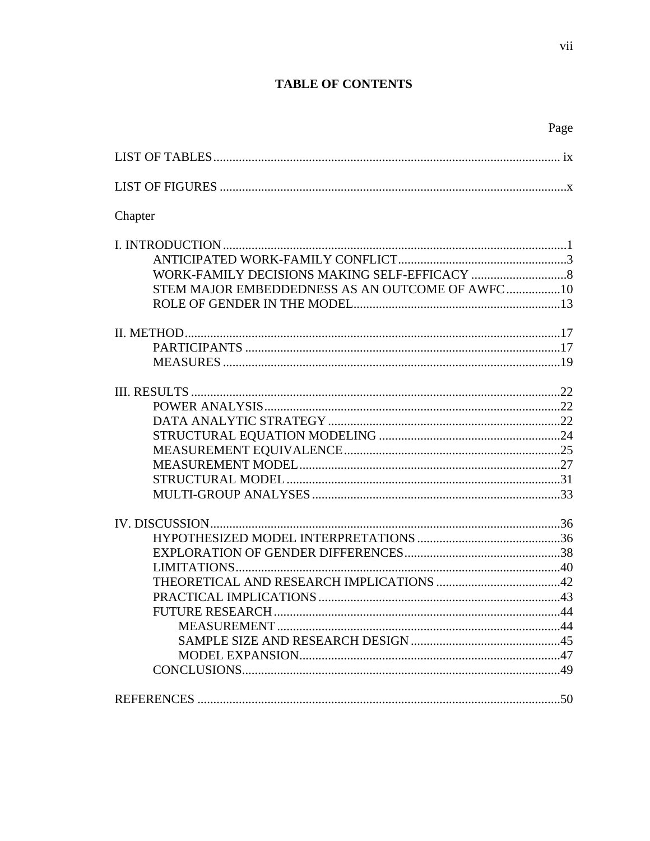## **TABLE OF CONTENTS**

| Chapter                                          |  |
|--------------------------------------------------|--|
|                                                  |  |
|                                                  |  |
|                                                  |  |
| STEM MAJOR EMBEDDEDNESS AS AN OUTCOME OF AWFC 10 |  |
|                                                  |  |
|                                                  |  |
|                                                  |  |
|                                                  |  |
|                                                  |  |
|                                                  |  |
|                                                  |  |
|                                                  |  |
|                                                  |  |
|                                                  |  |
|                                                  |  |
|                                                  |  |
|                                                  |  |
|                                                  |  |
|                                                  |  |
|                                                  |  |
|                                                  |  |
|                                                  |  |
|                                                  |  |
|                                                  |  |
|                                                  |  |
|                                                  |  |
|                                                  |  |
|                                                  |  |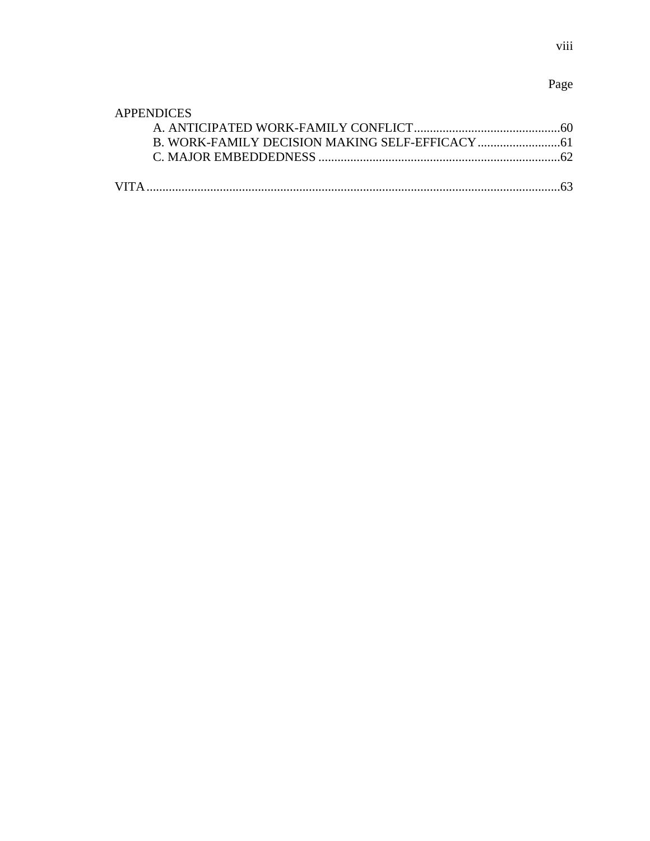# Page

| <b>APPENDICES</b> |  |
|-------------------|--|
|                   |  |
|                   |  |
|                   |  |
|                   |  |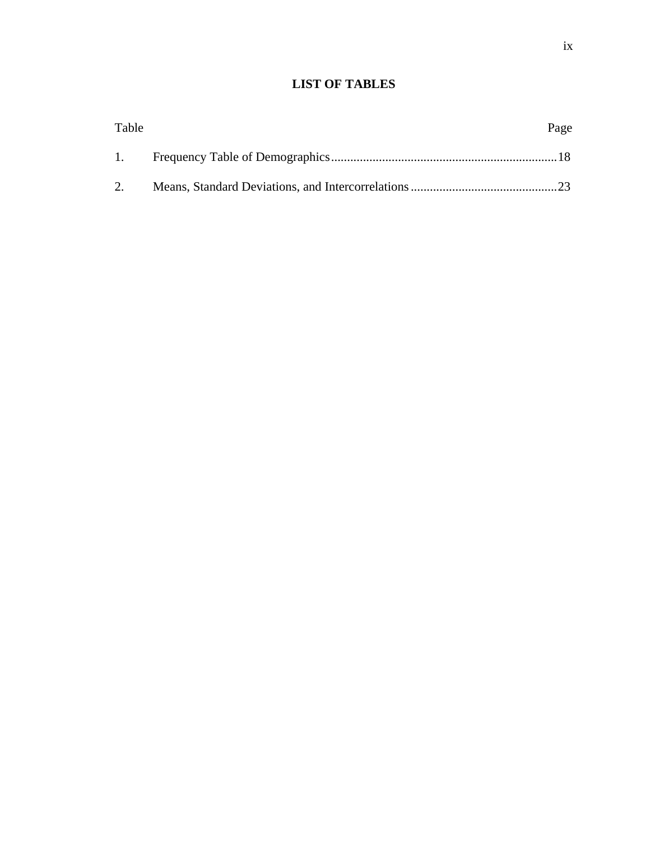## **LIST OF TABLES**

| Table | Page |
|-------|------|
| 1.    |      |
| 2.    |      |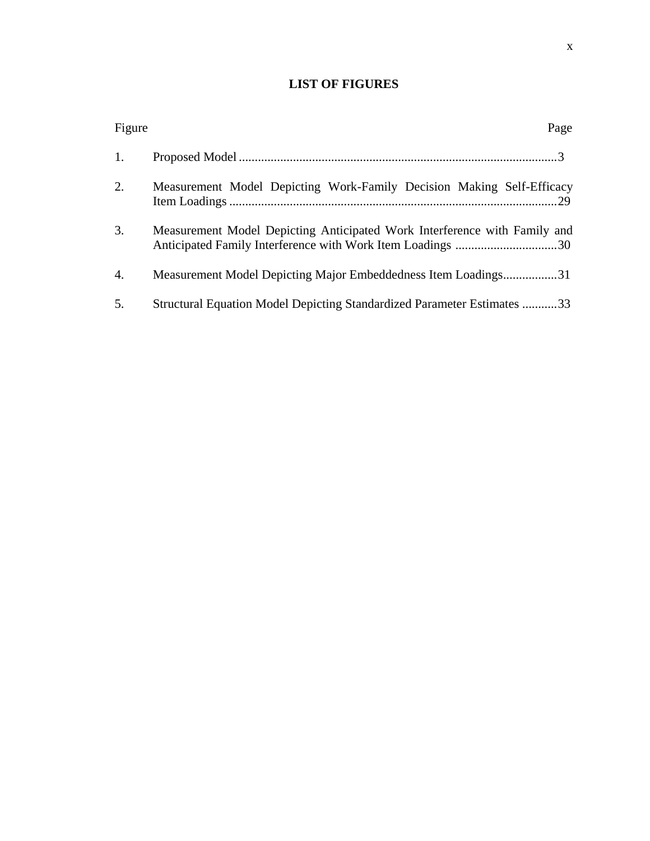## **LIST OF FIGURES**

| Figure | Page                                                                           |
|--------|--------------------------------------------------------------------------------|
| 1.     |                                                                                |
| 2.     | Measurement Model Depicting Work-Family Decision Making Self-Efficacy          |
| 3.     | Measurement Model Depicting Anticipated Work Interference with Family and      |
| 4.     | Measurement Model Depicting Major Embeddedness Item Loadings31                 |
| 5.     | <b>Structural Equation Model Depicting Standardized Parameter Estimates 33</b> |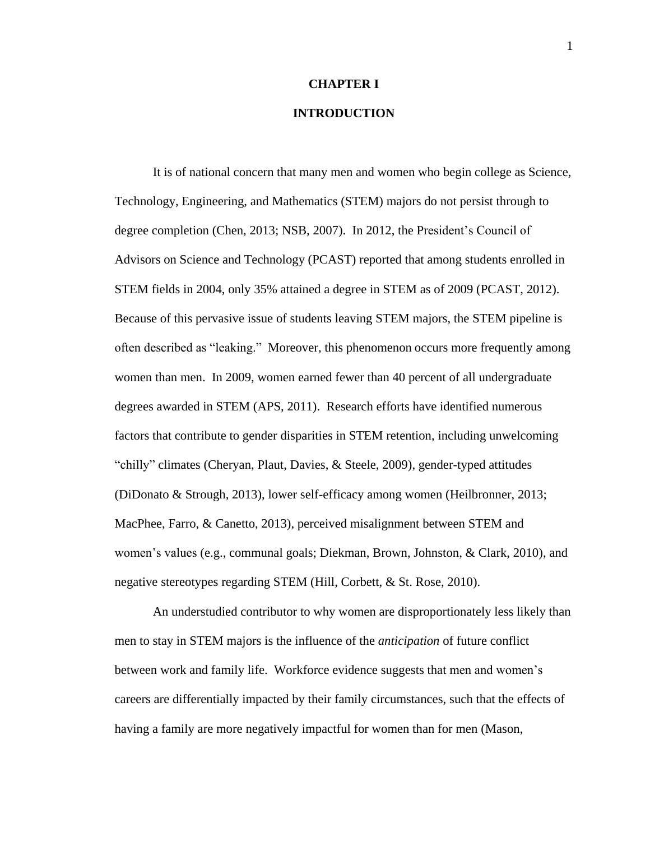## **CHAPTER I**

## **INTRODUCTION**

It is of national concern that many men and women who begin college as Science, Technology, Engineering, and Mathematics (STEM) majors do not persist through to degree completion [\(Chen, 2013;](#page-61-0) [NSB, 2007\)](#page-67-0). In 2012, the President's Council of Advisors on Science and Technology (PCAST) reported that among students enrolled in STEM fields in 2004, only 35% attained a degree in STEM as of 2009 [\(PCAST, 2012\)](#page-68-0). Because of this pervasive issue of students leaving STEM majors, the STEM pipeline is often described as "leaking." Moreover, this phenomenon occurs more frequently among women than men. In 2009, women earned fewer than 40 percent of all undergraduate degrees awarded in STEM [\(APS, 2011\)](#page-60-0). Research efforts have identified numerous factors that contribute to gender disparities in STEM retention, including unwelcoming "chilly" climates [\(Cheryan, Plaut, Davies, & Steele, 2009\)](#page-61-1), gender-typed attitudes [\(DiDonato & Strough, 2013\)](#page-62-0), lower self-efficacy among women [\(Heilbronner, 2013;](#page-63-0) [MacPhee, Farro, & Canetto, 2013\)](#page-66-0), perceived misalignment between STEM and women's values [\(e.g., communal goals; Diekman, Brown, Johnston, & Clark, 2010\)](#page-62-1), and negative stereotypes regarding STEM [\(Hill, Corbett, & St. Rose, 2010\)](#page-64-0).

An understudied contributor to why women are disproportionately less likely than men to stay in STEM majors is the influence of the *anticipation* of future conflict between work and family life. Workforce evidence suggests that men and women's careers are differentially impacted by their family circumstances, such that the effects of having a family are more negatively impactful for women than for men [\(Mason,](#page-66-1)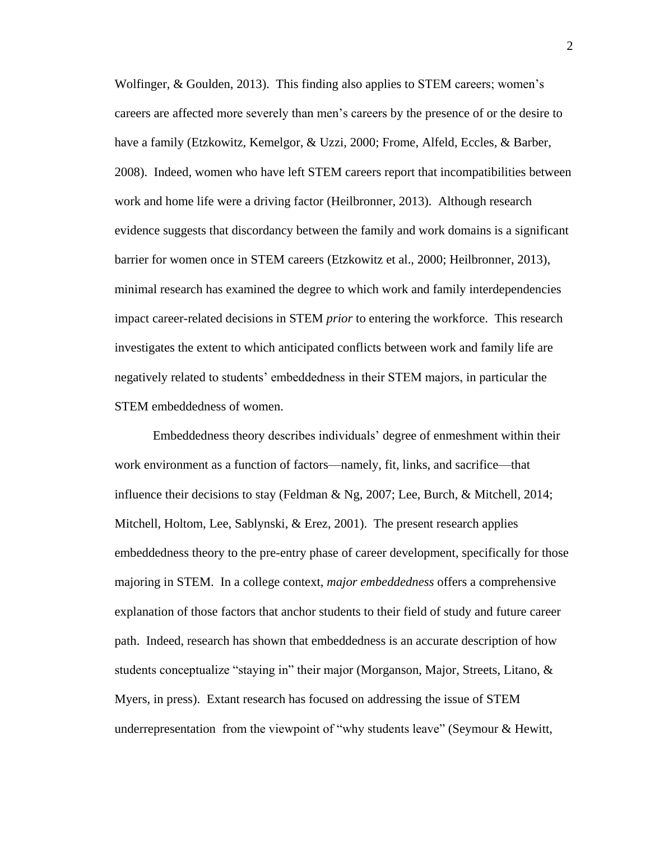[Wolfinger, & Goulden, 2013\)](#page-66-1). This finding also applies to STEM careers; women's careers are affected more severely than men's careers by the presence of or the desire to have a family [\(Etzkowitz, Kemelgor, & Uzzi, 2000;](#page-63-1) [Frome, Alfeld, Eccles, & Barber,](#page-63-2)  [2008\)](#page-63-2). Indeed, women who have left STEM careers report that incompatibilities between work and home life were a driving factor [\(Heilbronner, 2013\)](#page-63-0). Although research evidence suggests that discordancy between the family and work domains is a significant barrier for women once in STEM careers [\(Etzkowitz et al., 2000;](#page-63-1) [Heilbronner, 2013\)](#page-63-0), minimal research has examined the degree to which work and family interdependencies impact career-related decisions in STEM *prior* to entering the workforce. This research investigates the extent to which anticipated conflicts between work and family life are negatively related to students' embeddedness in their STEM majors, in particular the STEM embeddedness of women.

Embeddedness theory describes individuals' degree of enmeshment within their work environment as a function of factors—namely, fit, links, and sacrifice—that influence their decisions to stay [\(Feldman & Ng, 2007;](#page-63-3) [Lee, Burch, & Mitchell, 2014;](#page-64-1) [Mitchell, Holtom, Lee, Sablynski, & Erez, 2001\)](#page-67-1). The present research applies embeddedness theory to the pre-entry phase of career development, specifically for those majoring in STEM. In a college context, *major embeddedness* offers a comprehensive explanation of those factors that anchor students to their field of study and future career path. Indeed, research has shown that embeddedness is an accurate description of how students conceptualize "staying in" their major (Morganson, Major, Streets, Litano,  $\&$ [Myers, in press\)](#page-67-2). Extant research has focused on addressing the issue of STEM underrepresentation from the viewpoint of "why students leave" [\(Seymour & Hewitt,](#page-68-1)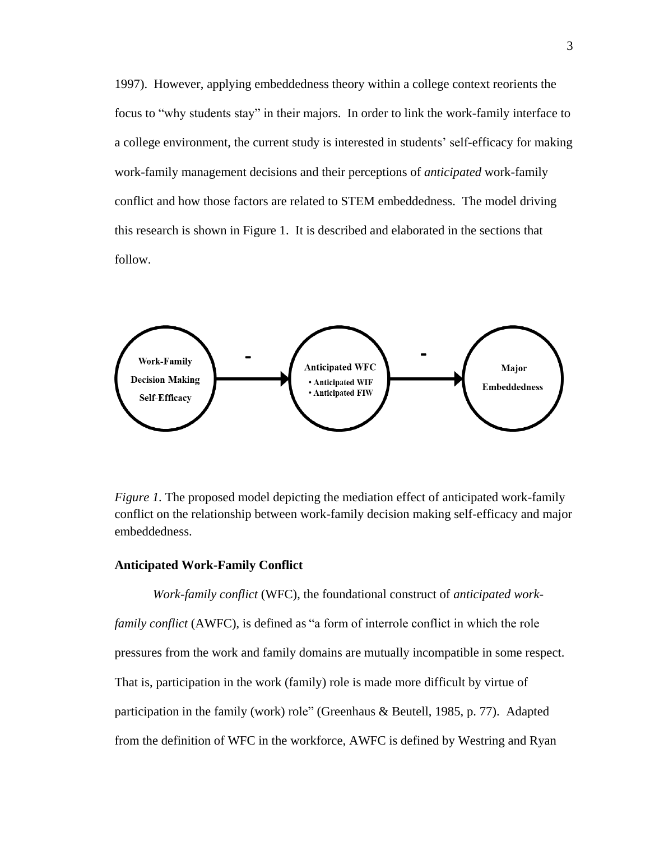[1997\)](#page-68-1). However, applying embeddedness theory within a college context reorients the focus to "why students stay" in their majors. In order to link the work-family interface to a college environment, the current study is interested in students' self-efficacy for making work-family management decisions and their perceptions of *anticipated* work-family conflict and how those factors are related to STEM embeddedness. The model driving this research is shown in Figure 1. It is described and elaborated in the sections that follow.



*Figure 1.* The proposed model depicting the mediation effect of anticipated work-family conflict on the relationship between work-family decision making self-efficacy and major embeddedness.

#### **Anticipated Work-Family Conflict**

*Work-family conflict* (WFC), the foundational construct of *anticipated workfamily conflict* (AWFC), is defined as "a form of interrole conflict in which the role pressures from the work and family domains are mutually incompatible in some respect. That is, participation in the work (family) role is made more difficult by virtue of participation in the family (work) role" [\(Greenhaus & Beutell, 1985, p. 77\)](#page-63-4). Adapted from the definition of WFC in the workforce, AWFC is defined by [Westring and Ryan](#page-69-0)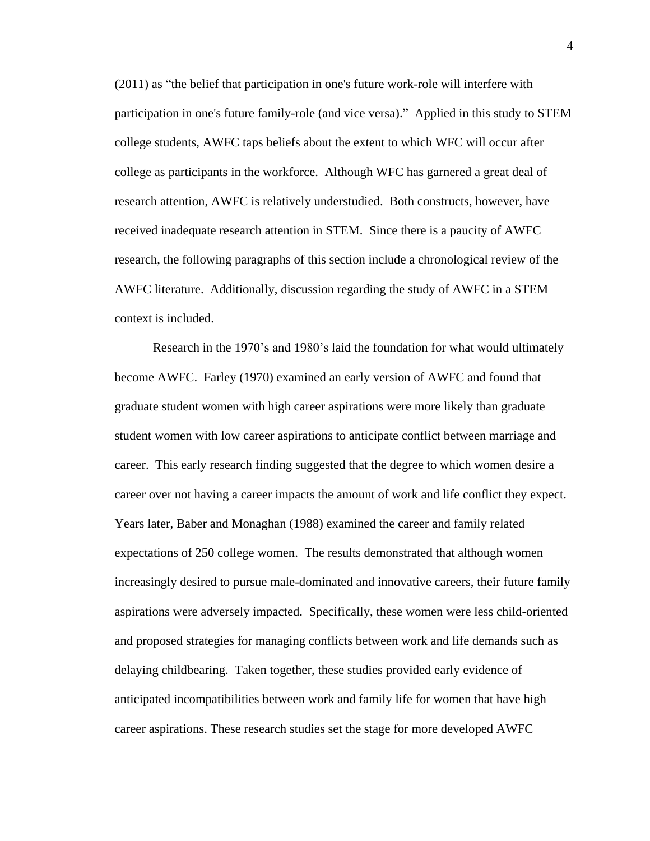(2011) as "the belief that participation in one's future work-role will interfere with participation in one's future family-role (and vice versa)." Applied in this study to STEM college students, AWFC taps beliefs about the extent to which WFC will occur after college as participants in the workforce. Although WFC has garnered a great deal of research attention, AWFC is relatively understudied. Both constructs, however, have received inadequate research attention in STEM. Since there is a paucity of AWFC research, the following paragraphs of this section include a chronological review of the AWFC literature. Additionally, discussion regarding the study of AWFC in a STEM context is included.

Research in the 1970's and 1980's laid the foundation for what would ultimately become AWFC. [Farley \(1970\)](#page-63-5) examined an early version of AWFC and found that graduate student women with high career aspirations were more likely than graduate student women with low career aspirations to anticipate conflict between marriage and career. This early research finding suggested that the degree to which women desire a career over not having a career impacts the amount of work and life conflict they expect. Years later, [Baber and Monaghan \(1988\)](#page-60-1) examined the career and family related expectations of 250 college women. The results demonstrated that although women increasingly desired to pursue male-dominated and innovative careers, their future family aspirations were adversely impacted. Specifically, these women were less child-oriented and proposed strategies for managing conflicts between work and life demands such as delaying childbearing. Taken together, these studies provided early evidence of anticipated incompatibilities between work and family life for women that have high career aspirations. These research studies set the stage for more developed AWFC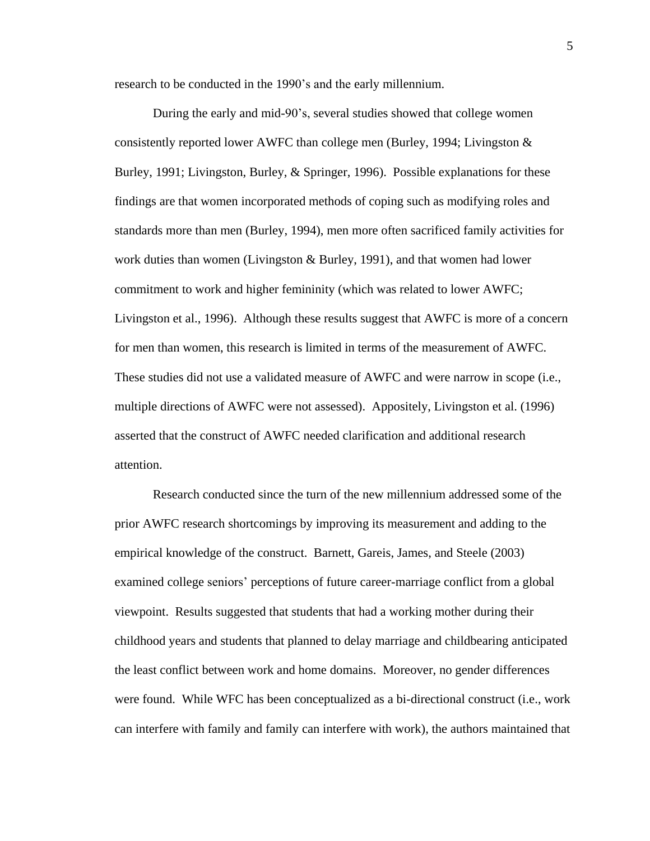research to be conducted in the 1990's and the early millennium.

During the early and mid-90's, several studies showed that college women consistently reported lower AWFC than college men [\(Burley, 1994;](#page-61-2) Livingston  $\&$ [Burley, 1991;](#page-65-0) [Livingston, Burley, & Springer, 1996\)](#page-65-1). Possible explanations for these findings are that women incorporated methods of coping such as modifying roles and standards more than men [\(Burley, 1994\)](#page-61-2), men more often sacrificed family activities for work duties than women [\(Livingston & Burley, 1991\)](#page-65-0), and that women had lower commitment to work and higher femininity [\(which was related to lower AWFC;](#page-65-1)  [Livingston et al., 1996\)](#page-65-1). Although these results suggest that AWFC is more of a concern for men than women, this research is limited in terms of the measurement of AWFC. These studies did not use a validated measure of AWFC and were narrow in scope (i.e., multiple directions of AWFC were not assessed). Appositely, [Livingston et al. \(1996\)](#page-65-1) asserted that the construct of AWFC needed clarification and additional research attention.

Research conducted since the turn of the new millennium addressed some of the prior AWFC research shortcomings by improving its measurement and adding to the empirical knowledge of the construct. [Barnett, Gareis, James, and Steele \(2003\)](#page-60-2) examined college seniors' perceptions of future career-marriage conflict from a global viewpoint. Results suggested that students that had a working mother during their childhood years and students that planned to delay marriage and childbearing anticipated the least conflict between work and home domains. Moreover, no gender differences were found. While WFC has been conceptualized as a bi-directional construct (i.e., work can interfere with family and family can interfere with work), the authors maintained that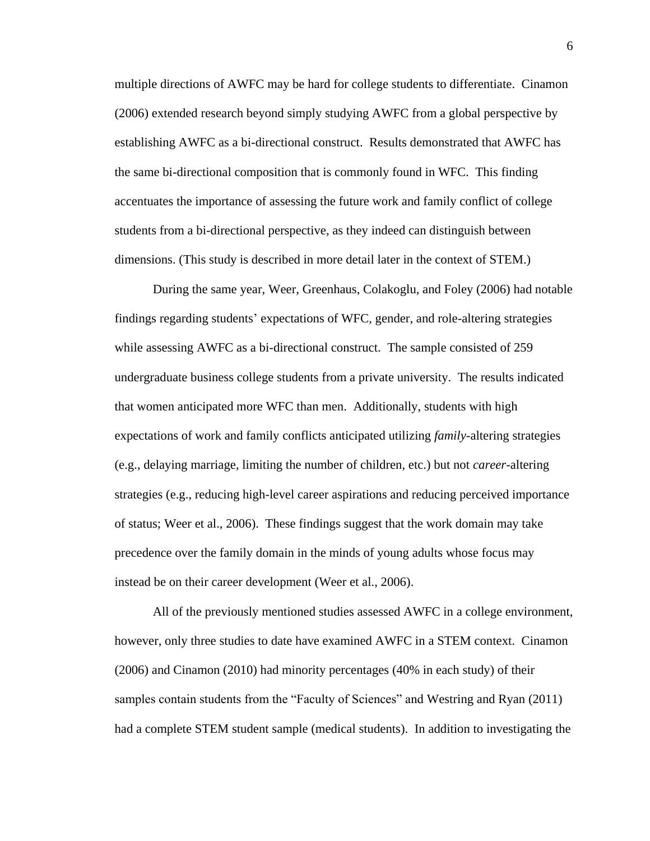multiple directions of AWFC may be hard for college students to differentiate. [Cinamon](#page-61-3)  (2006) extended research beyond simply studying AWFC from a global perspective by establishing AWFC as a bi-directional construct. Results demonstrated that AWFC has the same bi-directional composition that is commonly found in WFC. This finding accentuates the importance of assessing the future work and family conflict of college students from a bi-directional perspective, as they indeed can distinguish between dimensions. (This study is described in more detail later in the context of STEM.)

During the same year, [Weer, Greenhaus, Colakoglu, and Foley \(2006\)](#page-69-1) had notable findings regarding students' expectations of WFC, gender, and role-altering strategies while assessing AWFC as a bi-directional construct. The sample consisted of 259 undergraduate business college students from a private university. The results indicated that women anticipated more WFC than men. Additionally, students with high expectations of work and family conflicts anticipated utilizing *family*-altering strategies (e.g., delaying marriage, limiting the number of children, etc.) but not *career*-altering strategies [\(e.g., reducing high-level career aspirations and reducing perceived importance](#page-69-1)  [of status; Weer et al., 2006\)](#page-69-1). These findings suggest that the work domain may take precedence over the family domain in the minds of young adults whose focus may instead be on their career development [\(Weer et al., 2006\)](#page-69-1).

All of the previously mentioned studies assessed AWFC in a college environment, however, only three studies to date have examined AWFC in a STEM context. [Cinamon](#page-61-3)  (2006) and [Cinamon \(2010\)](#page-62-2) had minority percentages (40% in each study) of their samples contain students from the "Faculty of Sciences" and [Westring and Ryan \(2011\)](#page-69-0) had a complete STEM student sample (medical students). In addition to investigating the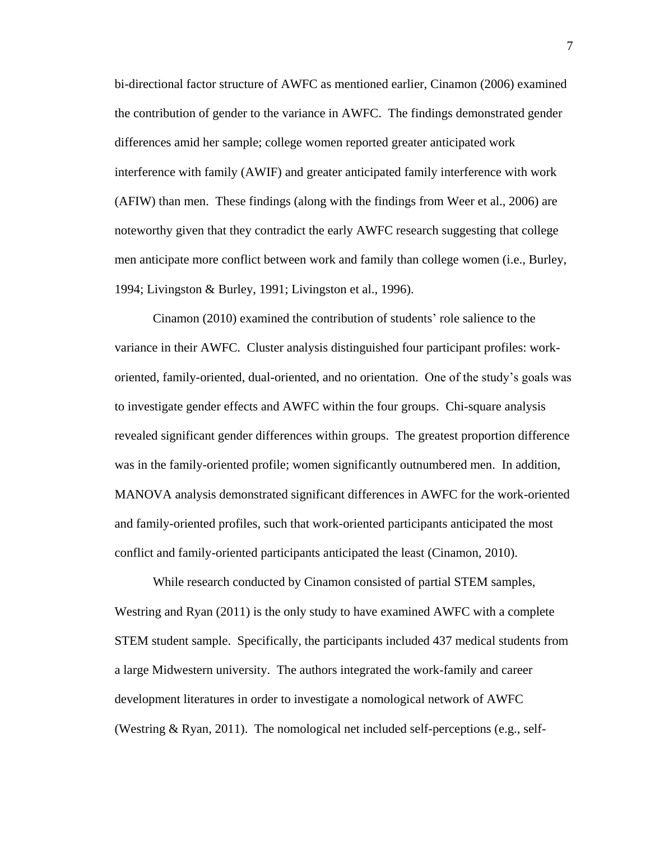bi-directional factor structure of AWFC as mentioned earlier, [Cinamon \(2006\)](#page-61-3) examined the contribution of gender to the variance in AWFC. The findings demonstrated gender differences amid her sample; college women reported greater anticipated work interference with family (AWIF) and greater anticipated family interference with work (AFIW) than men. These findings [\(along with the findings from Weer et al., 2006\)](#page-69-1) are noteworthy given that they contradict the early AWFC research suggesting that college men anticipate more conflict between work and family than college women (i.e., [Burley,](#page-61-2)  [1994;](#page-61-2) [Livingston & Burley, 1991;](#page-65-0) [Livingston et al., 1996\)](#page-65-1).

[Cinamon \(2010\)](#page-62-2) examined the contribution of students' role salience to the variance in their AWFC. Cluster analysis distinguished four participant profiles: workoriented, family-oriented, dual-oriented, and no orientation. One of the study's goals was to investigate gender effects and AWFC within the four groups. Chi-square analysis revealed significant gender differences within groups. The greatest proportion difference was in the family-oriented profile; women significantly outnumbered men. In addition, MANOVA analysis demonstrated significant differences in AWFC for the work-oriented and family-oriented profiles, such that work-oriented participants anticipated the most conflict and family-oriented participants anticipated the least [\(Cinamon, 2010\)](#page-62-2).

While research conducted by Cinamon consisted of partial STEM samples, [Westring and Ryan \(2011\)](#page-69-0) is the only study to have examined AWFC with a complete STEM student sample. Specifically, the participants included 437 medical students from a large Midwestern university. The authors integrated the work-family and career development literatures in order to investigate a nomological network of AWFC [\(Westring & Ryan, 2011\)](#page-69-0). The nomological net included self-perceptions (e.g., self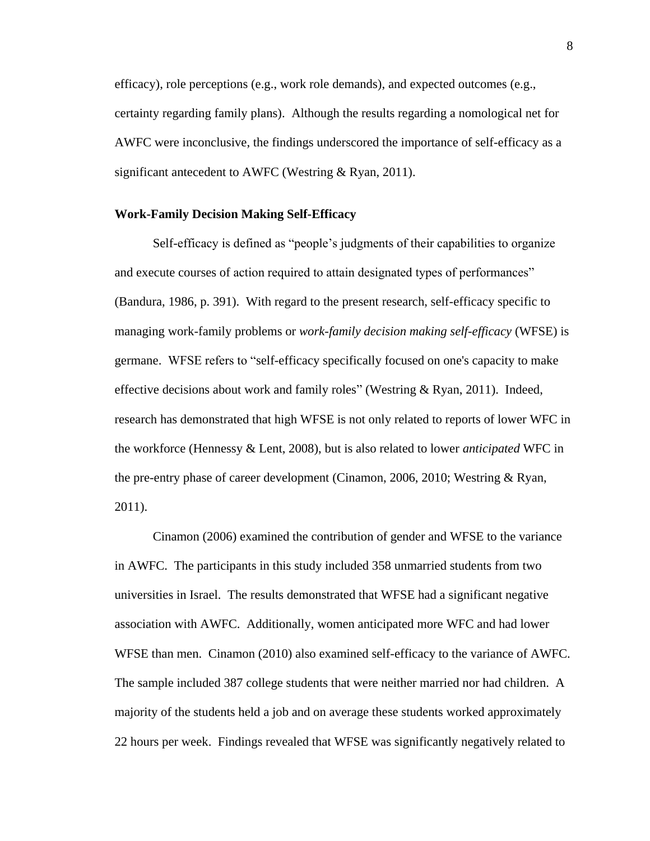efficacy), role perceptions (e.g., work role demands), and expected outcomes (e.g., certainty regarding family plans). Although the results regarding a nomological net for AWFC were inconclusive, the findings underscored the importance of self-efficacy as a significant antecedent to AWFC [\(Westring & Ryan, 2011\)](#page-69-0).

#### **Work-Family Decision Making Self-Efficacy**

Self-efficacy is defined as "people's judgments of their capabilities to organize and execute courses of action required to attain designated types of performances" [\(Bandura, 1986, p. 391\)](#page-60-3). With regard to the present research, self-efficacy specific to managing work-family problems or *work-family decision making self-efficacy* (WFSE) is germane. WFSE refers to "self-efficacy specifically focused on one's capacity to make effective decisions about work and family roles" [\(Westring & Ryan, 2011\)](#page-69-0). Indeed, research has demonstrated that high WFSE is not only related to reports of lower WFC in the workforce [\(Hennessy & Lent, 2008\)](#page-64-2), but is also related to lower *anticipated* WFC in the pre-entry phase of career development [\(Cinamon, 2006,](#page-61-3) [2010;](#page-62-2) [Westring & Ryan,](#page-69-0)  [2011\)](#page-69-0).

[Cinamon \(2006\)](#page-61-3) examined the contribution of gender and WFSE to the variance in AWFC. The participants in this study included 358 unmarried students from two universities in Israel. The results demonstrated that WFSE had a significant negative association with AWFC. Additionally, women anticipated more WFC and had lower WFSE than men. [Cinamon \(2010\)](#page-62-2) also examined self-efficacy to the variance of AWFC. The sample included 387 college students that were neither married nor had children. A majority of the students held a job and on average these students worked approximately 22 hours per week. Findings revealed that WFSE was significantly negatively related to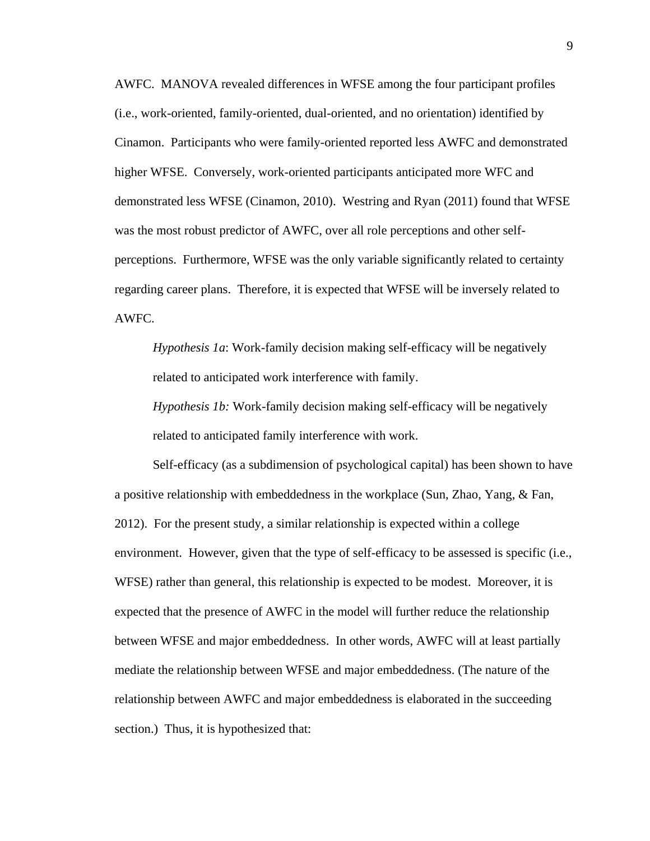AWFC. MANOVA revealed differences in WFSE among the four participant profiles (i.e., work-oriented, family-oriented, dual-oriented, and no orientation) identified by Cinamon. Participants who were family-oriented reported less AWFC and demonstrated higher WFSE. Conversely, work-oriented participants anticipated more WFC and demonstrated less WFSE [\(Cinamon, 2010\)](#page-62-2). [Westring and Ryan \(2011\)](#page-69-0) found that WFSE was the most robust predictor of AWFC, over all role perceptions and other selfperceptions. Furthermore, WFSE was the only variable significantly related to certainty regarding career plans. Therefore, it is expected that WFSE will be inversely related to AWFC.

*Hypothesis 1a*: Work-family decision making self-efficacy will be negatively related to anticipated work interference with family.

*Hypothesis 1b:* Work-family decision making self-efficacy will be negatively related to anticipated family interference with work.

Self-efficacy (as a subdimension of psychological capital) has been shown to have a positive relationship with embeddedness in the workplace [\(Sun, Zhao, Yang, & Fan,](#page-68-2)  [2012\)](#page-68-2). For the present study, a similar relationship is expected within a college environment. However, given that the type of self-efficacy to be assessed is specific (i.e., WFSE) rather than general, this relationship is expected to be modest. Moreover, it is expected that the presence of AWFC in the model will further reduce the relationship between WFSE and major embeddedness. In other words, AWFC will at least partially mediate the relationship between WFSE and major embeddedness. (The nature of the relationship between AWFC and major embeddedness is elaborated in the succeeding section.) Thus, it is hypothesized that: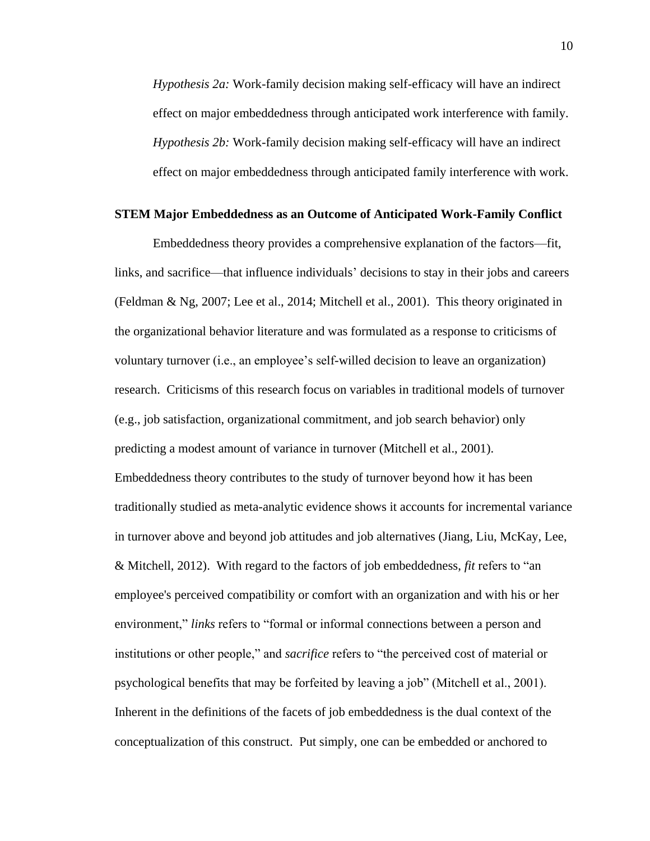*Hypothesis 2a:* Work-family decision making self-efficacy will have an indirect effect on major embeddedness through anticipated work interference with family. *Hypothesis 2b:* Work-family decision making self-efficacy will have an indirect effect on major embeddedness through anticipated family interference with work.

#### **STEM Major Embeddedness as an Outcome of Anticipated Work-Family Conflict**

Embeddedness theory provides a comprehensive explanation of the factors—fit, links, and sacrifice—that influence individuals' decisions to stay in their jobs and careers [\(Feldman & Ng, 2007;](#page-63-3) [Lee et al., 2014;](#page-64-1) [Mitchell et al., 2001\)](#page-67-1). This theory originated in the organizational behavior literature and was formulated as a response to criticisms of voluntary turnover (i.e., an employee's self-willed decision to leave an organization) research. Criticisms of this research focus on variables in traditional models of turnover (e.g., job satisfaction, organizational commitment, and job search behavior) only predicting a modest amount of variance in turnover [\(Mitchell et al., 2001\)](#page-67-1). Embeddedness theory contributes to the study of turnover beyond how it has been traditionally studied as meta-analytic evidence shows it accounts for incremental variance in turnover above and beyond job attitudes and job alternatives [\(Jiang, Liu, McKay, Lee,](#page-64-3)  [& Mitchell, 2012\)](#page-64-3). With regard to the factors of job embeddedness, *fit* refers to "an employee's perceived compatibility or comfort with an organization and with his or her environment," *links* refers to "formal or informal connections between a person and institutions or other people," and *sacrifice* refers to "the perceived cost of material or psychological benefits that may be forfeited by leaving a job" (Mitchell et al., 2001). Inherent in the definitions of the facets of job embeddedness is the dual context of the conceptualization of this construct. Put simply, one can be embedded or anchored to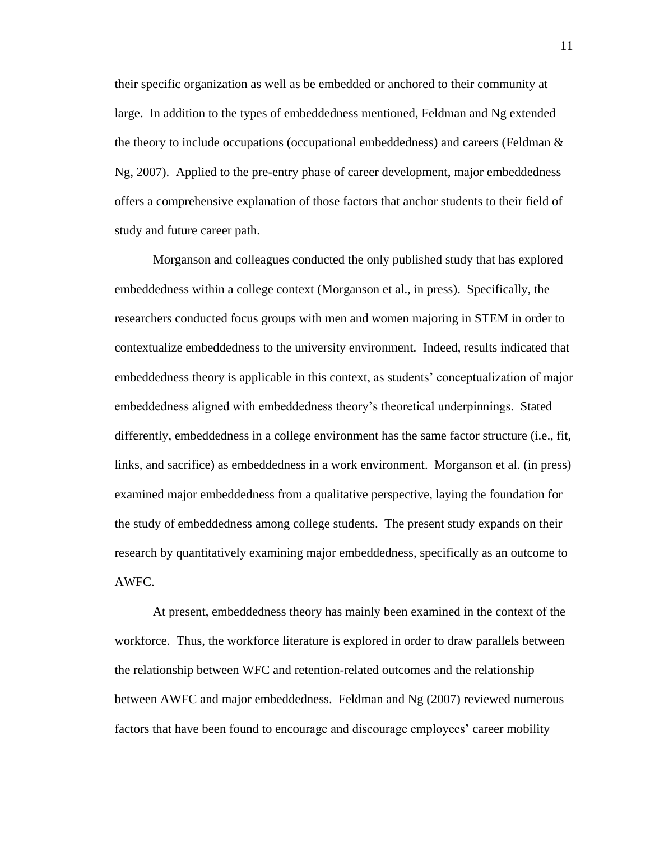their specific organization as well as be embedded or anchored to their community at large. In addition to the types of embeddedness mentioned, Feldman and Ng extended the theory to include occupations (occupational embeddedness) and careers [\(Feldman &](#page-63-3)  [Ng, 2007\)](#page-63-3). Applied to the pre-entry phase of career development, major embeddedness offers a comprehensive explanation of those factors that anchor students to their field of study and future career path.

Morganson and colleagues conducted the only published study that has explored embeddedness within a college context [\(Morganson et al., in press\)](#page-67-2). Specifically, the researchers conducted focus groups with men and women majoring in STEM in order to contextualize embeddedness to the university environment. Indeed, results indicated that embeddedness theory is applicable in this context, as students' conceptualization of major embeddedness aligned with embeddedness theory's theoretical underpinnings. Stated differently, embeddedness in a college environment has the same factor structure (i.e., fit, links, and sacrifice) as embeddedness in a work environment. [Morganson et al. \(in press\)](#page-67-2) examined major embeddedness from a qualitative perspective, laying the foundation for the study of embeddedness among college students. The present study expands on their research by quantitatively examining major embeddedness, specifically as an outcome to AWFC.

At present, embeddedness theory has mainly been examined in the context of the workforce. Thus, the workforce literature is explored in order to draw parallels between the relationship between WFC and retention-related outcomes and the relationship between AWFC and major embeddedness. [Feldman and Ng \(2007\)](#page-63-3) reviewed numerous factors that have been found to encourage and discourage employees' career mobility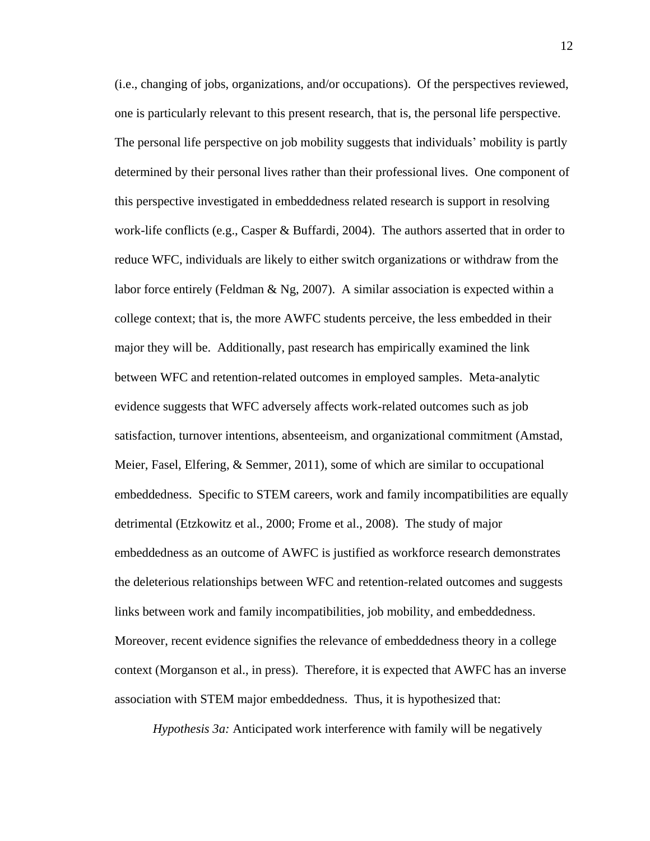(i.e., changing of jobs, organizations, and/or occupations). Of the perspectives reviewed, one is particularly relevant to this present research, that is, the personal life perspective. The personal life perspective on job mobility suggests that individuals' mobility is partly determined by their personal lives rather than their professional lives. One component of this perspective investigated in embeddedness related research is support in resolving work-life conflicts [\(e.g., Casper & Buffardi, 2004\)](#page-61-4). The authors asserted that in order to reduce WFC, individuals are likely to either switch organizations or withdraw from the labor force entirely (Feldman  $\&$  Ng, 2007). A similar association is expected within a college context; that is, the more AWFC students perceive, the less embedded in their major they will be. Additionally, past research has empirically examined the link between WFC and retention-related outcomes in employed samples. Meta-analytic evidence suggests that WFC adversely affects work-related outcomes such as job satisfaction, turnover intentions, absenteeism, and organizational commitment [\(Amstad,](#page-60-4)  [Meier, Fasel, Elfering, & Semmer, 2011\)](#page-60-4), some of which are similar to occupational embeddedness. Specific to STEM careers, work and family incompatibilities are equally detrimental [\(Etzkowitz et al., 2000;](#page-63-1) [Frome et al., 2008\)](#page-63-2). The study of major embeddedness as an outcome of AWFC is justified as workforce research demonstrates the deleterious relationships between WFC and retention-related outcomes and suggests links between work and family incompatibilities, job mobility, and embeddedness. Moreover, recent evidence signifies the relevance of embeddedness theory in a college context [\(Morganson et al., in press\)](#page-67-2). Therefore, it is expected that AWFC has an inverse association with STEM major embeddedness. Thus, it is hypothesized that:

*Hypothesis 3a:* Anticipated work interference with family will be negatively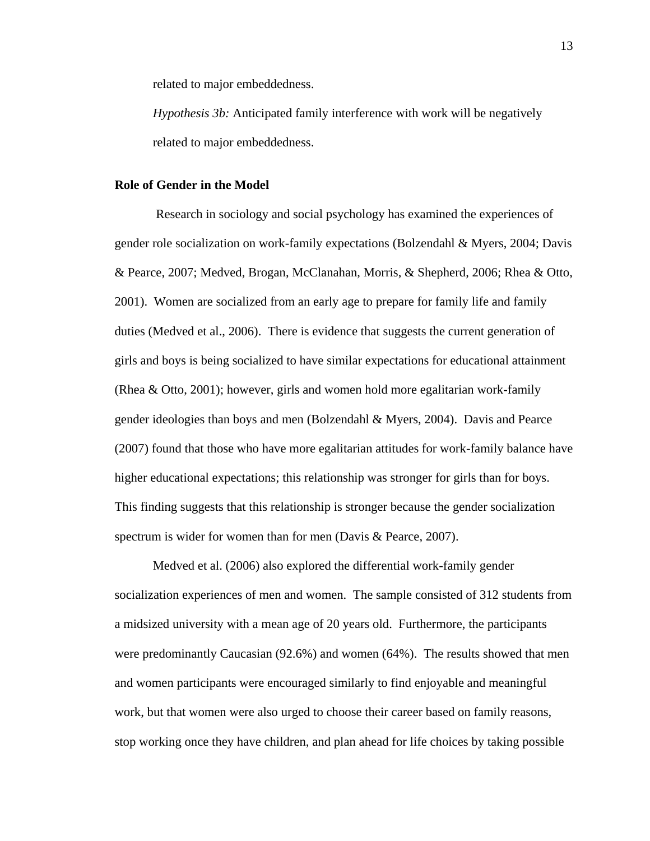related to major embeddedness.

*Hypothesis 3b:* Anticipated family interference with work will be negatively related to major embeddedness.

#### **Role of Gender in the Model**

Research in sociology and social psychology has examined the experiences of gender role socialization on work-family expectations [\(Bolzendahl & Myers, 2004;](#page-61-5) [Davis](#page-62-3)  [& Pearce, 2007;](#page-62-3) [Medved, Brogan, McClanahan, Morris, & Shepherd, 2006;](#page-66-2) [Rhea & Otto,](#page-68-3)  [2001\)](#page-68-3). Women are socialized from an early age to prepare for family life and family duties [\(Medved et al., 2006\)](#page-66-2). There is evidence that suggests the current generation of girls and boys is being socialized to have similar expectations for educational attainment [\(Rhea & Otto, 2001\)](#page-68-3); however, girls and women hold more egalitarian work-family gender ideologies than boys and men [\(Bolzendahl & Myers, 2004\)](#page-61-5). [Davis and Pearce](#page-62-3)  (2007) found that those who have more egalitarian attitudes for work-family balance have higher educational expectations; this relationship was stronger for girls than for boys. This finding suggests that this relationship is stronger because the gender socialization spectrum is wider for women than for men [\(Davis & Pearce, 2007\)](#page-62-3).

[Medved et al. \(2006\)](#page-66-2) also explored the differential work-family gender socialization experiences of men and women. The sample consisted of 312 students from a midsized university with a mean age of 20 years old. Furthermore, the participants were predominantly Caucasian (92.6%) and women (64%). The results showed that men and women participants were encouraged similarly to find enjoyable and meaningful work, but that women were also urged to choose their career based on family reasons, stop working once they have children, and plan ahead for life choices by taking possible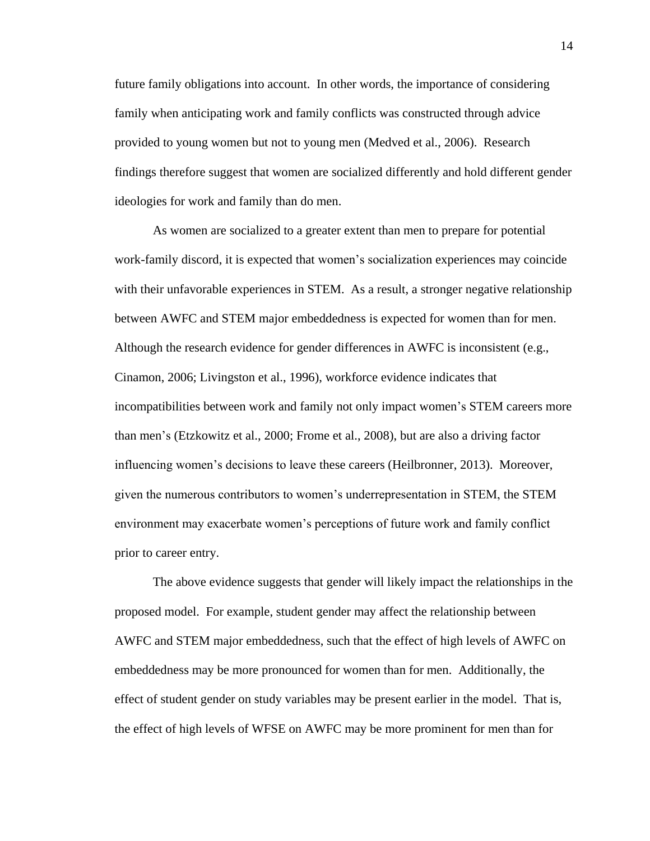future family obligations into account. In other words, the importance of considering family when anticipating work and family conflicts was constructed through advice provided to young women but not to young men [\(Medved et al., 2006\)](#page-66-2). Research findings therefore suggest that women are socialized differently and hold different gender ideologies for work and family than do men.

As women are socialized to a greater extent than men to prepare for potential work-family discord, it is expected that women's socialization experiences may coincide with their unfavorable experiences in STEM. As a result, a stronger negative relationship between AWFC and STEM major embeddedness is expected for women than for men. Although the research evidence for gender differences in AWFC is inconsistent (e.g., [Cinamon, 2006;](#page-61-3) [Livingston et al., 1996\)](#page-65-1), workforce evidence indicates that incompatibilities between work and family not only impact women's STEM careers more than men's [\(Etzkowitz et al., 2000;](#page-63-1) [Frome et al., 2008\)](#page-63-2), but are also a driving factor influencing women's decisions to leave these careers [\(Heilbronner, 2013\)](#page-63-0). Moreover, given the numerous contributors to women's underrepresentation in STEM, the STEM environment may exacerbate women's perceptions of future work and family conflict prior to career entry.

The above evidence suggests that gender will likely impact the relationships in the proposed model. For example, student gender may affect the relationship between AWFC and STEM major embeddedness, such that the effect of high levels of AWFC on embeddedness may be more pronounced for women than for men. Additionally, the effect of student gender on study variables may be present earlier in the model. That is, the effect of high levels of WFSE on AWFC may be more prominent for men than for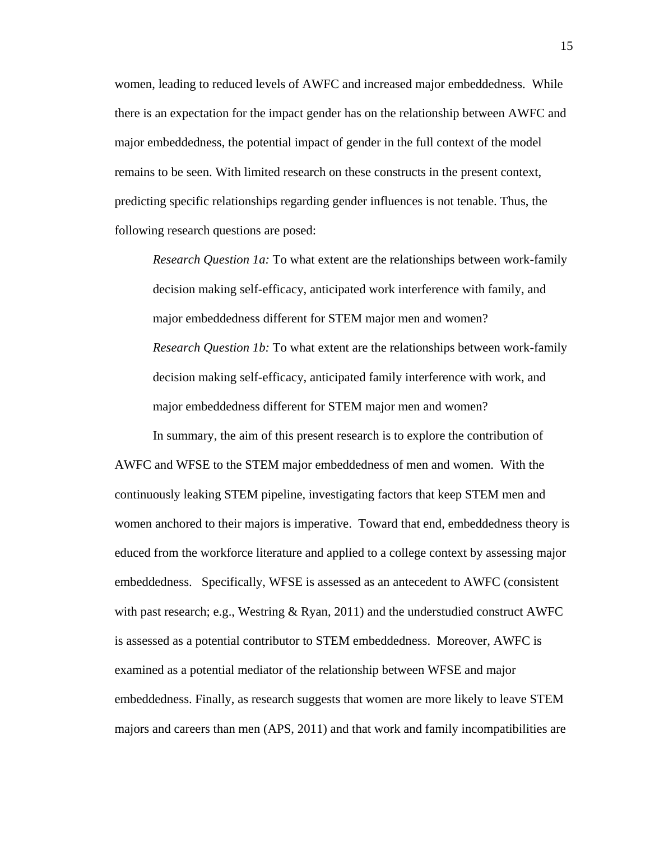women, leading to reduced levels of AWFC and increased major embeddedness. While there is an expectation for the impact gender has on the relationship between AWFC and major embeddedness, the potential impact of gender in the full context of the model remains to be seen. With limited research on these constructs in the present context, predicting specific relationships regarding gender influences is not tenable. Thus, the following research questions are posed:

*Research Question 1a:* To what extent are the relationships between work-family decision making self-efficacy, anticipated work interference with family, and major embeddedness different for STEM major men and women? *Research Question 1b:* To what extent are the relationships between work-family decision making self-efficacy, anticipated family interference with work, and major embeddedness different for STEM major men and women?

In summary, the aim of this present research is to explore the contribution of AWFC and WFSE to the STEM major embeddedness of men and women. With the continuously leaking STEM pipeline, investigating factors that keep STEM men and women anchored to their majors is imperative. Toward that end, embeddedness theory is educed from the workforce literature and applied to a college context by assessing major embeddedness. Specifically, WFSE is assessed as an antecedent to AWFC [\(consistent](#page-69-0)  with past research; e.g., Westring  $\&$  Ryan, 2011) and the understudied construct AWFC is assessed as a potential contributor to STEM embeddedness. Moreover, AWFC is examined as a potential mediator of the relationship between WFSE and major embeddedness. Finally, as research suggests that women are more likely to leave STEM majors and careers than men [\(APS, 2011\)](#page-60-0) and that work and family incompatibilities are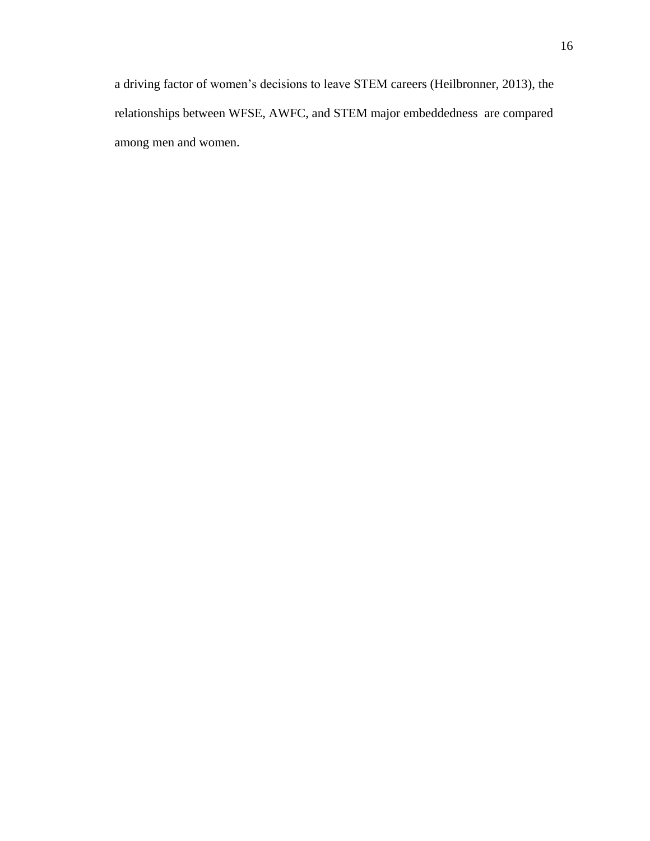a driving factor of women's decisions to leave STEM careers [\(Heilbronner, 2013\)](#page-63-0), the relationships between WFSE, AWFC, and STEM major embeddedness are compared among men and women.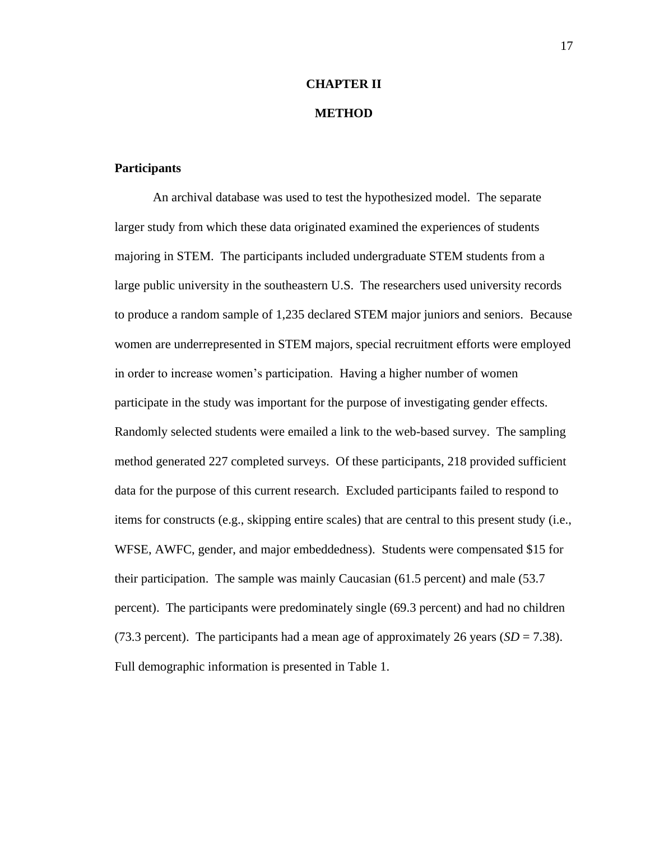# **CHAPTER II METHOD**

#### **Participants**

An archival database was used to test the hypothesized model. The separate larger study from which these data originated examined the experiences of students majoring in STEM. The participants included undergraduate STEM students from a large public university in the southeastern U.S. The researchers used university records to produce a random sample of 1,235 declared STEM major juniors and seniors. Because women are underrepresented in STEM majors, special recruitment efforts were employed in order to increase women's participation. Having a higher number of women participate in the study was important for the purpose of investigating gender effects. Randomly selected students were emailed a link to the web-based survey. The sampling method generated 227 completed surveys. Of these participants, 218 provided sufficient data for the purpose of this current research. Excluded participants failed to respond to items for constructs (e.g., skipping entire scales) that are central to this present study (i.e., WFSE, AWFC, gender, and major embeddedness). Students were compensated \$15 for their participation. The sample was mainly Caucasian (61.5 percent) and male (53.7 percent). The participants were predominately single (69.3 percent) and had no children (73.3 percent). The participants had a mean age of approximately 26 years  $(SD = 7.38)$ . Full demographic information is presented in Table 1.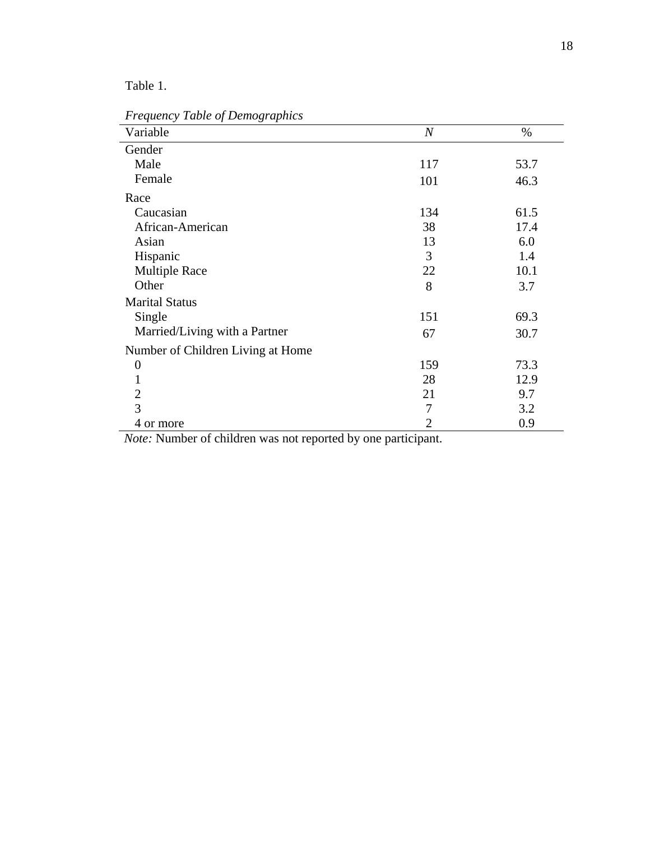Table 1.

| Variable                          | $\boldsymbol{N}$ | $\%$ |
|-----------------------------------|------------------|------|
| Gender                            |                  |      |
| Male                              | 117              | 53.7 |
| Female                            | 101              | 46.3 |
| Race                              |                  |      |
| Caucasian                         | 134              | 61.5 |
| African-American                  | 38               | 17.4 |
| Asian                             | 13               | 6.0  |
| Hispanic                          | 3                | 1.4  |
| <b>Multiple Race</b>              | 22               | 10.1 |
| Other                             | 8                | 3.7  |
| <b>Marital Status</b>             |                  |      |
| Single                            | 151              | 69.3 |
| Married/Living with a Partner     | 67               | 30.7 |
| Number of Children Living at Home |                  |      |
| $\overline{0}$                    | 159              | 73.3 |
|                                   | 28               | 12.9 |
| $\overline{2}$                    | 21               | 9.7  |
| 3                                 | 7                | 3.2  |
| 4 or more                         | 2                | 0.9  |

*Frequency Table of Demographics*

 *Note:* Number of children was not reported by one participant.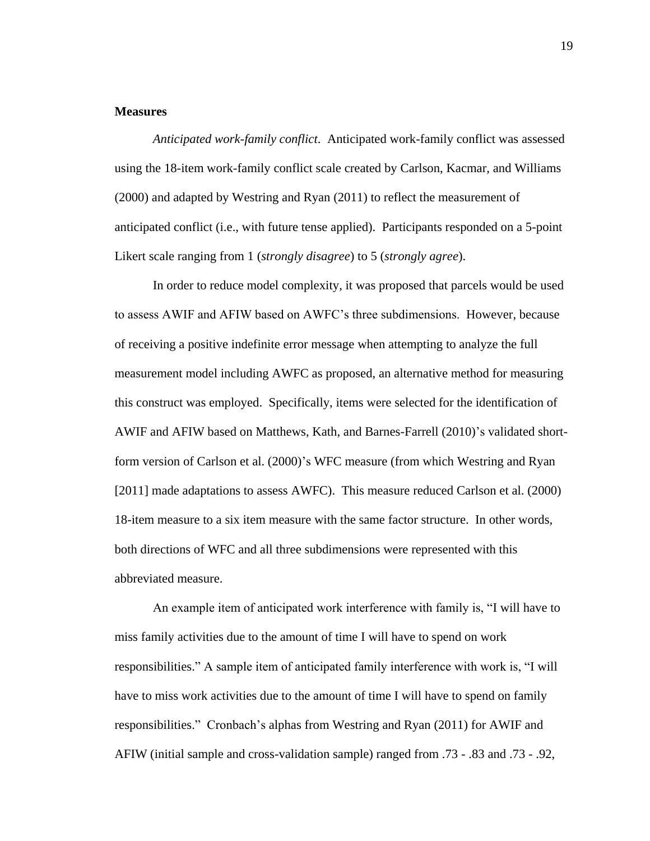#### **Measures**

*Anticipated work-family conflict*. Anticipated work-family conflict was assessed using the 18-item work-family conflict scale created by [Carlson, Kacmar, and Williams](#page-61-6)  (2000) and adapted by [Westring and Ryan \(2011\)](#page-69-0) to reflect the measurement of anticipated conflict (i.e., with future tense applied). Participants responded on a 5-point Likert scale ranging from 1 (*strongly disagree*) to 5 (*strongly agree*).

In order to reduce model complexity, it was proposed that parcels would be used to assess AWIF and AFIW based on AWFC's three subdimensions. However, because of receiving a positive indefinite error message when attempting to analyze the full measurement model including AWFC as proposed, an alternative method for measuring this construct was employed. Specifically, items were selected for the identification of AWIF and AFIW based on [Matthews, Kath, and Barnes-Farrell \(2010\)'](#page-66-3)s validated shortform version of [Carlson et al. \(2000\)'](#page-61-6)s WFC measure (from which Westring and Ryan [2011] made adaptations to assess AWFC). This measure reduced [Carlson et al. \(2000\)](#page-61-6) 18-item measure to a six item measure with the same factor structure. In other words, both directions of WFC and all three subdimensions were represented with this abbreviated measure.

An example item of anticipated work interference with family is, "I will have to miss family activities due to the amount of time I will have to spend on work responsibilities." A sample item of anticipated family interference with work is, "I will have to miss work activities due to the amount of time I will have to spend on family responsibilities." Cronbach's alphas from [Westring and Ryan \(2011\)](#page-69-0) for AWIF and AFIW (initial sample and cross-validation sample) ranged from .73 - .83 and .73 - .92,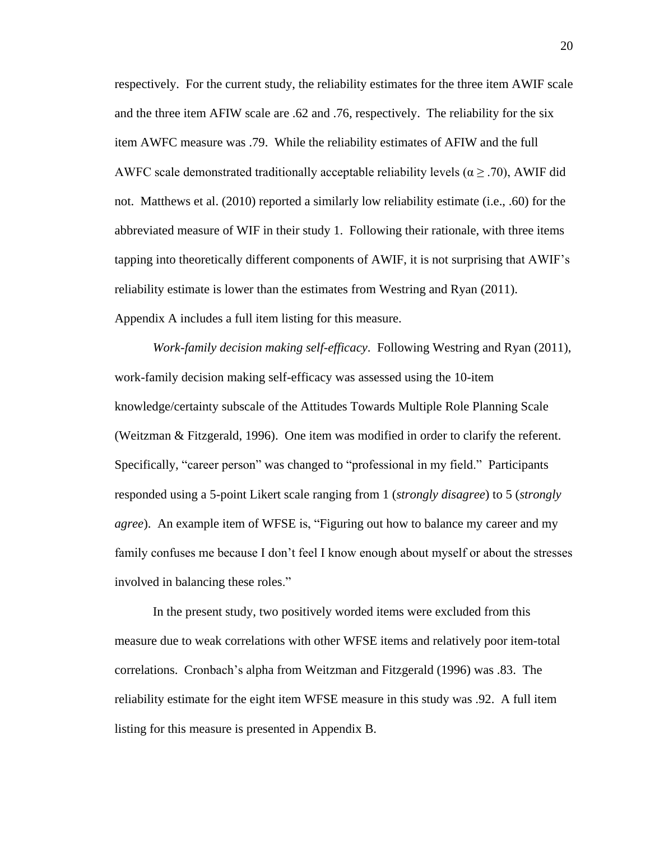respectively. For the current study, the reliability estimates for the three item AWIF scale and the three item AFIW scale are .62 and .76, respectively. The reliability for the six item AWFC measure was .79. While the reliability estimates of AFIW and the full AWFC scale demonstrated traditionally acceptable reliability levels ( $\alpha \geq .70$ ), AWIF did not. [Matthews et al. \(2010\)](#page-66-3) reported a similarly low reliability estimate (i.e., .60) for the abbreviated measure of WIF in their study 1. Following their rationale, with three items tapping into theoretically different components of AWIF, it is not surprising that AWIF's reliability estimate is lower than the estimates from [Westring and Ryan \(2011\).](#page-69-0) Appendix A includes a full item listing for this measure.

*Work-family decision making self-efficacy*. Following [Westring and Ryan \(2011\),](#page-69-0) work-family decision making self-efficacy was assessed using the 10-item knowledge/certainty subscale of the Attitudes Towards Multiple Role Planning Scale [\(Weitzman & Fitzgerald, 1996\)](#page-69-2). One item was modified in order to clarify the referent. Specifically, "career person" was changed to "professional in my field." Participants responded using a 5-point Likert scale ranging from 1 (*strongly disagree*) to 5 (*strongly agree*). An example item of WFSE is, "Figuring out how to balance my career and my family confuses me because I don't feel I know enough about myself or about the stresses involved in balancing these roles."

In the present study, two positively worded items were excluded from this measure due to weak correlations with other WFSE items and relatively poor item-total correlations. Cronbach's alpha from [Weitzman and Fitzgerald \(1996\)](#page-69-2) was .83. The reliability estimate for the eight item WFSE measure in this study was .92. A full item listing for this measure is presented in Appendix B.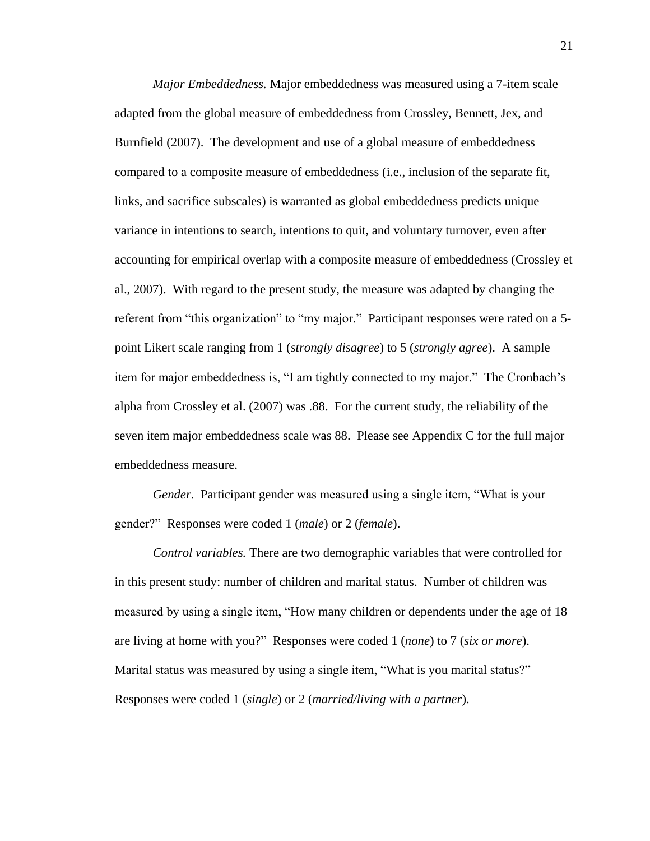*Major Embeddedness.* Major embeddedness was measured using a 7-item scale adapted from the global measure of embeddedness from [Crossley, Bennett, Jex, and](#page-62-4)  Burnfield (2007). The development and use of a global measure of embeddedness compared to a composite measure of embeddedness (i.e., inclusion of the separate fit, links, and sacrifice subscales) is warranted as global embeddedness predicts unique variance in intentions to search, intentions to quit, and voluntary turnover, even after accounting for empirical overlap with a composite measure of embeddedness (Crossley et al., 2007). With regard to the present study, the measure was adapted by changing the referent from "this organization" to "my major." Participant responses were rated on a 5 point Likert scale ranging from 1 (*strongly disagree*) to 5 (*strongly agree*). A sample item for major embeddedness is, "I am tightly connected to my major." The Cronbach's alpha from [Crossley et al. \(2007\)](#page-62-4) was .88. For the current study, the reliability of the seven item major embeddedness scale was 88. Please see Appendix C for the full major embeddedness measure.

*Gender*. Participant gender was measured using a single item, "What is your gender?" Responses were coded 1 (*male*) or 2 (*female*).

*Control variables.* There are two demographic variables that were controlled for in this present study: number of children and marital status. Number of children was measured by using a single item, "How many children or dependents under the age of 18 are living at home with you?" Responses were coded 1 (*none*) to 7 (*six or more*). Marital status was measured by using a single item, "What is you marital status?" Responses were coded 1 (*single*) or 2 (*married/living with a partner*).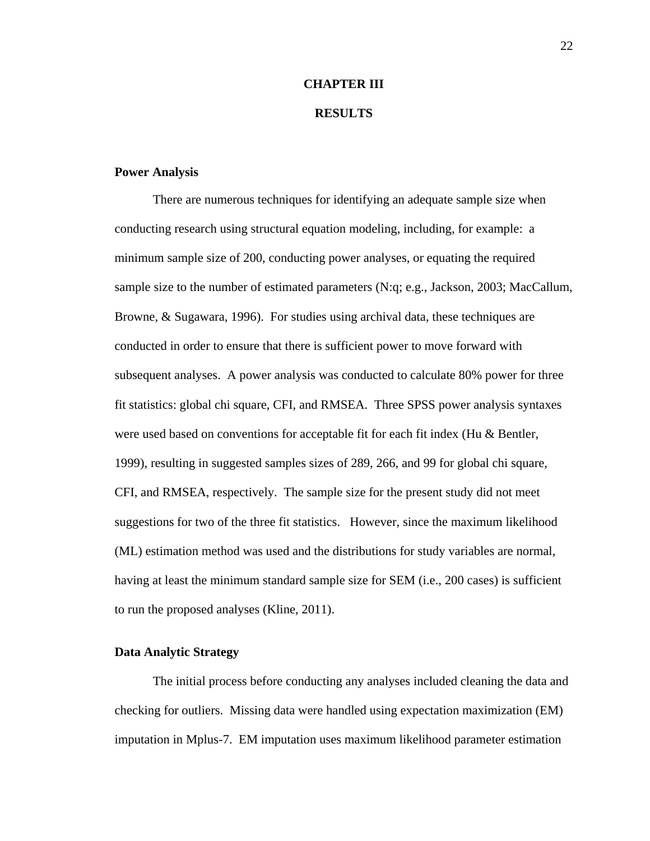## **CHAPTER III**

### **RESULTS**

#### **Power Analysis**

There are numerous techniques for identifying an adequate sample size when conducting research using structural equation modeling, including, for example: a minimum sample size of 200, conducting power analyses, or equating the required sample size to the number of estimated parameters (N:q; e.g., [Jackson, 2003;](#page-64-4) [MacCallum,](#page-66-4)  [Browne, & Sugawara, 1996\)](#page-66-4). For studies using archival data, these techniques are conducted in order to ensure that there is sufficient power to move forward with subsequent analyses. A power analysis was conducted to calculate 80% power for three fit statistics: global chi square, CFI, and RMSEA. Three SPSS power analysis syntaxes were used based on conventions for acceptable fit for each fit index [\(Hu & Bentler,](#page-64-5)  [1999\)](#page-64-5), resulting in suggested samples sizes of 289, 266, and 99 for global chi square, CFI, and RMSEA, respectively. The sample size for the present study did not meet suggestions for two of the three fit statistics. However, since the maximum likelihood (ML) estimation method was used and the distributions for study variables are normal, having at least the minimum standard sample size for SEM (i.e., 200 cases) is sufficient to run the proposed analyses [\(Kline, 2011\)](#page-64-6).

### **Data Analytic Strategy**

The initial process before conducting any analyses included cleaning the data and checking for outliers. Missing data were handled using expectation maximization (EM) imputation in Mplus-7. EM imputation uses maximum likelihood parameter estimation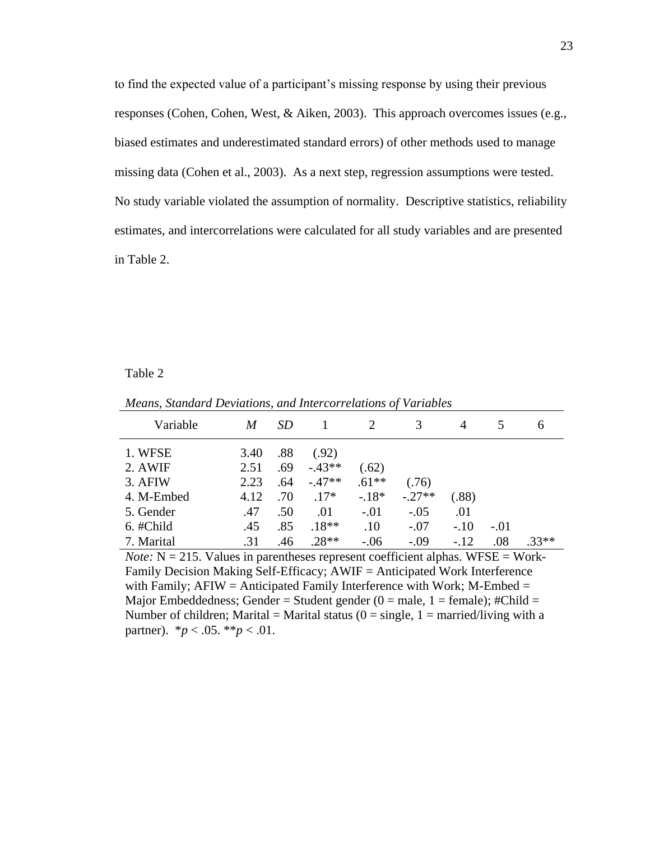to find the expected value of a participant's missing response by using their previous responses [\(Cohen, Cohen, West, & Aiken, 2003\)](#page-62-5). This approach overcomes issues (e.g., biased estimates and underestimated standard errors) of other methods used to manage missing data [\(Cohen et al., 2003\)](#page-62-5). As a next step, regression assumptions were tested. No study variable violated the assumption of normality. Descriptive statistics, reliability estimates, and intercorrelations were calculated for all study variables and are presented in Table 2.

#### Table 2

| Variable   | M    | <i>SD</i> |          | 2       |          | 4      |        | <sub>0</sub> |
|------------|------|-----------|----------|---------|----------|--------|--------|--------------|
| 1. WFSE    | 3.40 | .88       | (.92)    |         |          |        |        |              |
| 2. AWIF    | 2.51 | .69       | $-.43**$ | (.62)   |          |        |        |              |
| 3. AFIW    | 2.23 | .64       | $-.47**$ | $.61**$ | (.76)    |        |        |              |
| 4. M-Embed | 4.12 | .70       | $.17*$   | $-.18*$ | $-.27**$ | (.88)  |        |              |
| 5. Gender  | .47  | .50       | .01      | $-.01$  | $-.05$   | .01    |        |              |
| 6. #Child  | .45  | .85       | $.18**$  | .10     | $-.07$   | $-.10$ | $-.01$ |              |
| 7. Marital | .31  | .46       | $.28**$  | $-.06$  | $-.09$   | $-.12$ | .08    | $.33**$      |

*Means, Standard Deviations, and Intercorrelations of Variables*

*Note:*  $N = 215$ . Values in parentheses represent coefficient alphas. WFSE = Work-Family Decision Making Self-Efficacy; AWIF = Anticipated Work Interference with Family;  $AFIW = Anticipated Family Interference with Work; M-Embed =$ Major Embeddedness; Gender = Student gender  $(0 = male, 1 = female);$ #Child = Number of children; Marital = Marital status ( $0 = \text{single}$ ,  $1 = \text{married/living with a}$ ) partner).  $*_{p} < .05.$   $*_{p} < .01$ .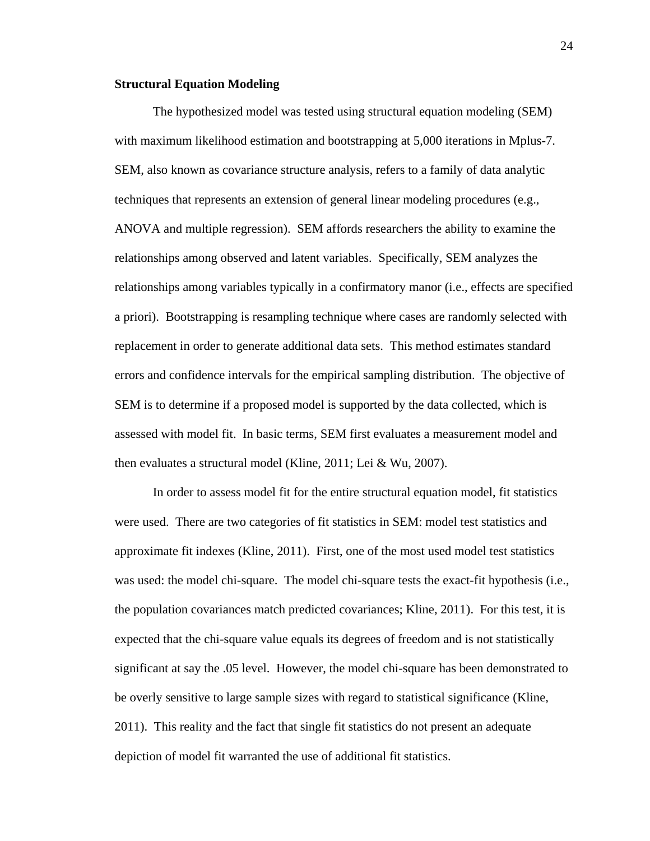#### **Structural Equation Modeling**

The hypothesized model was tested using structural equation modeling (SEM) with maximum likelihood estimation and bootstrapping at 5,000 iterations in Mplus-7. SEM, also known as covariance structure analysis, refers to a family of data analytic techniques that represents an extension of general linear modeling procedures (e.g., ANOVA and multiple regression). SEM affords researchers the ability to examine the relationships among observed and latent variables. Specifically, SEM analyzes the relationships among variables typically in a confirmatory manor (i.e., effects are specified a priori). Bootstrapping is resampling technique where cases are randomly selected with replacement in order to generate additional data sets. This method estimates standard errors and confidence intervals for the empirical sampling distribution. The objective of SEM is to determine if a proposed model is supported by the data collected, which is assessed with model fit. In basic terms, SEM first evaluates a measurement model and then evaluates a structural model [\(Kline, 2011;](#page-64-6) [Lei & Wu, 2007\)](#page-65-2).

In order to assess model fit for the entire structural equation model, fit statistics were used. There are two categories of fit statistics in SEM: model test statistics and approximate fit indexes [\(Kline, 2011\)](#page-64-6). First, one of the most used model test statistics was used: the model chi-square. The model chi-square tests the exact-fit hypothesis [\(i.e.,](#page-64-6)  [the population covariances match predicted covariances; Kline, 2011\)](#page-64-6). For this test, it is expected that the chi-square value equals its degrees of freedom and is not statistically significant at say the .05 level. However, the model chi-square has been demonstrated to be overly sensitive to large sample sizes with regard to statistical significance [\(Kline,](#page-64-6)  [2011\)](#page-64-6). This reality and the fact that single fit statistics do not present an adequate depiction of model fit warranted the use of additional fit statistics.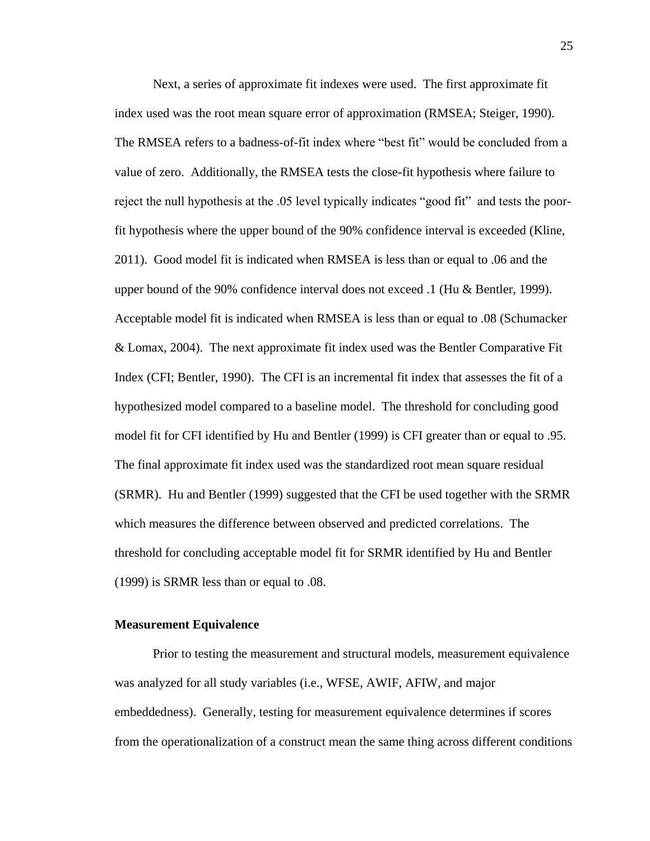Next, a series of approximate fit indexes were used. The first approximate fit index used was the root mean square error of approximation [\(RMSEA; Steiger, 1990\)](#page-68-4). The RMSEA refers to a badness-of-fit index where "best fit" would be concluded from a value of zero. Additionally, the RMSEA tests the close-fit hypothesis where failure to reject the null hypothesis at the .05 level typically indicates "good fit" and tests the poorfit hypothesis where the upper bound of the 90% confidence interval is exceeded [\(Kline,](#page-64-6)  [2011\)](#page-64-6). Good model fit is indicated when RMSEA is less than or equal to .06 and the upper bound of the 90% confidence interval does not exceed .1 [\(Hu & Bentler, 1999\)](#page-64-5). Acceptable model fit is indicated when RMSEA is less than or equal to .08 [\(Schumacker](#page-68-5)  [& Lomax, 2004\)](#page-68-5). The next approximate fit index used was the Bentler Comparative Fit Index [\(CFI; Bentler, 1990\)](#page-61-7). The CFI is an incremental fit index that assesses the fit of a hypothesized model compared to a baseline model. The threshold for concluding good model fit for CFI identified by [Hu and Bentler \(1999\)](#page-64-5) is CFI greater than or equal to .95. The final approximate fit index used was the standardized root mean square residual (SRMR). [Hu and Bentler \(1999\)](#page-64-5) suggested that the CFI be used together with the SRMR which measures the difference between observed and predicted correlations. The threshold for concluding acceptable model fit for SRMR identified by [Hu and Bentler](#page-64-5)  (1999) is SRMR less than or equal to .08.

### **Measurement Equivalence**

Prior to testing the measurement and structural models, measurement equivalence was analyzed for all study variables (i.e., WFSE, AWIF, AFIW, and major embeddedness). Generally, testing for measurement equivalence determines if scores from the operationalization of a construct mean the same thing across different conditions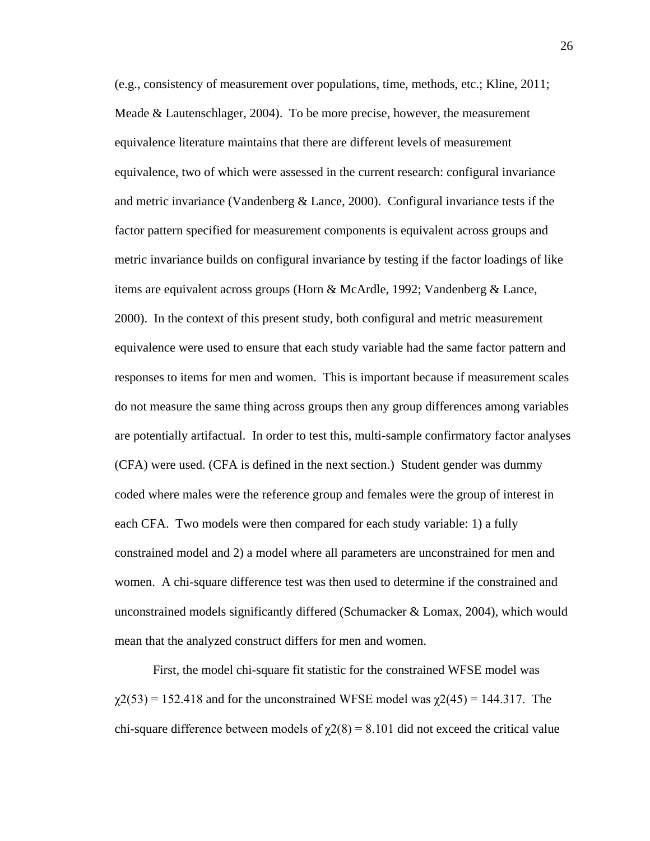(e.g., consistency of measurement over populations, time, methods, etc.; [Kline, 2011;](#page-64-0) [Meade & Lautenschlager, 2004\)](#page-66-0). To be more precise, however, the measurement equivalence literature maintains that there are different levels of measurement equivalence, two of which were assessed in the current research: configural invariance and metric invariance [\(Vandenberg & Lance, 2000\)](#page-69-0). Configural invariance tests if the factor pattern specified for measurement components is equivalent across groups and metric invariance builds on configural invariance by testing if the factor loadings of like items are equivalent across groups [\(Horn & McArdle, 1992;](#page-64-1) [Vandenberg & Lance,](#page-69-0)  [2000\)](#page-69-0). In the context of this present study, both configural and metric measurement equivalence were used to ensure that each study variable had the same factor pattern and responses to items for men and women. This is important because if measurement scales do not measure the same thing across groups then any group differences among variables are potentially artifactual. In order to test this, multi-sample confirmatory factor analyses (CFA) were used. (CFA is defined in the next section.) Student gender was dummy coded where males were the reference group and females were the group of interest in each CFA. Two models were then compared for each study variable: 1) a fully constrained model and 2) a model where all parameters are unconstrained for men and women. A chi-square difference test was then used to determine if the constrained and unconstrained models significantly differed [\(Schumacker & Lomax, 2004\)](#page-68-0), which would mean that the analyzed construct differs for men and women.

First, the model chi-square fit statistic for the constrained WFSE model was  $\gamma$ 2(53) = 152.418 and for the unconstrained WFSE model was  $\gamma$ 2(45) = 144.317. The chi-square difference between models of  $\chi$ 2(8) = 8.101 did not exceed the critical value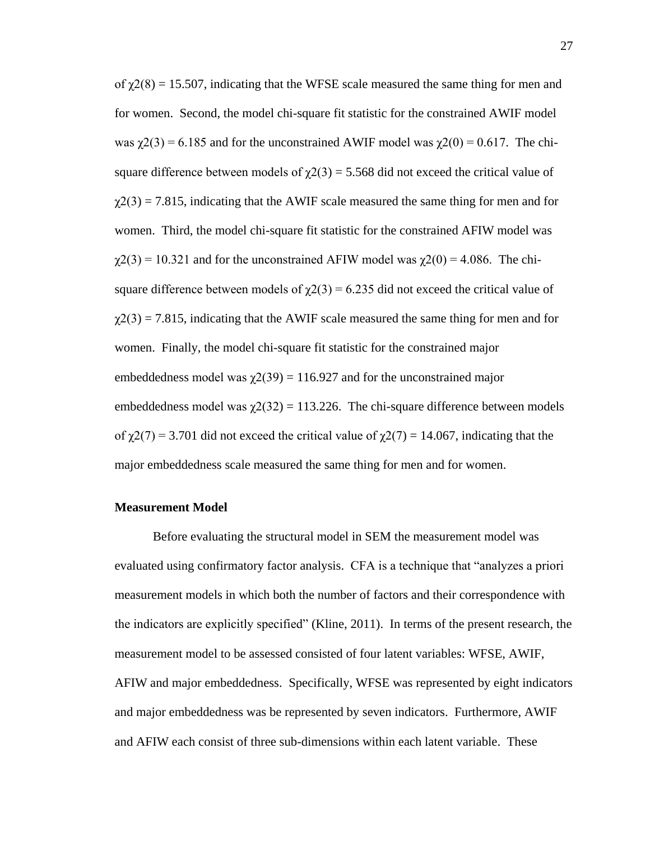of  $\chi$ 2(8) = 15.507, indicating that the WFSE scale measured the same thing for men and for women. Second, the model chi-square fit statistic for the constrained AWIF model was  $\gamma$ 2(3) = 6.185 and for the unconstrained AWIF model was  $\gamma$ 2(0) = 0.617. The chisquare difference between models of  $\chi$ 2(3) = 5.568 did not exceed the critical value of  $\chi$ 2(3) = 7.815, indicating that the AWIF scale measured the same thing for men and for women. Third, the model chi-square fit statistic for the constrained AFIW model was  $\gamma$ 2(3) = 10.321 and for the unconstrained AFIW model was  $\gamma$ 2(0) = 4.086. The chisquare difference between models of  $\chi$ 2(3) = 6.235 did not exceed the critical value of  $\chi$ 2(3) = 7.815, indicating that the AWIF scale measured the same thing for men and for women. Finally, the model chi-square fit statistic for the constrained major embeddedness model was  $\chi$ 2(39) = 116.927 and for the unconstrained major embeddedness model was  $\chi(2(32)) = 113.226$ . The chi-square difference between models of  $\gamma$ 2(7) = 3.701 did not exceed the critical value of  $\gamma$ 2(7) = 14.067, indicating that the major embeddedness scale measured the same thing for men and for women.

### **Measurement Model**

Before evaluating the structural model in SEM the measurement model was evaluated using confirmatory factor analysis. CFA is a technique that "analyzes a priori measurement models in which both the number of factors and their correspondence with the indicators are explicitly specified" [\(Kline, 2011\)](#page-64-0). In terms of the present research, the measurement model to be assessed consisted of four latent variables: WFSE, AWIF, AFIW and major embeddedness. Specifically, WFSE was represented by eight indicators and major embeddedness was be represented by seven indicators. Furthermore, AWIF and AFIW each consist of three sub-dimensions within each latent variable. These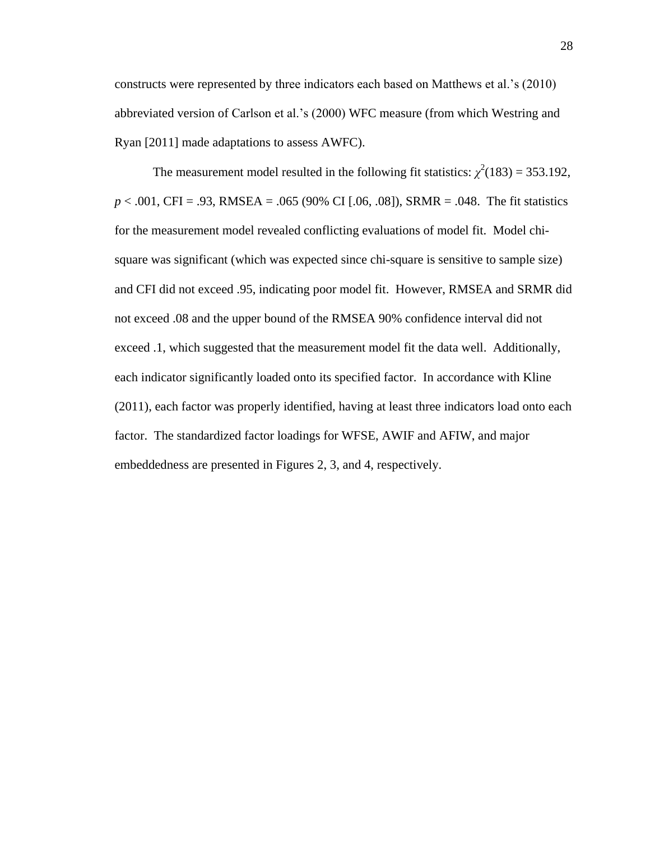constructs were represented by three indicators each based on Matthews et al.'s (2010) abbreviated version of Carlson et al.'s (2000) WFC measure (from which Westring and Ryan [2011] made adaptations to assess AWFC).

The measurement model resulted in the following fit statistics:  $\chi^2(183) = 353.192$ , *p* < .001, CFI = .93, RMSEA = .065 (90% CI [.06, .08]), SRMR = .048. The fit statistics for the measurement model revealed conflicting evaluations of model fit. Model chisquare was significant (which was expected since chi-square is sensitive to sample size) and CFI did not exceed .95, indicating poor model fit. However, RMSEA and SRMR did not exceed .08 and the upper bound of the RMSEA 90% confidence interval did not exceed .1, which suggested that the measurement model fit the data well. Additionally, each indicator significantly loaded onto its specified factor. In accordance with [Kline](#page-64-0)  (2011), each factor was properly identified, having at least three indicators load onto each factor. The standardized factor loadings for WFSE, AWIF and AFIW, and major embeddedness are presented in Figures 2, 3, and 4, respectively.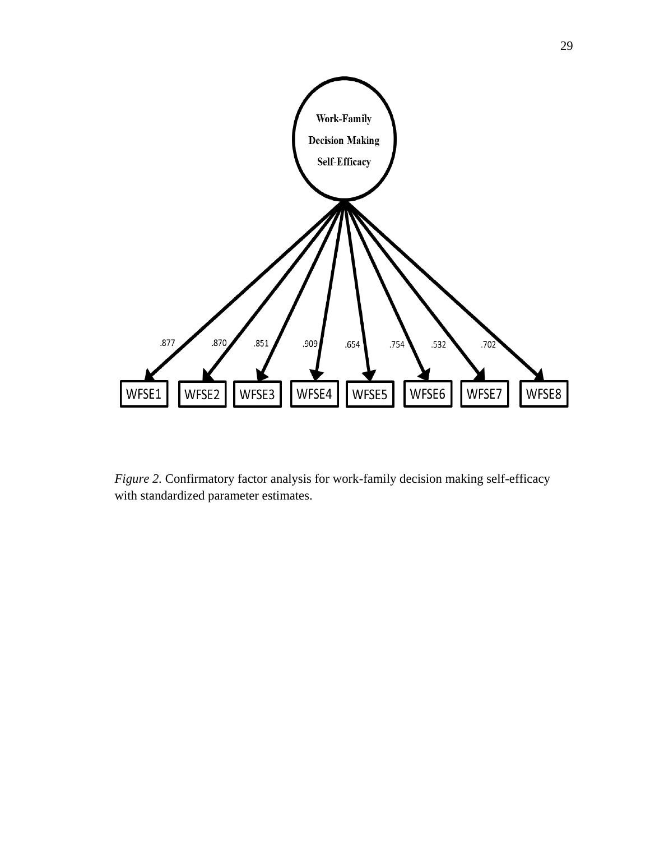

*Figure 2.* Confirmatory factor analysis for work-family decision making self-efficacy with standardized parameter estimates.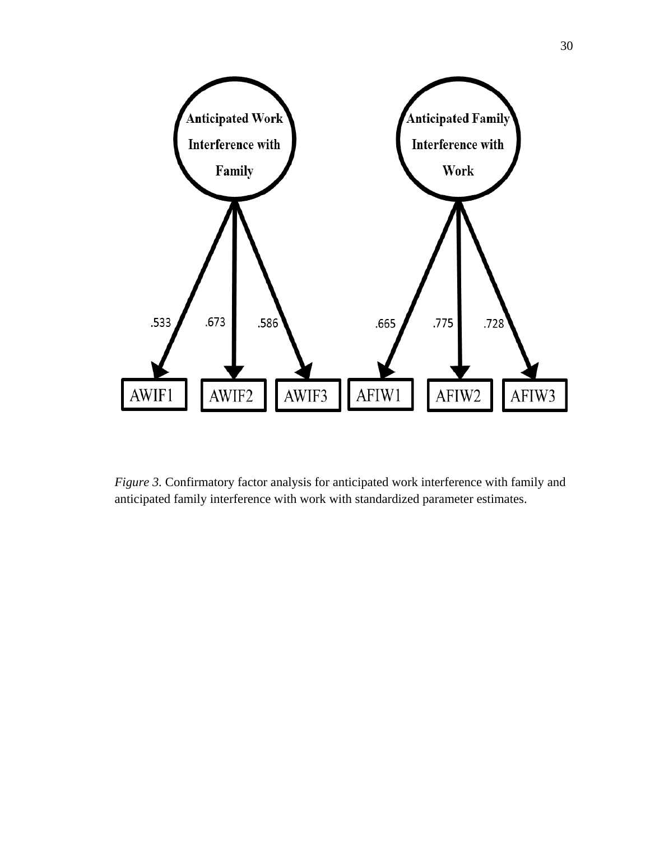

*Figure 3.* Confirmatory factor analysis for anticipated work interference with family and anticipated family interference with work with standardized parameter estimates.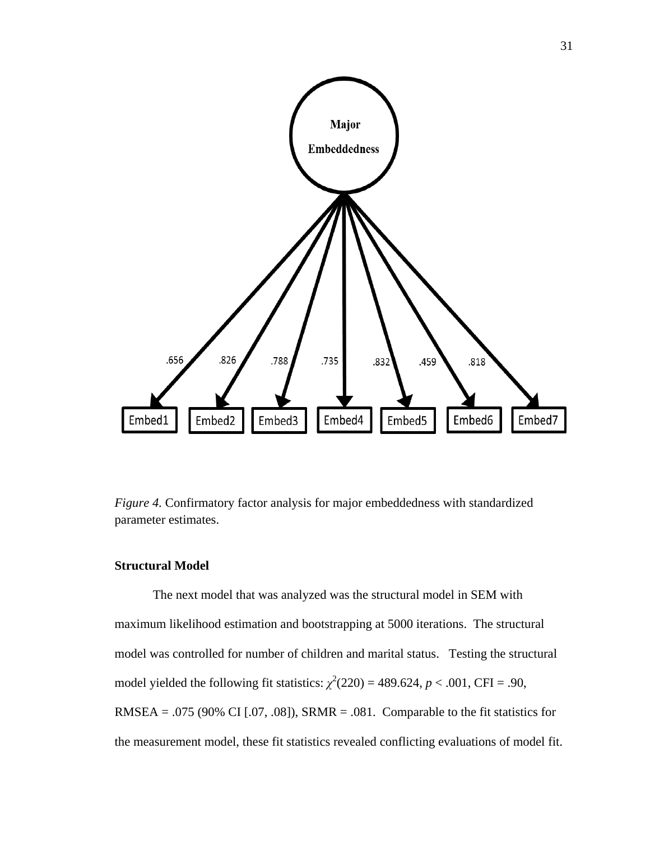

*Figure 4.* Confirmatory factor analysis for major embeddedness with standardized parameter estimates.

# **Structural Model**

The next model that was analyzed was the structural model in SEM with maximum likelihood estimation and bootstrapping at 5000 iterations. The structural model was controlled for number of children and marital status. Testing the structural model yielded the following fit statistics:  $\chi^2(220) = 489.624$ ,  $p < .001$ , CFI = .90, RMSEA = .075 (90% CI  $[.07, .08]$ ), SRMR = .081. Comparable to the fit statistics for the measurement model, these fit statistics revealed conflicting evaluations of model fit.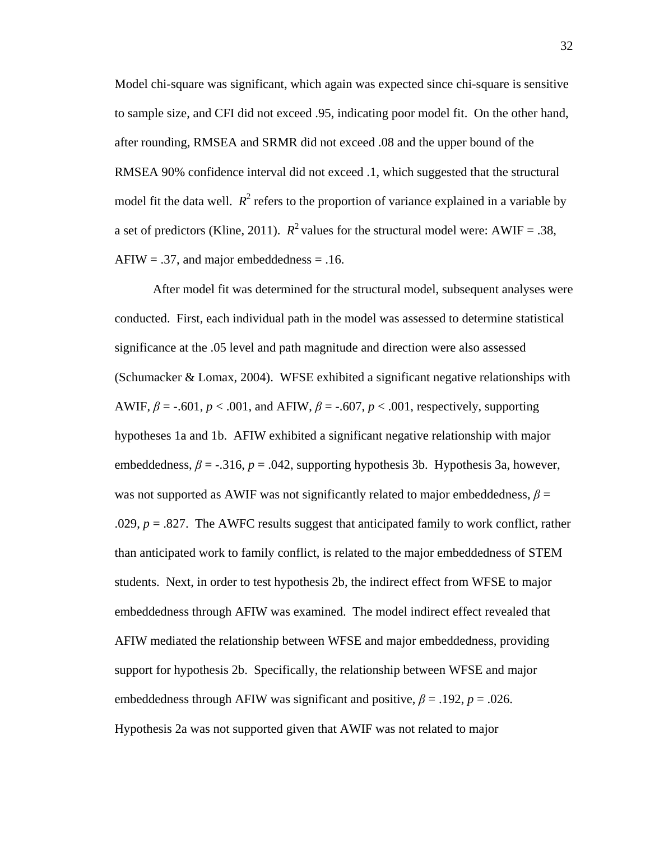Model chi-square was significant, which again was expected since chi-square is sensitive to sample size, and CFI did not exceed .95, indicating poor model fit. On the other hand, after rounding, RMSEA and SRMR did not exceed .08 and the upper bound of the RMSEA 90% confidence interval did not exceed .1, which suggested that the structural model fit the data well.  $R^2$  refers to the proportion of variance explained in a variable by a set of predictors (Kline, 2011).  $R^2$  values for the structural model were: AWIF = .38,  $AFIW = .37$ , and major embeddedness = .16.

After model fit was determined for the structural model, subsequent analyses were conducted. First, each individual path in the model was assessed to determine statistical significance at the .05 level and path magnitude and direction were also assessed [\(Schumacker & Lomax, 2004\)](#page-68-0). WFSE exhibited a significant negative relationships with AWIF, *β* = -.601, *p* < .001, and AFIW, *β* = -.607, *p* < .001, respectively, supporting hypotheses 1a and 1b. AFIW exhibited a significant negative relationship with major embeddedness,  $\beta$  = -.316,  $p$  = .042, supporting hypothesis 3b. Hypothesis 3a, however, was not supported as AWIF was not significantly related to major embeddedness,  $\beta$  = .029,  $p = .827$ . The AWFC results suggest that anticipated family to work conflict, rather than anticipated work to family conflict, is related to the major embeddedness of STEM students. Next, in order to test hypothesis 2b, the indirect effect from WFSE to major embeddedness through AFIW was examined. The model indirect effect revealed that AFIW mediated the relationship between WFSE and major embeddedness, providing support for hypothesis 2b. Specifically, the relationship between WFSE and major embeddedness through AFIW was significant and positive,  $\beta$  = .192, *p* = .026. Hypothesis 2a was not supported given that AWIF was not related to major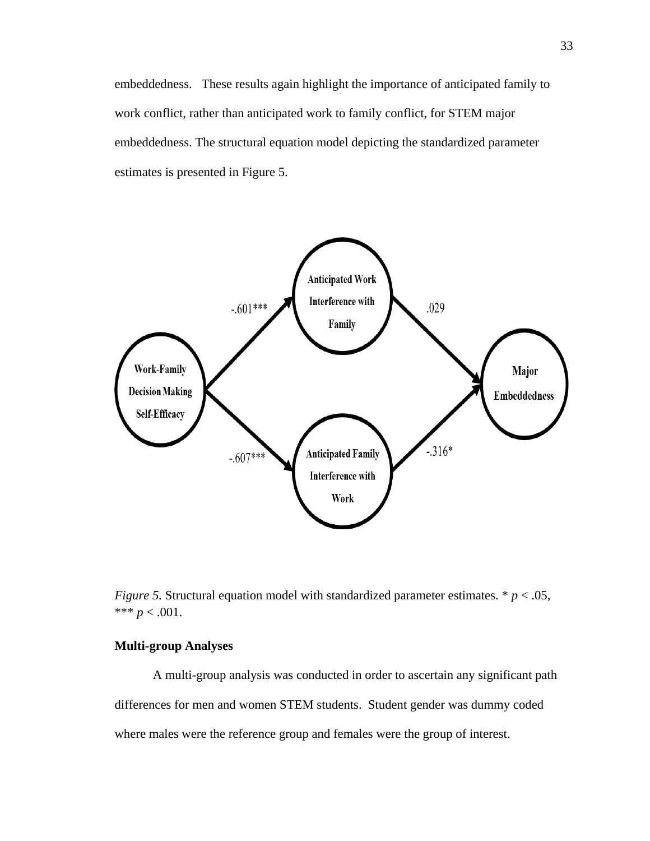embeddedness. These results again highlight the importance of anticipated family to work conflict, rather than anticipated work to family conflict, for STEM major embeddedness. The structural equation model depicting the standardized parameter estimates is presented in Figure 5.



*Figure 5.* Structural equation model with standardized parameter estimates. \* *p* < .05, \*\*\*  $p < .001$ .

## **Multi-group Analyses**

A multi-group analysis was conducted in order to ascertain any significant path differences for men and women STEM students. Student gender was dummy coded where males were the reference group and females were the group of interest.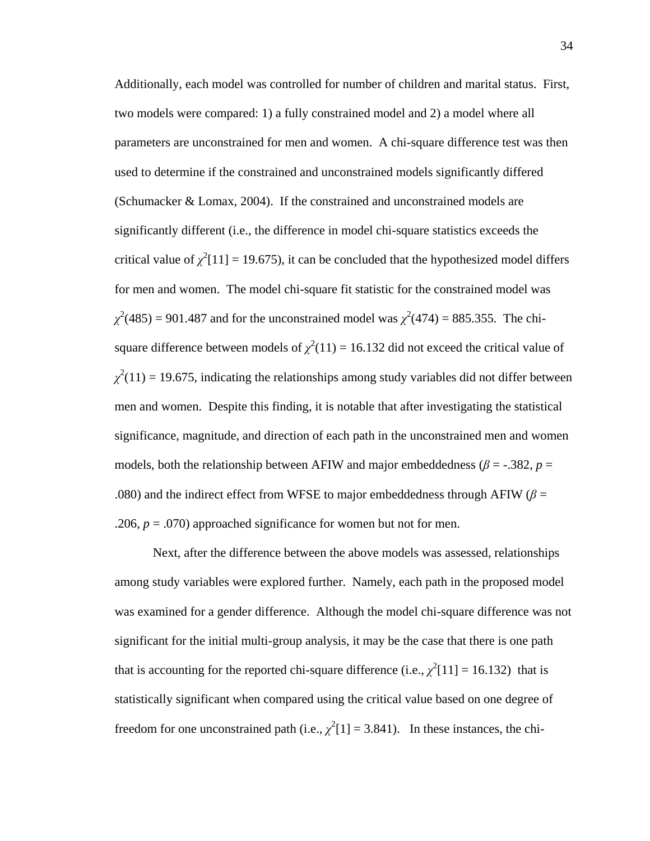Additionally, each model was controlled for number of children and marital status. First, two models were compared: 1) a fully constrained model and 2) a model where all parameters are unconstrained for men and women. A chi-square difference test was then used to determine if the constrained and unconstrained models significantly differed [\(Schumacker & Lomax, 2004\)](#page-68-0). If the constrained and unconstrained models are significantly different (i.e., the difference in model chi-square statistics exceeds the critical value of  $\chi^2[11] = 19.675$ , it can be concluded that the hypothesized model differs for men and women. The model chi-square fit statistic for the constrained model was  $\chi^2(485) = 901.487$  and for the unconstrained model was  $\chi^2(474) = 885.355$ . The chisquare difference between models of  $\chi^2(11) = 16.132$  did not exceed the critical value of  $\chi^2(11) = 19.675$ , indicating the relationships among study variables did not differ between men and women. Despite this finding, it is notable that after investigating the statistical significance, magnitude, and direction of each path in the unconstrained men and women models, both the relationship between AFIW and major embeddedness ( $\beta$  = -.382,  $p$  = .080) and the indirect effect from WFSE to major embeddedness through AFIW ( $\beta$  = .206,  $p = .070$ ) approached significance for women but not for men.

Next, after the difference between the above models was assessed, relationships among study variables were explored further. Namely, each path in the proposed model was examined for a gender difference. Although the model chi-square difference was not significant for the initial multi-group analysis, it may be the case that there is one path that is accounting for the reported chi-square difference (i.e.,  $\chi^2[11] = 16.132$ ) that is statistically significant when compared using the critical value based on one degree of freedom for one unconstrained path (i.e.,  $\chi^2[1] = 3.841$ ). In these instances, the chi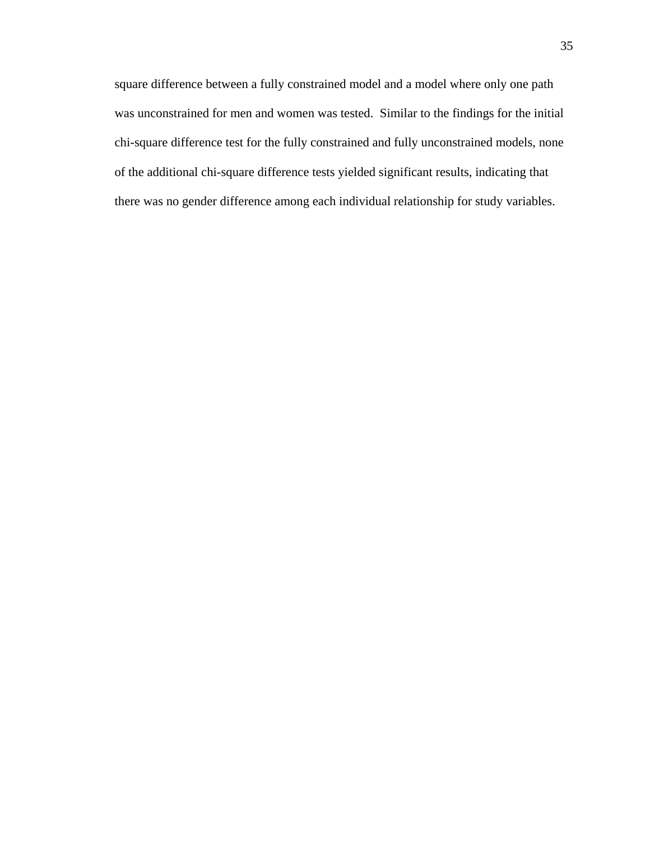square difference between a fully constrained model and a model where only one path was unconstrained for men and women was tested. Similar to the findings for the initial chi-square difference test for the fully constrained and fully unconstrained models, none of the additional chi-square difference tests yielded significant results, indicating that there was no gender difference among each individual relationship for study variables.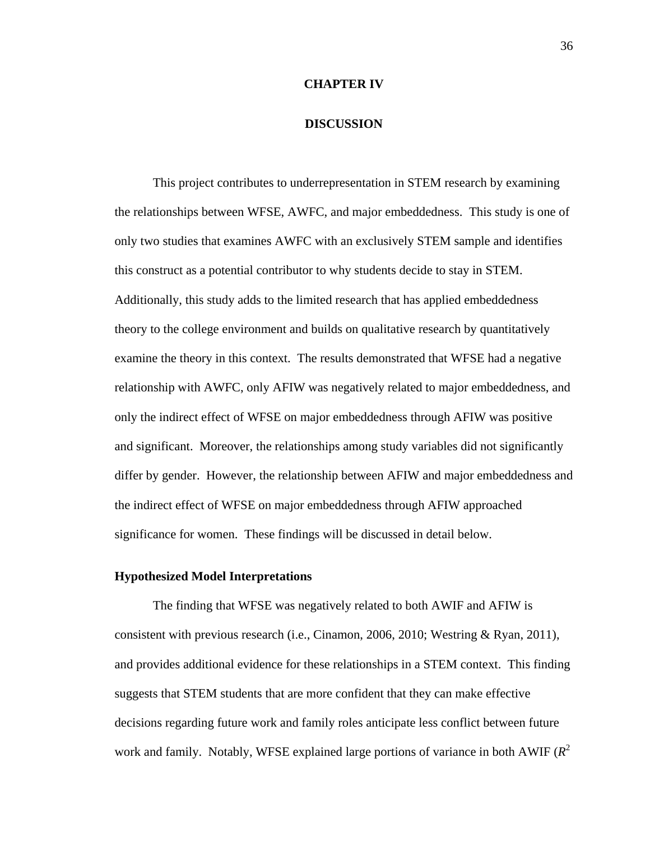#### **CHAPTER IV**

### **DISCUSSION**

This project contributes to underrepresentation in STEM research by examining the relationships between WFSE, AWFC, and major embeddedness. This study is one of only two studies that examines AWFC with an exclusively STEM sample and identifies this construct as a potential contributor to why students decide to stay in STEM. Additionally, this study adds to the limited research that has applied embeddedness theory to the college environment and builds on qualitative research by quantitatively examine the theory in this context. The results demonstrated that WFSE had a negative relationship with AWFC, only AFIW was negatively related to major embeddedness, and only the indirect effect of WFSE on major embeddedness through AFIW was positive and significant. Moreover, the relationships among study variables did not significantly differ by gender. However, the relationship between AFIW and major embeddedness and the indirect effect of WFSE on major embeddedness through AFIW approached significance for women. These findings will be discussed in detail below.

#### **Hypothesized Model Interpretations**

The finding that WFSE was negatively related to both AWIF and AFIW is consistent with previous research (i.e., [Cinamon, 2006,](#page-61-0) [2010;](#page-62-0) [Westring & Ryan, 2011\)](#page-69-1), and provides additional evidence for these relationships in a STEM context. This finding suggests that STEM students that are more confident that they can make effective decisions regarding future work and family roles anticipate less conflict between future work and family. Notably, WFSE explained large portions of variance in both AWIF  $(R^2)$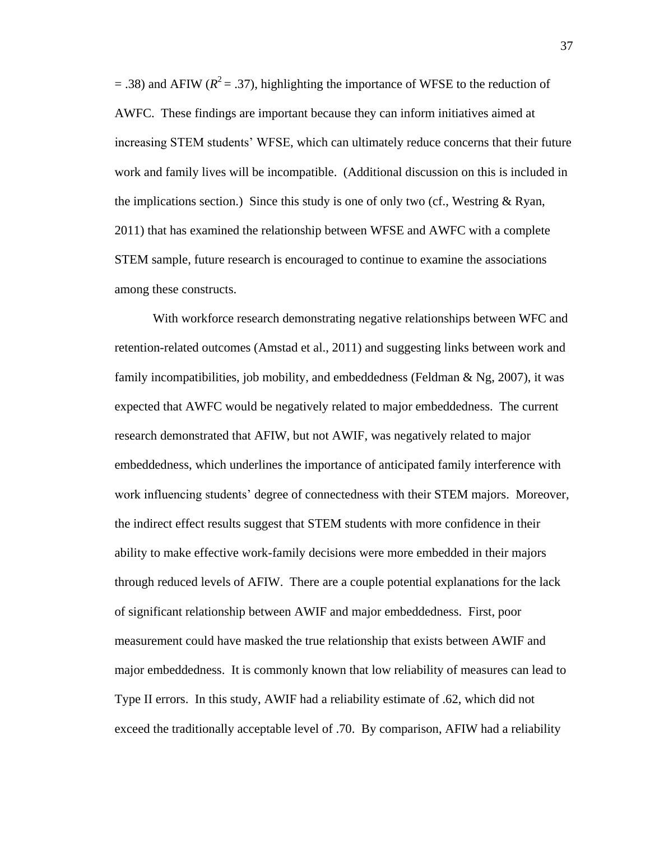$=$  .38) and AFIW ( $R^2$  = .37), highlighting the importance of WFSE to the reduction of AWFC. These findings are important because they can inform initiatives aimed at increasing STEM students' WFSE, which can ultimately reduce concerns that their future work and family lives will be incompatible. (Additional discussion on this is included in the implications section.) Since this study is one of only two (cf., Westring  $\&$  Ryan, 2011) that has examined the relationship between WFSE and AWFC with a complete STEM sample, future research is encouraged to continue to examine the associations among these constructs.

With workforce research demonstrating negative relationships between WFC and retention-related outcomes [\(Amstad et al., 2011\)](#page-60-0) and suggesting links between work and family incompatibilities, job mobility, and embeddedness (Feldman  $\&$  Ng, 2007), it was expected that AWFC would be negatively related to major embeddedness. The current research demonstrated that AFIW, but not AWIF, was negatively related to major embeddedness, which underlines the importance of anticipated family interference with work influencing students' degree of connectedness with their STEM majors. Moreover, the indirect effect results suggest that STEM students with more confidence in their ability to make effective work-family decisions were more embedded in their majors through reduced levels of AFIW. There are a couple potential explanations for the lack of significant relationship between AWIF and major embeddedness. First, poor measurement could have masked the true relationship that exists between AWIF and major embeddedness. It is commonly known that low reliability of measures can lead to Type II errors. In this study, AWIF had a reliability estimate of .62, which did not exceed the traditionally acceptable level of .70. By comparison, AFIW had a reliability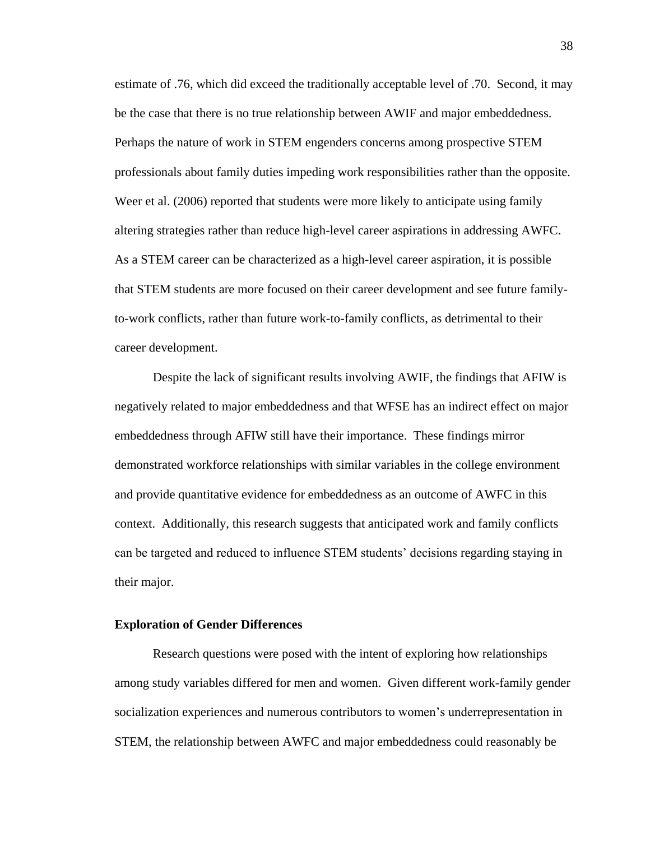estimate of .76, which did exceed the traditionally acceptable level of .70. Second, it may be the case that there is no true relationship between AWIF and major embeddedness. Perhaps the nature of work in STEM engenders concerns among prospective STEM professionals about family duties impeding work responsibilities rather than the opposite. Weer et al. (2006) reported that students were more likely to anticipate using family altering strategies rather than reduce high-level career aspirations in addressing AWFC. As a STEM career can be characterized as a high-level career aspiration, it is possible that STEM students are more focused on their career development and see future familyto-work conflicts, rather than future work-to-family conflicts, as detrimental to their career development.

Despite the lack of significant results involving AWIF, the findings that AFIW is negatively related to major embeddedness and that WFSE has an indirect effect on major embeddedness through AFIW still have their importance. These findings mirror demonstrated workforce relationships with similar variables in the college environment and provide quantitative evidence for embeddedness as an outcome of AWFC in this context. Additionally, this research suggests that anticipated work and family conflicts can be targeted and reduced to influence STEM students' decisions regarding staying in their major.

### **Exploration of Gender Differences**

Research questions were posed with the intent of exploring how relationships among study variables differed for men and women. Given different work-family gender socialization experiences and numerous contributors to women's underrepresentation in STEM, the relationship between AWFC and major embeddedness could reasonably be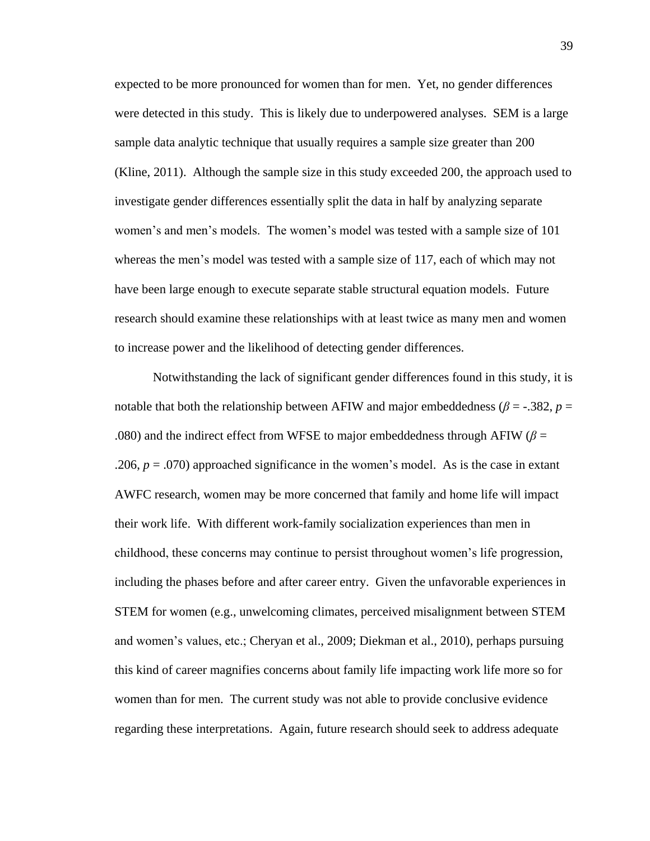expected to be more pronounced for women than for men. Yet, no gender differences were detected in this study. This is likely due to underpowered analyses. SEM is a large sample data analytic technique that usually requires a sample size greater than 200 [\(Kline, 2011\)](#page-64-0). Although the sample size in this study exceeded 200, the approach used to investigate gender differences essentially split the data in half by analyzing separate women's and men's models. The women's model was tested with a sample size of 101 whereas the men's model was tested with a sample size of 117, each of which may not have been large enough to execute separate stable structural equation models. Future research should examine these relationships with at least twice as many men and women to increase power and the likelihood of detecting gender differences.

Notwithstanding the lack of significant gender differences found in this study, it is notable that both the relationship between AFIW and major embeddedness ( $\beta$  = -.382,  $p$  = .080) and the indirect effect from WFSE to major embeddedness through AFIW ( $\beta$  = .206, *p* = .070) approached significance in the women's model. As is the case in extant AWFC research, women may be more concerned that family and home life will impact their work life. With different work-family socialization experiences than men in childhood, these concerns may continue to persist throughout women's life progression, including the phases before and after career entry. Given the unfavorable experiences in STEM for women (e.g., unwelcoming climates, perceived misalignment between STEM and women's values, etc.; [Cheryan et al., 2009;](#page-61-1) [Diekman et al., 2010\)](#page-62-1), perhaps pursuing this kind of career magnifies concerns about family life impacting work life more so for women than for men. The current study was not able to provide conclusive evidence regarding these interpretations. Again, future research should seek to address adequate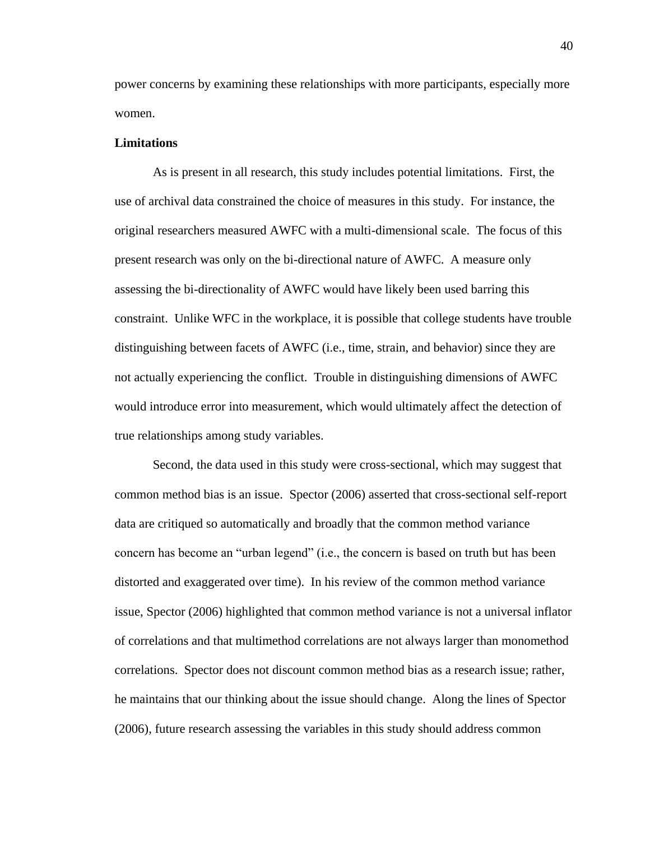power concerns by examining these relationships with more participants, especially more women.

#### **Limitations**

As is present in all research, this study includes potential limitations. First, the use of archival data constrained the choice of measures in this study. For instance, the original researchers measured AWFC with a multi-dimensional scale. The focus of this present research was only on the bi-directional nature of AWFC. A measure only assessing the bi-directionality of AWFC would have likely been used barring this constraint. Unlike WFC in the workplace, it is possible that college students have trouble distinguishing between facets of AWFC (i.e., time, strain, and behavior) since they are not actually experiencing the conflict. Trouble in distinguishing dimensions of AWFC would introduce error into measurement, which would ultimately affect the detection of true relationships among study variables.

Second, the data used in this study were cross-sectional, which may suggest that common method bias is an issue. [Spector \(2006\)](#page-68-1) asserted that cross-sectional self-report data are critiqued so automatically and broadly that the common method variance concern has become an "urban legend" (i.e., the concern is based on truth but has been distorted and exaggerated over time). In his review of the common method variance issue, [Spector \(2006\)](#page-68-1) highlighted that common method variance is not a universal inflator of correlations and that multimethod correlations are not always larger than monomethod correlations. Spector does not discount common method bias as a research issue; rather, he maintains that our thinking about the issue should change. Along the lines of [Spector](#page-68-1)  (2006), future research assessing the variables in this study should address common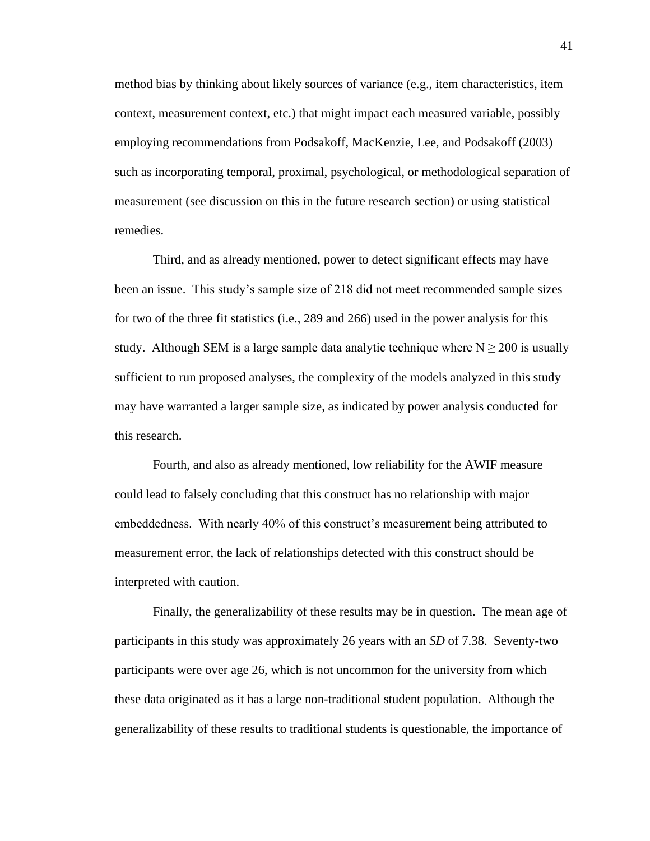method bias by thinking about likely sources of variance (e.g., item characteristics, item context, measurement context, etc.) that might impact each measured variable, possibly employing recommendations from [Podsakoff, MacKenzie, Lee, and Podsakoff \(2003\)](#page-67-0) such as incorporating temporal, proximal, psychological, or methodological separation of measurement (see discussion on this in the future research section) or using statistical remedies.

Third, and as already mentioned, power to detect significant effects may have been an issue. This study's sample size of 218 did not meet recommended sample sizes for two of the three fit statistics (i.e., 289 and 266) used in the power analysis for this study. Although SEM is a large sample data analytic technique where  $N \ge 200$  is usually sufficient to run proposed analyses, the complexity of the models analyzed in this study may have warranted a larger sample size, as indicated by power analysis conducted for this research.

Fourth, and also as already mentioned, low reliability for the AWIF measure could lead to falsely concluding that this construct has no relationship with major embeddedness. With nearly 40% of this construct's measurement being attributed to measurement error, the lack of relationships detected with this construct should be interpreted with caution.

Finally, the generalizability of these results may be in question. The mean age of participants in this study was approximately 26 years with an *SD* of 7.38. Seventy-two participants were over age 26, which is not uncommon for the university from which these data originated as it has a large non-traditional student population. Although the generalizability of these results to traditional students is questionable, the importance of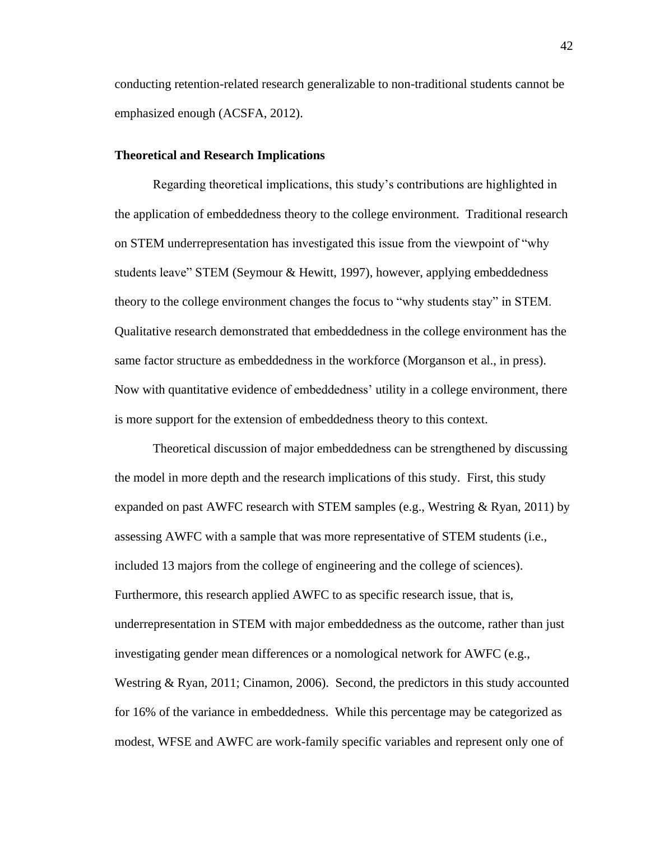conducting retention-related research generalizable to non-traditional students cannot be emphasized enough [\(ACSFA, 2012\)](#page-60-1).

#### **Theoretical and Research Implications**

Regarding theoretical implications, this study's contributions are highlighted in the application of embeddedness theory to the college environment. Traditional research on STEM underrepresentation has investigated this issue from the viewpoint of "why students leave" STEM (Seymour & Hewitt, 1997), however, applying embeddedness theory to the college environment changes the focus to "why students stay" in STEM. Qualitative research demonstrated that embeddedness in the college environment has the same factor structure as embeddedness in the workforce (Morganson et al., in press). Now with quantitative evidence of embeddedness' utility in a college environment, there is more support for the extension of embeddedness theory to this context.

Theoretical discussion of major embeddedness can be strengthened by discussing the model in more depth and the research implications of this study. First, this study expanded on past AWFC research with STEM samples (e.g., Westring & Ryan, 2011) by assessing AWFC with a sample that was more representative of STEM students (i.e., included 13 majors from the college of engineering and the college of sciences). Furthermore, this research applied AWFC to as specific research issue, that is, underrepresentation in STEM with major embeddedness as the outcome, rather than just investigating gender mean differences or a nomological network for AWFC (e.g., Westring & Ryan, 2011; Cinamon, 2006). Second, the predictors in this study accounted for 16% of the variance in embeddedness. While this percentage may be categorized as modest, WFSE and AWFC are work-family specific variables and represent only one of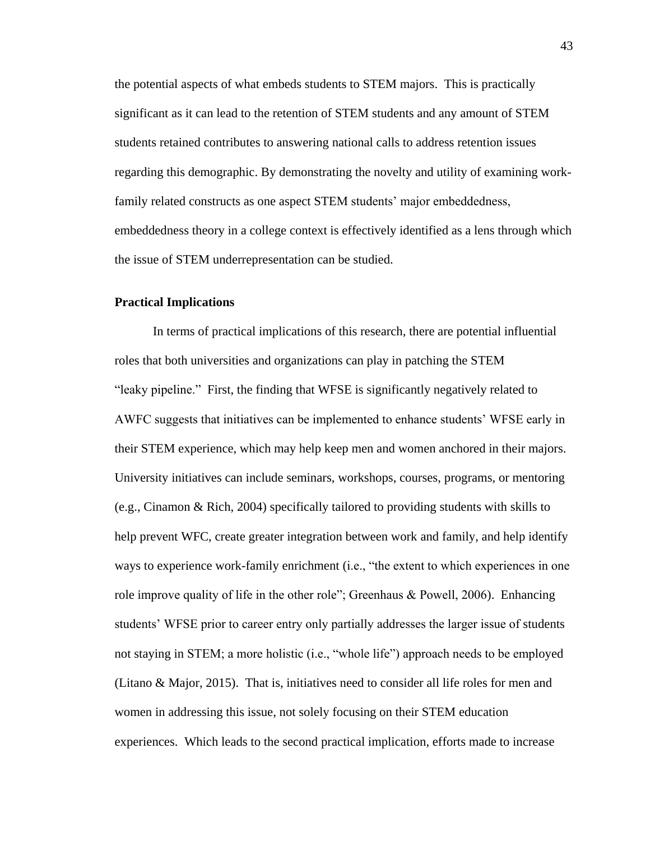the potential aspects of what embeds students to STEM majors. This is practically significant as it can lead to the retention of STEM students and any amount of STEM students retained contributes to answering national calls to address retention issues regarding this demographic. By demonstrating the novelty and utility of examining workfamily related constructs as one aspect STEM students' major embeddedness, embeddedness theory in a college context is effectively identified as a lens through which the issue of STEM underrepresentation can be studied.

#### **Practical Implications**

In terms of practical implications of this research, there are potential influential roles that both universities and organizations can play in patching the STEM "leaky pipeline." First, the finding that WFSE is significantly negatively related to AWFC suggests that initiatives can be implemented to enhance students' WFSE early in their STEM experience, which may help keep men and women anchored in their majors. University initiatives can include seminars, workshops, courses, programs, or mentoring [\(e.g., Cinamon & Rich, 2004\)](#page-62-2) specifically tailored to providing students with skills to help prevent WFC, create greater integration between work and family, and help identify ways to experience work-family enrichment (i.e., "the extent to which experiences in one [role improve quality of life in the other role"; Greenhaus & Powell, 2006\)](#page-63-1). Enhancing students' WFSE prior to career entry only partially addresses the larger issue of students not staying in STEM; a more holistic (i.e., "whole life") approach needs to be employed [\(Litano & Major, 2015\)](#page-65-0). That is, initiatives need to consider all life roles for men and women in addressing this issue, not solely focusing on their STEM education experiences. Which leads to the second practical implication, efforts made to increase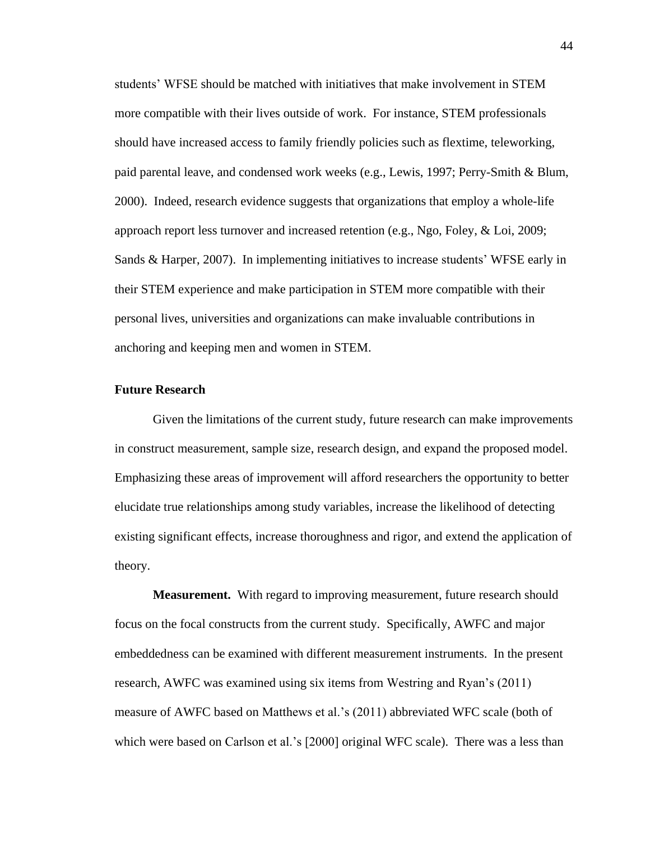students' WFSE should be matched with initiatives that make involvement in STEM more compatible with their lives outside of work. For instance, STEM professionals should have increased access to family friendly policies such as flextime, teleworking, paid parental leave, and condensed work weeks (e.g., [Lewis, 1997;](#page-65-1) [Perry-Smith & Blum,](#page-67-1)  [2000\)](#page-67-1). Indeed, research evidence suggests that organizations that employ a whole-life approach report less turnover and increased retention (e.g., [Ngo, Foley, & Loi, 2009;](#page-67-2) [Sands & Harper, 2007\)](#page-68-2). In implementing initiatives to increase students' WFSE early in their STEM experience and make participation in STEM more compatible with their personal lives, universities and organizations can make invaluable contributions in anchoring and keeping men and women in STEM.

## **Future Research**

Given the limitations of the current study, future research can make improvements in construct measurement, sample size, research design, and expand the proposed model. Emphasizing these areas of improvement will afford researchers the opportunity to better elucidate true relationships among study variables, increase the likelihood of detecting existing significant effects, increase thoroughness and rigor, and extend the application of theory.

**Measurement.** With regard to improving measurement, future research should focus on the focal constructs from the current study. Specifically, AWFC and major embeddedness can be examined with different measurement instruments. In the present research, AWFC was examined using six items from Westring and Ryan's (2011) measure of AWFC based on Matthews et al.'s (2011) abbreviated WFC scale (both of which were based on Carlson et al.'s [2000] original WFC scale). There was a less than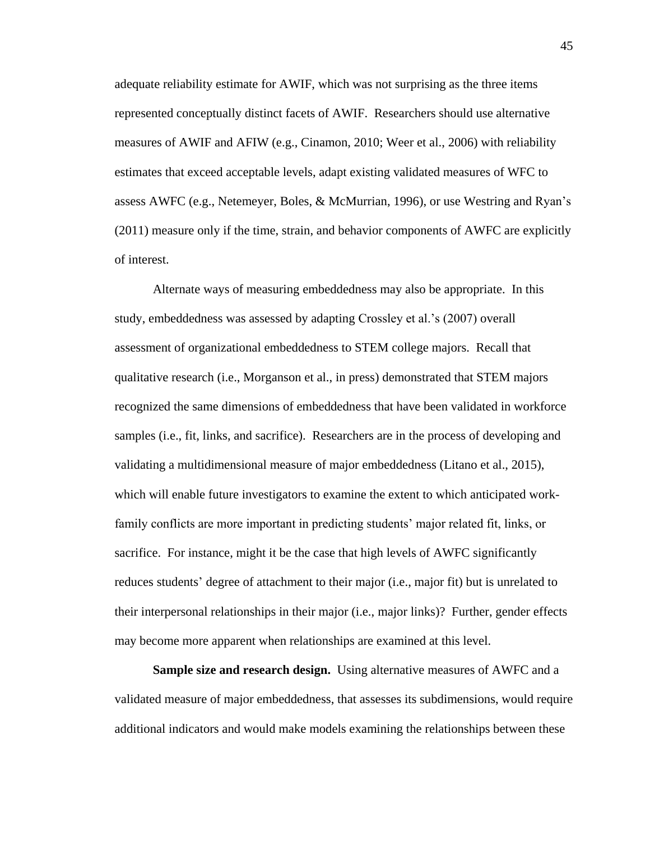adequate reliability estimate for AWIF, which was not surprising as the three items represented conceptually distinct facets of AWIF. Researchers should use alternative measures of AWIF and AFIW (e.g., [Cinamon, 2010;](#page-62-0) [Weer et al., 2006\)](#page-69-2) with reliability estimates that exceed acceptable levels, adapt existing validated measures of WFC to assess AWFC [\(e.g., Netemeyer, Boles, & McMurrian, 1996\)](#page-67-3), or use Westring and Ryan's (2011) measure only if the time, strain, and behavior components of AWFC are explicitly of interest.

Alternate ways of measuring embeddedness may also be appropriate. In this study, embeddedness was assessed by adapting Crossley et al.'s (2007) overall assessment of organizational embeddedness to STEM college majors. Recall that qualitative research [\(i.e., Morganson et al., in press\)](#page-67-4) demonstrated that STEM majors recognized the same dimensions of embeddedness that have been validated in workforce samples (i.e., fit, links, and sacrifice). Researchers are in the process of developing and validating a multidimensional measure of major embeddedness [\(Litano et al., 2015\)](#page-65-2), which will enable future investigators to examine the extent to which anticipated workfamily conflicts are more important in predicting students' major related fit, links, or sacrifice. For instance, might it be the case that high levels of AWFC significantly reduces students' degree of attachment to their major (i.e., major fit) but is unrelated to their interpersonal relationships in their major (i.e., major links)? Further, gender effects may become more apparent when relationships are examined at this level.

**Sample size and research design.** Using alternative measures of AWFC and a validated measure of major embeddedness, that assesses its subdimensions, would require additional indicators and would make models examining the relationships between these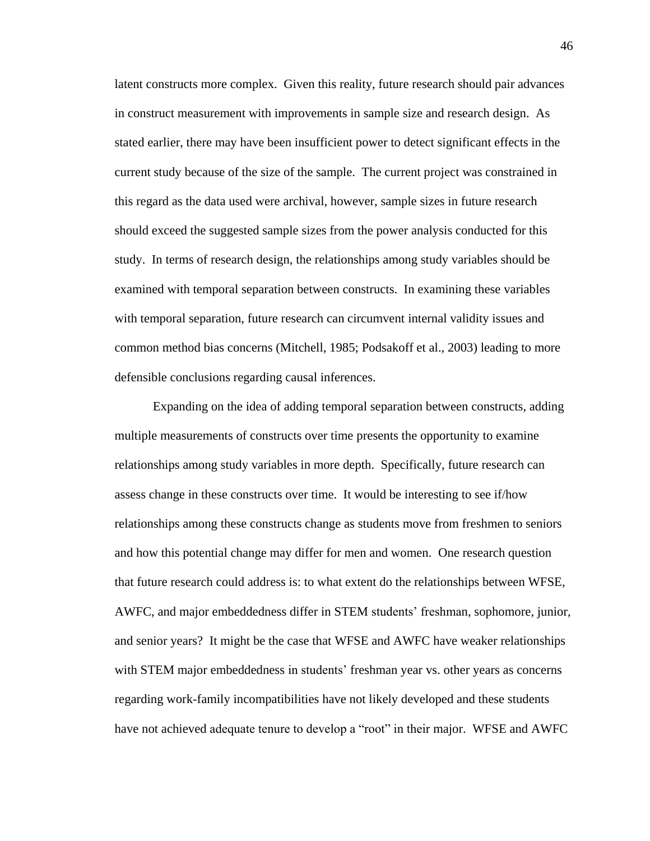latent constructs more complex. Given this reality, future research should pair advances in construct measurement with improvements in sample size and research design. As stated earlier, there may have been insufficient power to detect significant effects in the current study because of the size of the sample. The current project was constrained in this regard as the data used were archival, however, sample sizes in future research should exceed the suggested sample sizes from the power analysis conducted for this study. In terms of research design, the relationships among study variables should be examined with temporal separation between constructs. In examining these variables with temporal separation, future research can circumvent internal validity issues and common method bias concerns [\(Mitchell, 1985;](#page-66-1) [Podsakoff et al., 2003\)](#page-67-0) leading to more defensible conclusions regarding causal inferences.

Expanding on the idea of adding temporal separation between constructs, adding multiple measurements of constructs over time presents the opportunity to examine relationships among study variables in more depth. Specifically, future research can assess change in these constructs over time. It would be interesting to see if/how relationships among these constructs change as students move from freshmen to seniors and how this potential change may differ for men and women. One research question that future research could address is: to what extent do the relationships between WFSE, AWFC, and major embeddedness differ in STEM students' freshman, sophomore, junior, and senior years? It might be the case that WFSE and AWFC have weaker relationships with STEM major embeddedness in students' freshman year vs. other years as concerns regarding work-family incompatibilities have not likely developed and these students have not achieved adequate tenure to develop a "root" in their major. WFSE and AWFC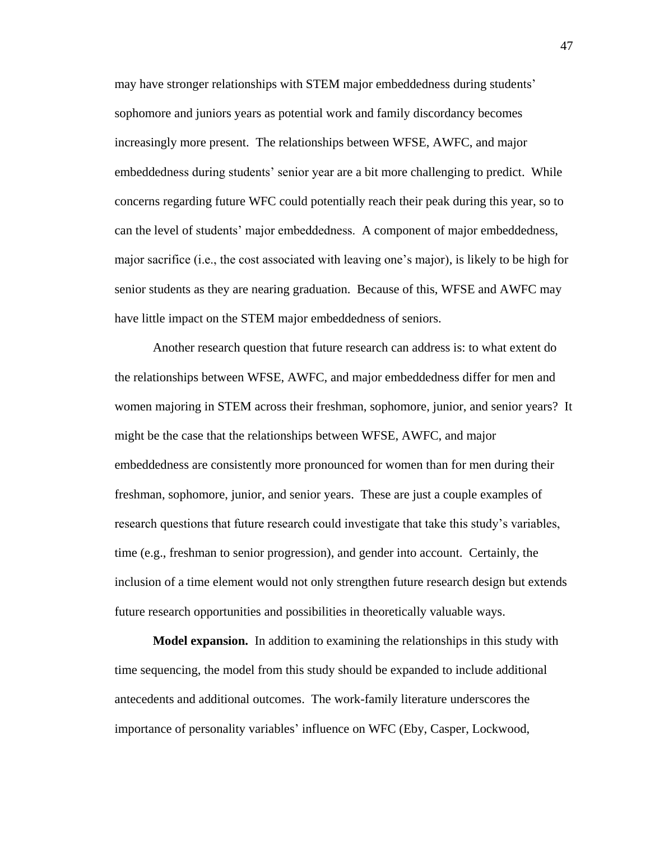may have stronger relationships with STEM major embeddedness during students' sophomore and juniors years as potential work and family discordancy becomes increasingly more present. The relationships between WFSE, AWFC, and major embeddedness during students' senior year are a bit more challenging to predict. While concerns regarding future WFC could potentially reach their peak during this year, so to can the level of students' major embeddedness. A component of major embeddedness, major sacrifice (i.e., the cost associated with leaving one's major), is likely to be high for senior students as they are nearing graduation. Because of this, WFSE and AWFC may have little impact on the STEM major embeddedness of seniors.

Another research question that future research can address is: to what extent do the relationships between WFSE, AWFC, and major embeddedness differ for men and women majoring in STEM across their freshman, sophomore, junior, and senior years? It might be the case that the relationships between WFSE, AWFC, and major embeddedness are consistently more pronounced for women than for men during their freshman, sophomore, junior, and senior years. These are just a couple examples of research questions that future research could investigate that take this study's variables, time (e.g., freshman to senior progression), and gender into account. Certainly, the inclusion of a time element would not only strengthen future research design but extends future research opportunities and possibilities in theoretically valuable ways.

**Model expansion.** In addition to examining the relationships in this study with time sequencing, the model from this study should be expanded to include additional antecedents and additional outcomes. The work-family literature underscores the importance of personality variables' influence on WFC [\(Eby, Casper, Lockwood,](#page-63-2)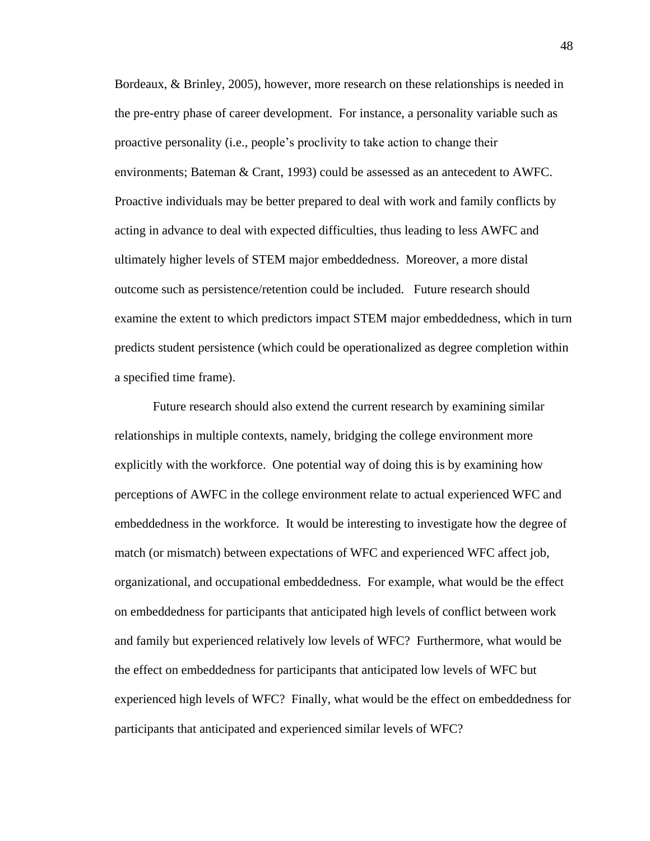[Bordeaux, & Brinley, 2005\)](#page-63-2), however, more research on these relationships is needed in the pre-entry phase of career development. For instance, a personality variable such as proactive personality [\(i.e., people's proclivity to take action to change their](#page-60-2)  [environments; Bateman & Crant, 1993\)](#page-60-2) could be assessed as an antecedent to AWFC. Proactive individuals may be better prepared to deal with work and family conflicts by acting in advance to deal with expected difficulties, thus leading to less AWFC and ultimately higher levels of STEM major embeddedness. Moreover, a more distal outcome such as persistence/retention could be included. Future research should examine the extent to which predictors impact STEM major embeddedness, which in turn predicts student persistence (which could be operationalized as degree completion within a specified time frame).

Future research should also extend the current research by examining similar relationships in multiple contexts, namely, bridging the college environment more explicitly with the workforce. One potential way of doing this is by examining how perceptions of AWFC in the college environment relate to actual experienced WFC and embeddedness in the workforce. It would be interesting to investigate how the degree of match (or mismatch) between expectations of WFC and experienced WFC affect job, organizational, and occupational embeddedness. For example, what would be the effect on embeddedness for participants that anticipated high levels of conflict between work and family but experienced relatively low levels of WFC? Furthermore, what would be the effect on embeddedness for participants that anticipated low levels of WFC but experienced high levels of WFC? Finally, what would be the effect on embeddedness for participants that anticipated and experienced similar levels of WFC?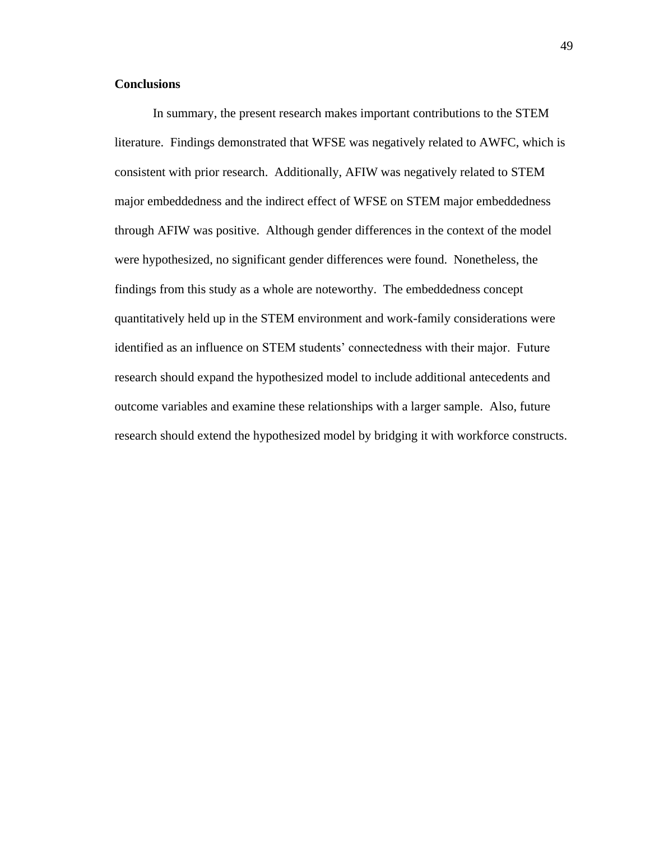## **Conclusions**

In summary, the present research makes important contributions to the STEM literature. Findings demonstrated that WFSE was negatively related to AWFC, which is consistent with prior research. Additionally, AFIW was negatively related to STEM major embeddedness and the indirect effect of WFSE on STEM major embeddedness through AFIW was positive. Although gender differences in the context of the model were hypothesized, no significant gender differences were found. Nonetheless, the findings from this study as a whole are noteworthy. The embeddedness concept quantitatively held up in the STEM environment and work-family considerations were identified as an influence on STEM students' connectedness with their major. Future research should expand the hypothesized model to include additional antecedents and outcome variables and examine these relationships with a larger sample. Also, future research should extend the hypothesized model by bridging it with workforce constructs.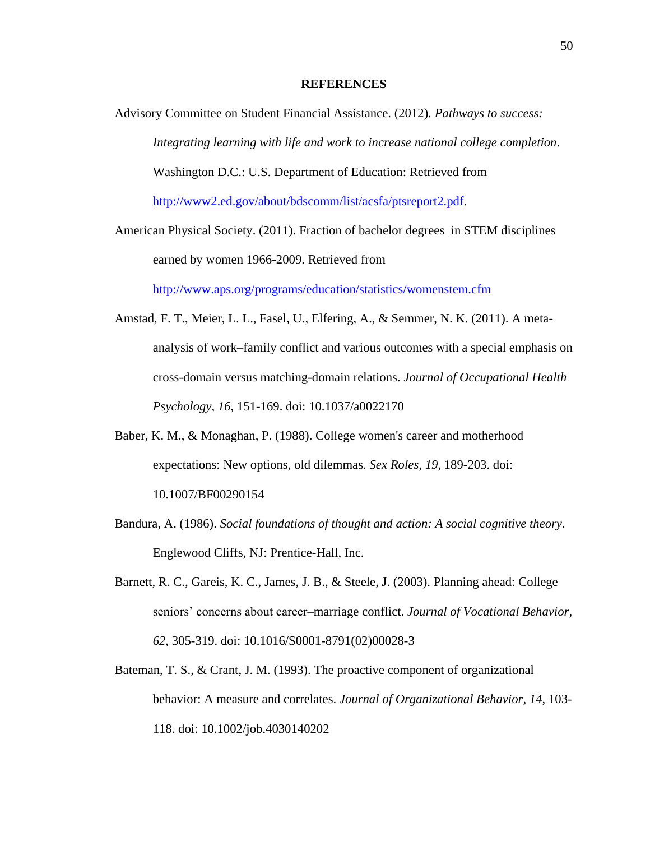### **REFERENCES**

<span id="page-60-1"></span>Advisory Committee on Student Financial Assistance. (2012). *Pathways to success: Integrating learning with life and work to increase national college completion*. Washington D.C.: U.S. Department of Education: Retrieved from

[http://www2.ed.gov/about/bdscomm/list/acsfa/ptsreport2.pdf.](http://www2.ed.gov/about/bdscomm/list/acsfa/ptsreport2.pdf)

American Physical Society. (2011). Fraction of bachelor degrees in STEM disciplines earned by women 1966-2009. Retrieved from <http://www.aps.org/programs/education/statistics/womenstem.cfm>

- <span id="page-60-0"></span>Amstad, F. T., Meier, L. L., Fasel, U., Elfering, A., & Semmer, N. K. (2011). A metaanalysis of work–family conflict and various outcomes with a special emphasis on cross-domain versus matching-domain relations. *Journal of Occupational Health Psychology, 16*, 151-169. doi: 10.1037/a0022170
- Baber, K. M., & Monaghan, P. (1988). College women's career and motherhood expectations: New options, old dilemmas. *Sex Roles, 19*, 189-203. doi: 10.1007/BF00290154
- Bandura, A. (1986). *Social foundations of thought and action: A social cognitive theory*. Englewood Cliffs, NJ: Prentice-Hall, Inc.
- Barnett, R. C., Gareis, K. C., James, J. B., & Steele, J. (2003). Planning ahead: College seniors' concerns about career–marriage conflict. *Journal of Vocational Behavior, 62*, 305-319. doi: 10.1016/S0001-8791(02)00028-3
- <span id="page-60-2"></span>Bateman, T. S., & Crant, J. M. (1993). The proactive component of organizational behavior: A measure and correlates. *Journal of Organizational Behavior, 14*, 103- 118. doi: 10.1002/job.4030140202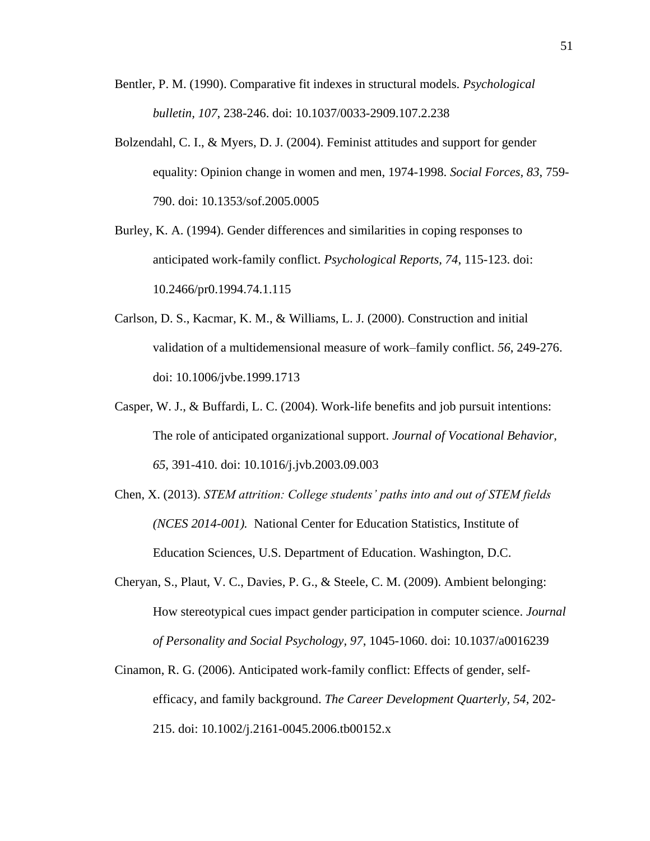- Bentler, P. M. (1990). Comparative fit indexes in structural models. *Psychological bulletin, 107*, 238-246. doi: 10.1037/0033-2909.107.2.238
- Bolzendahl, C. I., & Myers, D. J. (2004). Feminist attitudes and support for gender equality: Opinion change in women and men, 1974-1998. *Social Forces, 83*, 759- 790. doi: 10.1353/sof.2005.0005
- Burley, K. A. (1994). Gender differences and similarities in coping responses to anticipated work-family conflict. *Psychological Reports, 74*, 115-123. doi: 10.2466/pr0.1994.74.1.115
- Carlson, D. S., Kacmar, K. M., & Williams, L. J. (2000). Construction and initial validation of a multidemensional measure of work–family conflict. *56*, 249-276. doi: 10.1006/jvbe.1999.1713
- Casper, W. J., & Buffardi, L. C. (2004). Work-life benefits and job pursuit intentions: The role of anticipated organizational support. *Journal of Vocational Behavior, 65*, 391-410. doi: 10.1016/j.jvb.2003.09.003
- Chen, X. (2013). *STEM attrition: College students' paths into and out of STEM fields (NCES 2014-001).* National Center for Education Statistics, Institute of Education Sciences, U.S. Department of Education. Washington, D.C.
- <span id="page-61-1"></span>Cheryan, S., Plaut, V. C., Davies, P. G., & Steele, C. M. (2009). Ambient belonging: How stereotypical cues impact gender participation in computer science. *Journal of Personality and Social Psychology, 97*, 1045-1060. doi: 10.1037/a0016239
- <span id="page-61-0"></span>Cinamon, R. G. (2006). Anticipated work-family conflict: Effects of gender, selfefficacy, and family background. *The Career Development Quarterly, 54*, 202- 215. doi: 10.1002/j.2161-0045.2006.tb00152.x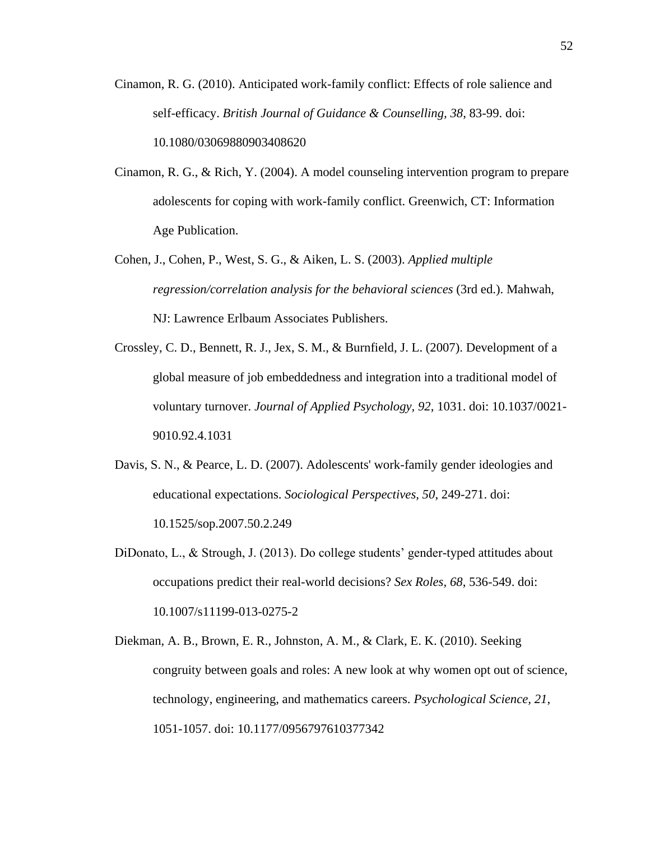- <span id="page-62-0"></span>Cinamon, R. G. (2010). Anticipated work-family conflict: Effects of role salience and self-efficacy. *British Journal of Guidance & Counselling, 38*, 83-99. doi: 10.1080/03069880903408620
- <span id="page-62-2"></span>Cinamon, R. G., & Rich, Y. (2004). A model counseling intervention program to prepare adolescents for coping with work-family conflict. Greenwich, CT: Information Age Publication.
- Cohen, J., Cohen, P., West, S. G., & Aiken, L. S. (2003). *Applied multiple regression/correlation analysis for the behavioral sciences* (3rd ed.). Mahwah, NJ: Lawrence Erlbaum Associates Publishers.
- Crossley, C. D., Bennett, R. J., Jex, S. M., & Burnfield, J. L. (2007). Development of a global measure of job embeddedness and integration into a traditional model of voluntary turnover. *Journal of Applied Psychology, 92*, 1031. doi: 10.1037/0021- 9010.92.4.1031
- Davis, S. N., & Pearce, L. D. (2007). Adolescents' work-family gender ideologies and educational expectations. *Sociological Perspectives, 50*, 249-271. doi: 10.1525/sop.2007.50.2.249
- DiDonato, L., & Strough, J. (2013). Do college students' gender-typed attitudes about occupations predict their real-world decisions? *Sex Roles, 68*, 536-549. doi: 10.1007/s11199-013-0275-2
- <span id="page-62-1"></span>Diekman, A. B., Brown, E. R., Johnston, A. M., & Clark, E. K. (2010). Seeking congruity between goals and roles: A new look at why women opt out of science, technology, engineering, and mathematics careers. *Psychological Science, 21*, 1051-1057. doi: 10.1177/0956797610377342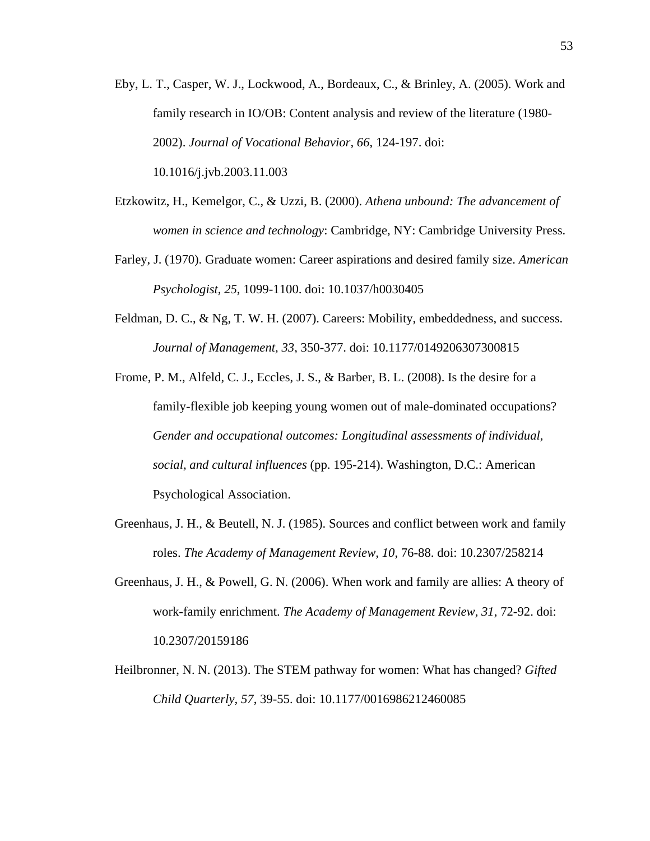<span id="page-63-2"></span>Eby, L. T., Casper, W. J., Lockwood, A., Bordeaux, C., & Brinley, A. (2005). Work and family research in IO/OB: Content analysis and review of the literature (1980- 2002). *Journal of Vocational Behavior, 66*, 124-197. doi:

10.1016/j.jvb.2003.11.003

- Etzkowitz, H., Kemelgor, C., & Uzzi, B. (2000). *Athena unbound: The advancement of women in science and technology*: Cambridge, NY: Cambridge University Press.
- Farley, J. (1970). Graduate women: Career aspirations and desired family size. *American Psychologist, 25*, 1099-1100. doi: 10.1037/h0030405
- <span id="page-63-0"></span>Feldman, D. C., & Ng, T. W. H. (2007). Careers: Mobility, embeddedness, and success. *Journal of Management, 33*, 350-377. doi: 10.1177/0149206307300815
- Frome, P. M., Alfeld, C. J., Eccles, J. S., & Barber, B. L. (2008). Is the desire for a family-flexible job keeping young women out of male-dominated occupations? *Gender and occupational outcomes: Longitudinal assessments of individual, social, and cultural influences* (pp. 195-214). Washington, D.C.: American Psychological Association.
- Greenhaus, J. H., & Beutell, N. J. (1985). Sources and conflict between work and family roles. *The Academy of Management Review, 10*, 76-88. doi: 10.2307/258214
- <span id="page-63-1"></span>Greenhaus, J. H., & Powell, G. N. (2006). When work and family are allies: A theory of work-family enrichment. *The Academy of Management Review, 31*, 72-92. doi: 10.2307/20159186
- Heilbronner, N. N. (2013). The STEM pathway for women: What has changed? *Gifted Child Quarterly, 57*, 39-55. doi: 10.1177/0016986212460085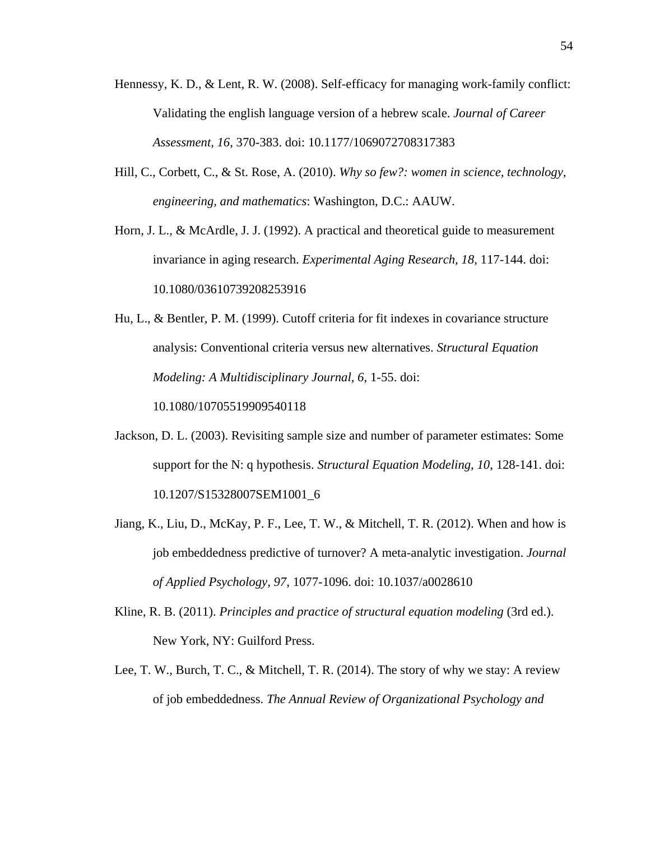- Hennessy, K. D., & Lent, R. W. (2008). Self-efficacy for managing work-family conflict: Validating the english language version of a hebrew scale. *Journal of Career Assessment, 16*, 370-383. doi: 10.1177/1069072708317383
- Hill, C., Corbett, C., & St. Rose, A. (2010). *Why so few?: women in science, technology, engineering, and mathematics*: Washington, D.C.: AAUW.
- <span id="page-64-1"></span>Horn, J. L., & McArdle, J. J. (1992). A practical and theoretical guide to measurement invariance in aging research. *Experimental Aging Research, 18*, 117-144. doi: 10.1080/03610739208253916
- Hu, L., & Bentler, P. M. (1999). Cutoff criteria for fit indexes in covariance structure analysis: Conventional criteria versus new alternatives. *Structural Equation Modeling: A Multidisciplinary Journal, 6*, 1-55. doi:

10.1080/10705519909540118

- Jackson, D. L. (2003). Revisiting sample size and number of parameter estimates: Some support for the N: q hypothesis. *Structural Equation Modeling, 10*, 128-141. doi: 10.1207/S15328007SEM1001\_6
- Jiang, K., Liu, D., McKay, P. F., Lee, T. W., & Mitchell, T. R. (2012). When and how is job embeddedness predictive of turnover? A meta-analytic investigation. *Journal of Applied Psychology, 97*, 1077-1096. doi: 10.1037/a0028610
- <span id="page-64-0"></span>Kline, R. B. (2011). *Principles and practice of structural equation modeling* (3rd ed.). New York, NY: Guilford Press.
- Lee, T. W., Burch, T. C., & Mitchell, T. R. (2014). The story of why we stay: A review of job embeddedness. *The Annual Review of Organizational Psychology and*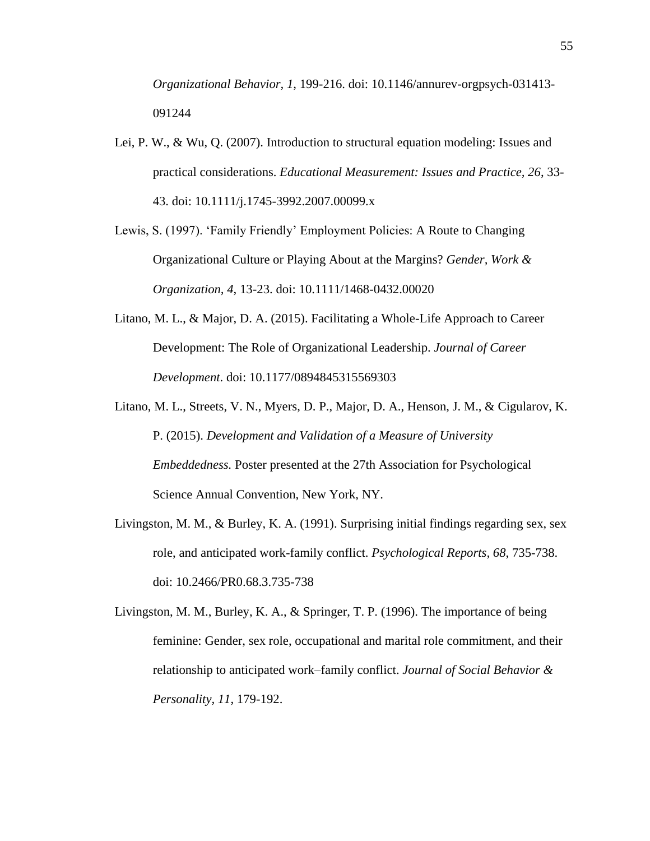*Organizational Behavior, 1*, 199-216. doi: 10.1146/annurev-orgpsych-031413- 091244

- Lei, P. W., & Wu, Q. (2007). Introduction to structural equation modeling: Issues and practical considerations. *Educational Measurement: Issues and Practice, 26*, 33- 43. doi: 10.1111/j.1745-3992.2007.00099.x
- <span id="page-65-1"></span>Lewis, S. (1997). 'Family Friendly' Employment Policies: A Route to Changing Organizational Culture or Playing About at the Margins? *Gender, Work & Organization, 4*, 13-23. doi: 10.1111/1468-0432.00020
- <span id="page-65-0"></span>Litano, M. L., & Major, D. A. (2015). Facilitating a Whole-Life Approach to Career Development: The Role of Organizational Leadership. *Journal of Career Development*. doi: 10.1177/0894845315569303
- <span id="page-65-2"></span>Litano, M. L., Streets, V. N., Myers, D. P., Major, D. A., Henson, J. M., & Cigularov, K. P. (2015). *Development and Validation of a Measure of University Embeddedness.* Poster presented at the 27th Association for Psychological Science Annual Convention, New York, NY.
- Livingston, M. M., & Burley, K. A. (1991). Surprising initial findings regarding sex, sex role, and anticipated work-family conflict. *Psychological Reports, 68*, 735-738. doi: 10.2466/PR0.68.3.735-738

Livingston, M. M., Burley, K. A., & Springer, T. P. (1996). The importance of being feminine: Gender, sex role, occupational and marital role commitment, and their relationship to anticipated work–family conflict. *Journal of Social Behavior & Personality, 11*, 179-192.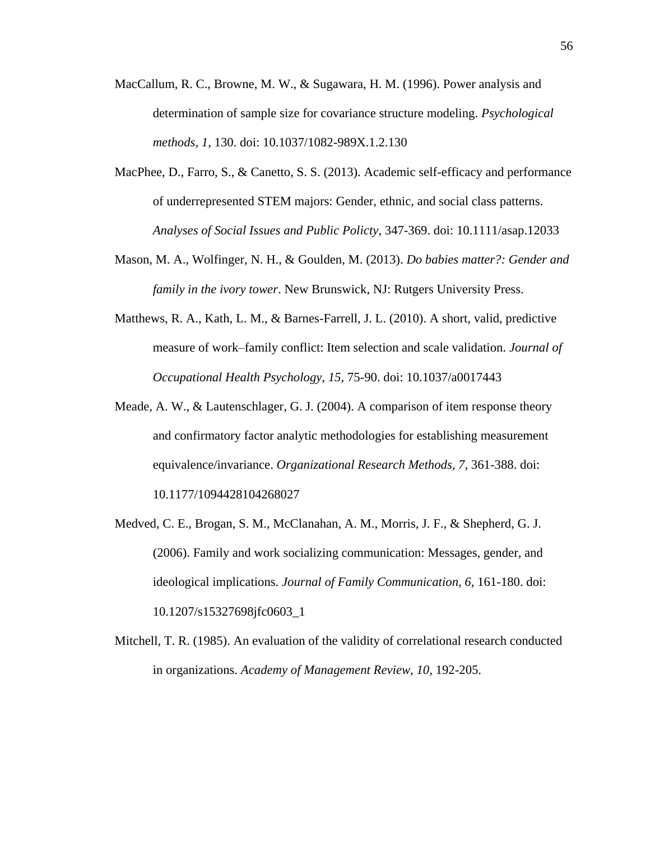- MacCallum, R. C., Browne, M. W., & Sugawara, H. M. (1996). Power analysis and determination of sample size for covariance structure modeling. *Psychological methods, 1*, 130. doi: 10.1037/1082-989X.1.2.130
- MacPhee, D., Farro, S., & Canetto, S. S. (2013). Academic self-efficacy and performance of underrepresented STEM majors: Gender, ethnic, and social class patterns. *Analyses of Social Issues and Public Policty*, 347-369. doi: 10.1111/asap.12033
- Mason, M. A., Wolfinger, N. H., & Goulden, M. (2013). *Do babies matter?: Gender and family in the ivory tower*. New Brunswick, NJ: Rutgers University Press.
- <span id="page-66-2"></span>Matthews, R. A., Kath, L. M., & Barnes-Farrell, J. L. (2010). A short, valid, predictive measure of work–family conflict: Item selection and scale validation. *Journal of Occupational Health Psychology, 15*, 75-90. doi: 10.1037/a0017443
- <span id="page-66-0"></span>Meade, A. W., & Lautenschlager, G. J. (2004). A comparison of item response theory and confirmatory factor analytic methodologies for establishing measurement equivalence/invariance. *Organizational Research Methods, 7*, 361-388. doi: 10.1177/1094428104268027
- Medved, C. E., Brogan, S. M., McClanahan, A. M., Morris, J. F., & Shepherd, G. J. (2006). Family and work socializing communication: Messages, gender, and ideological implications. *Journal of Family Communication, 6*, 161-180. doi: 10.1207/s15327698jfc0603\_1
- <span id="page-66-1"></span>Mitchell, T. R. (1985). An evaluation of the validity of correlational research conducted in organizations. *Academy of Management Review, 10*, 192-205.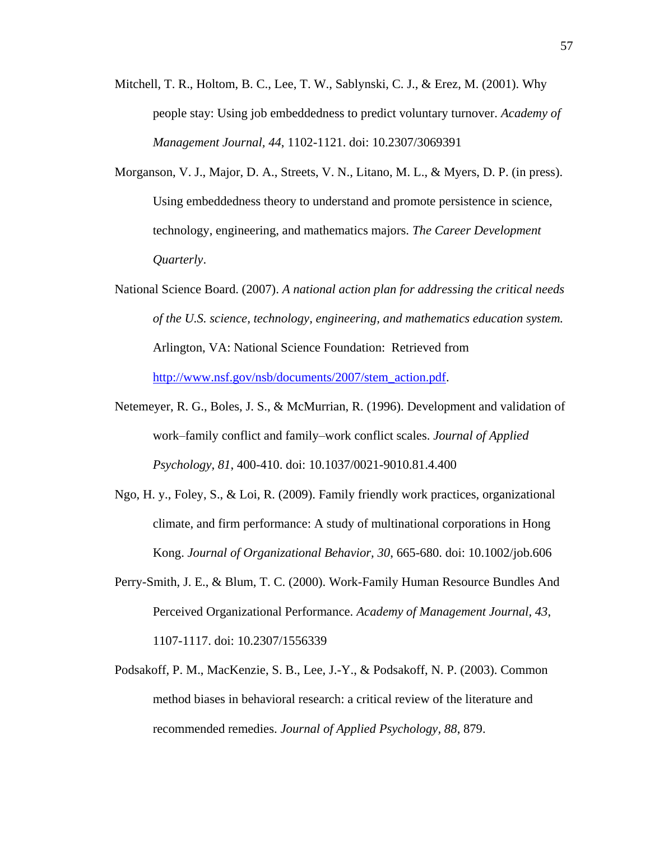- Mitchell, T. R., Holtom, B. C., Lee, T. W., Sablynski, C. J., & Erez, M. (2001). Why people stay: Using job embeddedness to predict voluntary turnover. *Academy of Management Journal, 44*, 1102-1121. doi: 10.2307/3069391
- <span id="page-67-4"></span>Morganson, V. J., Major, D. A., Streets, V. N., Litano, M. L., & Myers, D. P. (in press). Using embeddedness theory to understand and promote persistence in science, technology, engineering, and mathematics majors. *The Career Development Quarterly*.
- National Science Board. (2007). *A national action plan for addressing the critical needs of the U.S. science, technology, engineering, and mathematics education system.* Arlington, VA: National Science Foundation: Retrieved from [http://www.nsf.gov/nsb/documents/2007/stem\\_action.pdf.](http://www.nsf.gov/nsb/documents/2007/stem_action.pdf)
- <span id="page-67-3"></span>Netemeyer, R. G., Boles, J. S., & McMurrian, R. (1996). Development and validation of work–family conflict and family–work conflict scales. *Journal of Applied Psychology, 81*, 400-410. doi: 10.1037/0021-9010.81.4.400
- <span id="page-67-2"></span>Ngo, H. y., Foley, S., & Loi, R. (2009). Family friendly work practices, organizational climate, and firm performance: A study of multinational corporations in Hong Kong. *Journal of Organizational Behavior, 30*, 665-680. doi: 10.1002/job.606
- <span id="page-67-1"></span>Perry-Smith, J. E., & Blum, T. C. (2000). Work-Family Human Resource Bundles And Perceived Organizational Performance. *Academy of Management Journal, 43*, 1107-1117. doi: 10.2307/1556339
- <span id="page-67-0"></span>Podsakoff, P. M., MacKenzie, S. B., Lee, J.-Y., & Podsakoff, N. P. (2003). Common method biases in behavioral research: a critical review of the literature and recommended remedies. *Journal of Applied Psychology, 88*, 879.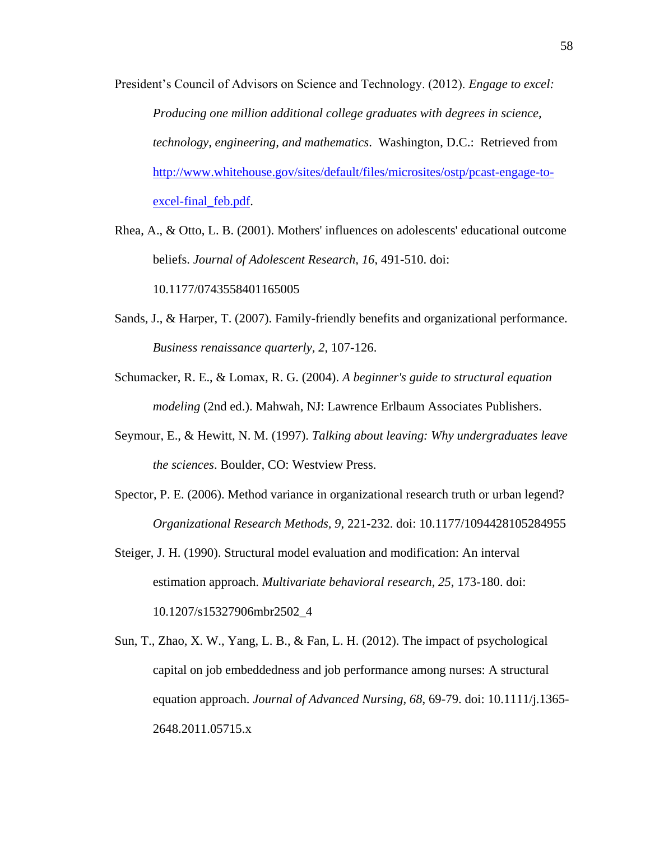- President's Council of Advisors on Science and Technology. (2012). *Engage to excel: Producing one million additional college graduates with degrees in science, technology, engineering, and mathematics*. Washington, D.C.: Retrieved from [http://www.whitehouse.gov/sites/default/files/microsites/ostp/pcast-engage-to](http://www.whitehouse.gov/sites/default/files/microsites/ostp/pcast-engage-to-excel-final_feb.pdf)excel-final feb.pdf.
- Rhea, A., & Otto, L. B. (2001). Mothers' influences on adolescents' educational outcome beliefs. *Journal of Adolescent Research, 16*, 491-510. doi: 10.1177/0743558401165005
- <span id="page-68-2"></span>Sands, J., & Harper, T. (2007). Family-friendly benefits and organizational performance. *Business renaissance quarterly, 2*, 107-126.
- <span id="page-68-0"></span>Schumacker, R. E., & Lomax, R. G. (2004). *A beginner's guide to structural equation modeling* (2nd ed.). Mahwah, NJ: Lawrence Erlbaum Associates Publishers.
- Seymour, E., & Hewitt, N. M. (1997). *Talking about leaving: Why undergraduates leave the sciences*. Boulder, CO: Westview Press.
- <span id="page-68-1"></span>Spector, P. E. (2006). Method variance in organizational research truth or urban legend? *Organizational Research Methods, 9*, 221-232. doi: 10.1177/1094428105284955
- Steiger, J. H. (1990). Structural model evaluation and modification: An interval estimation approach. *Multivariate behavioral research, 25*, 173-180. doi: 10.1207/s15327906mbr2502\_4
- Sun, T., Zhao, X. W., Yang, L. B., & Fan, L. H. (2012). The impact of psychological capital on job embeddedness and job performance among nurses: A structural equation approach. *Journal of Advanced Nursing, 68*, 69-79. doi: 10.1111/j.1365- 2648.2011.05715.x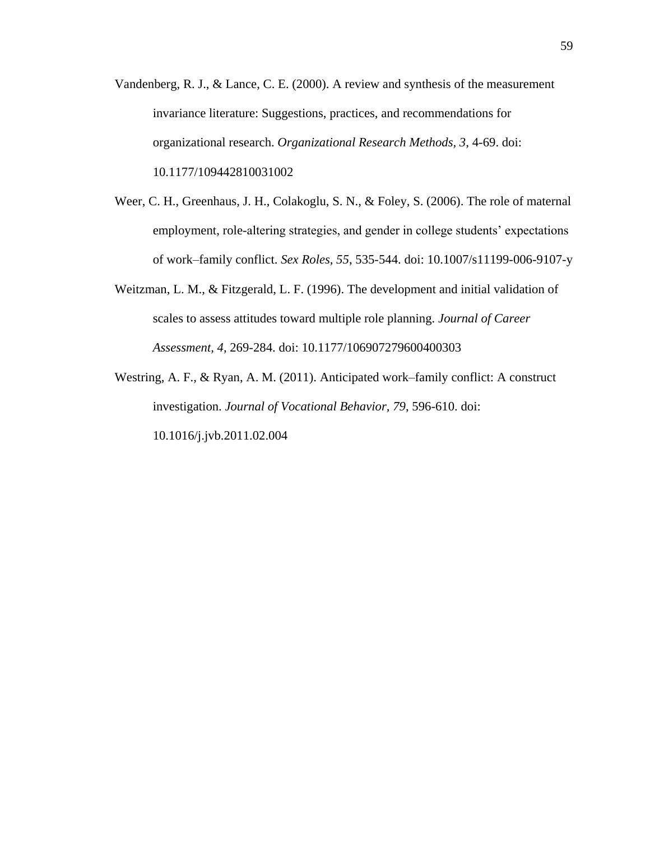- <span id="page-69-0"></span>Vandenberg, R. J., & Lance, C. E. (2000). A review and synthesis of the measurement invariance literature: Suggestions, practices, and recommendations for organizational research. *Organizational Research Methods, 3*, 4-69. doi: 10.1177/109442810031002
- <span id="page-69-2"></span>Weer, C. H., Greenhaus, J. H., Colakoglu, S. N., & Foley, S. (2006). The role of maternal employment, role-altering strategies, and gender in college students' expectations of work–family conflict. *Sex Roles, 55*, 535-544. doi: 10.1007/s11199-006-9107-y
- Weitzman, L. M., & Fitzgerald, L. F. (1996). The development and initial validation of scales to assess attitudes toward multiple role planning. *Journal of Career Assessment, 4*, 269-284. doi: 10.1177/106907279600400303
- <span id="page-69-1"></span>Westring, A. F., & Ryan, A. M. (2011). Anticipated work–family conflict: A construct investigation. *Journal of Vocational Behavior, 79*, 596-610. doi: 10.1016/j.jvb.2011.02.004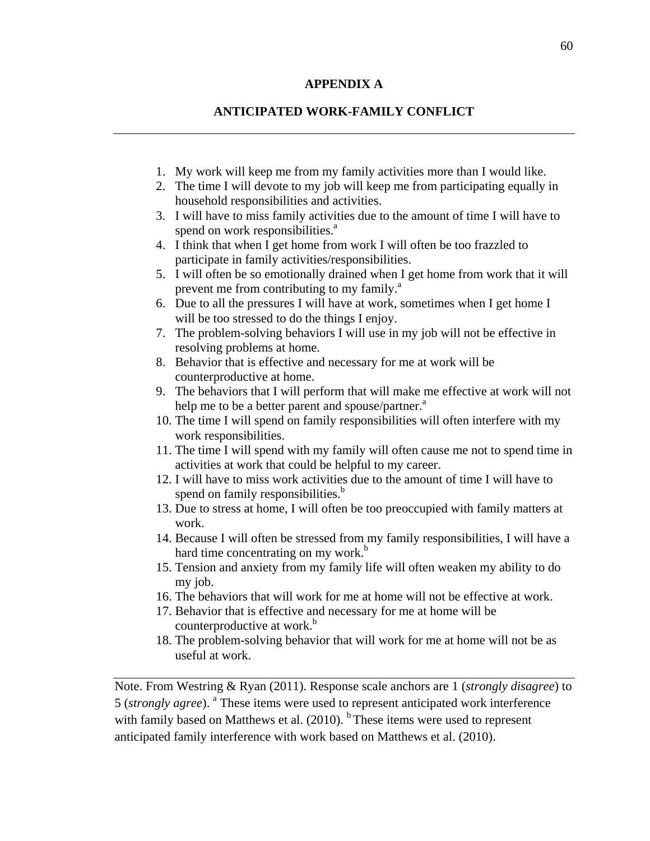## **APPENDIX A**

# **ANTICIPATED WORK-FAMILY CONFLICT**

- 1. My work will keep me from my family activities more than I would like.
- 2. The time I will devote to my job will keep me from participating equally in household responsibilities and activities.
- 3. I will have to miss family activities due to the amount of time I will have to spend on work responsibilities.<sup>a</sup>
- 4. I think that when I get home from work I will often be too frazzled to participate in family activities/responsibilities.
- 5. I will often be so emotionally drained when I get home from work that it will prevent me from contributing to my family.<sup>a</sup>
- 6. Due to all the pressures I will have at work, sometimes when I get home I will be too stressed to do the things I enjoy.
- 7. The problem-solving behaviors I will use in my job will not be effective in resolving problems at home.
- 8. Behavior that is effective and necessary for me at work will be counterproductive at home.
- 9. The behaviors that I will perform that will make me effective at work will not help me to be a better parent and spouse/partner.<sup>a</sup>
- 10. The time I will spend on family responsibilities will often interfere with my work responsibilities.
- 11. The time I will spend with my family will often cause me not to spend time in activities at work that could be helpful to my career.
- 12. I will have to miss work activities due to the amount of time I will have to spend on family responsibilities.<sup>b</sup>
- 13. Due to stress at home, I will often be too preoccupied with family matters at work.
- 14. Because I will often be stressed from my family responsibilities, I will have a hard time concentrating on my work. $b$
- 15. Tension and anxiety from my family life will often weaken my ability to do my job.
- 16. The behaviors that will work for me at home will not be effective at work.
- 17. Behavior that is effective and necessary for me at home will be counterproductive at work.<sup>b</sup>
- 18. The problem-solving behavior that will work for me at home will not be as useful at work.

Note. From Westring & Ryan (2011). Response scale anchors are 1 (*strongly disagree*) to 5 (*strongly agree*). <sup>a</sup> These items were used to represent anticipated work interference with family based on Matthews et al.  $(2010)$ . <sup>b</sup> These items were used to represent anticipated family interference with work based on [Matthews et al. \(2010\).](#page-66-2)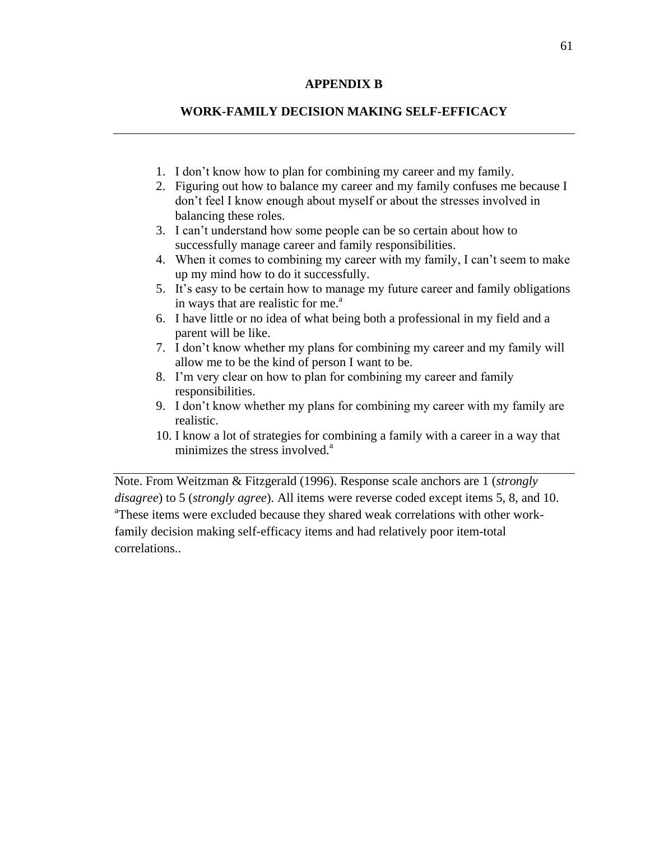## **APPENDIX B**

# **WORK-FAMILY DECISION MAKING SELF-EFFICACY**

- 1. I don't know how to plan for combining my career and my family.
- 2. Figuring out how to balance my career and my family confuses me because I don't feel I know enough about myself or about the stresses involved in balancing these roles.
- 3. I can't understand how some people can be so certain about how to successfully manage career and family responsibilities.
- 4. When it comes to combining my career with my family, I can't seem to make up my mind how to do it successfully.
- 5. It's easy to be certain how to manage my future career and family obligations in ways that are realistic for me. $a<sup>a</sup>$
- 6. I have little or no idea of what being both a professional in my field and a parent will be like.
- 7. I don't know whether my plans for combining my career and my family will allow me to be the kind of person I want to be.
- 8. I'm very clear on how to plan for combining my career and family responsibilities.
- 9. I don't know whether my plans for combining my career with my family are realistic.
- 10. I know a lot of strategies for combining a family with a career in a way that minimizes the stress involved.<sup>a</sup>

Note. From Weitzman & Fitzgerald (1996). Response scale anchors are 1 (*strongly disagree*) to 5 (*strongly agree*). All items were reverse coded except items 5, 8, and 10. <sup>a</sup>These items were excluded because they shared weak correlations with other workfamily decision making self-efficacy items and had relatively poor item-total correlations..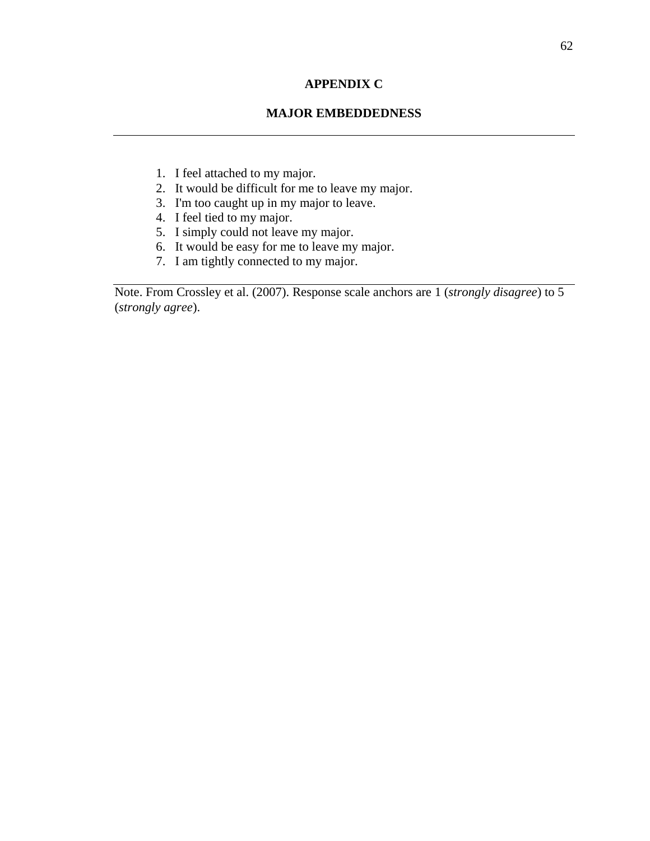## **APPENDIX C**

## **MAJOR EMBEDDEDNESS**

- 1. I feel attached to my major.
- 2. It would be difficult for me to leave my major.
- 3. I'm too caught up in my major to leave.
- 4. I feel tied to my major.
- 5. I simply could not leave my major.
- 6. It would be easy for me to leave my major.
- 7. I am tightly connected to my major.

Note. From Crossley et al. (2007). Response scale anchors are 1 (*strongly disagree*) to 5 (*strongly agree*).